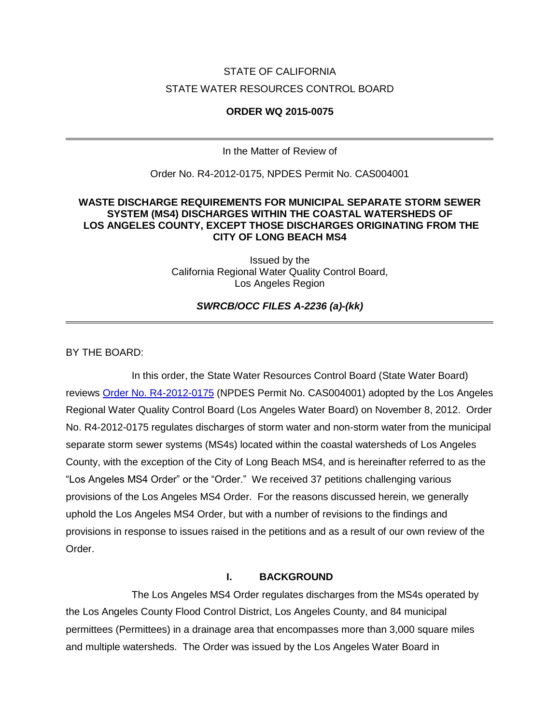# STATE OF CALIFORNIA STATE WATER RESOURCES CONTROL BOARD

#### **ORDER WQ 2015-0075**

In the Matter of Review of

Order No. R4-2012-0175, NPDES Permit No. CAS004001

### **WASTE DISCHARGE REQUIREMENTS FOR MUNICIPAL SEPARATE STORM SEWER SYSTEM (MS4) DISCHARGES WITHIN THE COASTAL WATERSHEDS OF LOS ANGELES COUNTY, EXCEPT THOSE DISCHARGES ORIGINATING FROM THE CITY OF LONG BEACH MS4**

Issued by the California Regional Water Quality Control Board, Los Angeles Region

*SWRCB/OCC FILES A-2236 (a)-(kk)*

BY THE BOARD:

In this order, the State Water Resources Control Board (State Water Board) reviews [Order No. R4-2012-0175](http://www.waterboards.ca.gov/losangeles/water_issues/programs/stormwater/municipal/la_ms4/2012/Order%20R4-2012-0175%20-%20A%20Final%20Order%20revised.pdf) (NPDES Permit No. CAS004001) adopted by the Los Angeles Regional Water Quality Control Board (Los Angeles Water Board) on November 8, 2012. Order No. R4-2012-0175 regulates discharges of storm water and non-storm water from the municipal separate storm sewer systems (MS4s) located within the coastal watersheds of Los Angeles County, with the exception of the City of Long Beach MS4, and is hereinafter referred to as the "Los Angeles MS4 Order" or the "Order." We received 37 petitions challenging various provisions of the Los Angeles MS4 Order. For the reasons discussed herein, we generally uphold the Los Angeles MS4 Order, but with a number of revisions to the findings and provisions in response to issues raised in the petitions and as a result of our own review of the Order.

# **I. BACKGROUND**

The Los Angeles MS4 Order regulates discharges from the MS4s operated by the Los Angeles County Flood Control District, Los Angeles County, and 84 municipal permittees (Permittees) in a drainage area that encompasses more than 3,000 square miles and multiple watersheds. The Order was issued by the Los Angeles Water Board in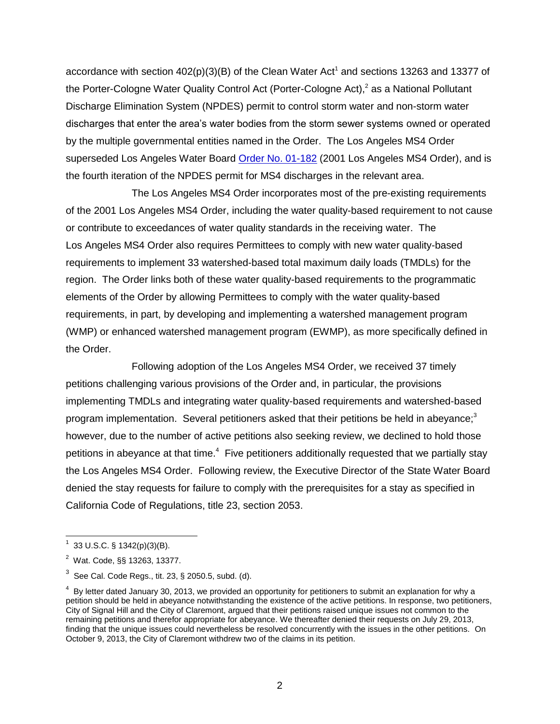accordance with section  $402(p)(3)(B)$  of the Clean Water Act<sup>1</sup> and sections 13263 and 13377 of the Porter-Cologne Water Quality Control Act (Porter-Cologne Act),<sup>2</sup> as a National Pollutant Discharge Elimination System (NPDES) permit to control storm water and non-storm water discharges that enter the area's water bodies from the storm sewer systems owned or operated by the multiple governmental entities named in the Order. The Los Angeles MS4 Order superseded Los Angeles Water Board [Order No. 01-182](http://63.199.216.6/permits/docs/6948_01-182_WDR.pdf) (2001 Los Angeles MS4 Order), and is the fourth iteration of the NPDES permit for MS4 discharges in the relevant area.

The Los Angeles MS4 Order incorporates most of the pre-existing requirements of the 2001 Los Angeles MS4 Order, including the water quality-based requirement to not cause or contribute to exceedances of water quality standards in the receiving water. The Los Angeles MS4 Order also requires Permittees to comply with new water quality-based requirements to implement 33 watershed-based total maximum daily loads (TMDLs) for the region. The Order links both of these water quality-based requirements to the programmatic elements of the Order by allowing Permittees to comply with the water quality-based requirements, in part, by developing and implementing a watershed management program (WMP) or enhanced watershed management program (EWMP), as more specifically defined in the Order.

Following adoption of the Los Angeles MS4 Order, we received 37 timely petitions challenging various provisions of the Order and, in particular, the provisions implementing TMDLs and integrating water quality-based requirements and watershed-based program implementation. Several petitioners asked that their petitions be held in abeyance;<sup>3</sup> however, due to the number of active petitions also seeking review, we declined to hold those petitions in abeyance at that time.<sup>4</sup> Five petitioners additionally requested that we partially stay the Los Angeles MS4 Order. Following review, the Executive Director of the State Water Board denied the stay requests for failure to comply with the prerequisites for a stay as specified in California Code of Regulations, title 23, section 2053.

 $1$  33 U.S.C. § 1342(p)(3)(B).

<sup>2</sup> Wat. Code, §§ 13263, 13377.

 $^3$  See Cal. Code Regs., tit. 23, § 2050.5, subd. (d).

 $4$  By letter dated January 30, 2013, we provided an opportunity for petitioners to submit an explanation for why a petition should be held in abeyance notwithstanding the existence of the active petitions. In response, two petitioners, City of Signal Hill and the City of Claremont, argued that their petitions raised unique issues not common to the remaining petitions and therefor appropriate for abeyance. We thereafter denied their requests on July 29, 2013, finding that the unique issues could nevertheless be resolved concurrently with the issues in the other petitions. On October 9, 2013, the City of Claremont withdrew two of the claims in its petition.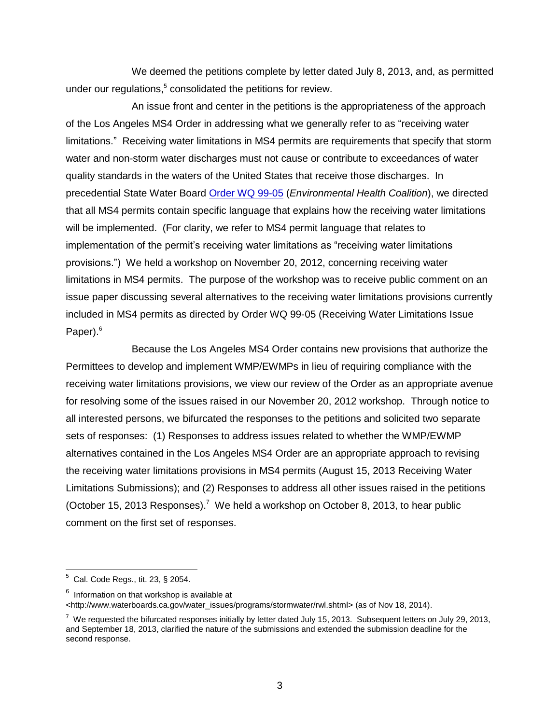We deemed the petitions complete by letter dated July 8, 2013, and, as permitted under our regulations,<sup>5</sup> consolidated the petitions for review.

An issue front and center in the petitions is the appropriateness of the approach of the Los Angeles MS4 Order in addressing what we generally refer to as "receiving water limitations." Receiving water limitations in MS4 permits are requirements that specify that storm water and non-storm water discharges must not cause or contribute to exceedances of water quality standards in the waters of the United States that receive those discharges. In precedential State Water Board [Order WQ 99-05](http://www.waterboards.ca.gov/board_decisions/adopted_orders/water_quality/1999/wq1999_05.pdf) (*Environmental Health Coalition*), we directed that all MS4 permits contain specific language that explains how the receiving water limitations will be implemented. (For clarity, we refer to MS4 permit language that relates to implementation of the permit's receiving water limitations as "receiving water limitations provisions.") We held a workshop on November 20, 2012, concerning receiving water limitations in MS4 permits. The purpose of the workshop was to receive public comment on an issue paper discussing several alternatives to the receiving water limitations provisions currently included in MS4 permits as directed by Order WQ 99-05 (Receiving Water Limitations Issue Paper).<sup>6</sup>

Because the Los Angeles MS4 Order contains new provisions that authorize the Permittees to develop and implement WMP/EWMPs in lieu of requiring compliance with the receiving water limitations provisions, we view our review of the Order as an appropriate avenue for resolving some of the issues raised in our November 20, 2012 workshop. Through notice to all interested persons, we bifurcated the responses to the petitions and solicited two separate sets of responses: (1) Responses to address issues related to whether the WMP/EWMP alternatives contained in the Los Angeles MS4 Order are an appropriate approach to revising the receiving water limitations provisions in MS4 permits (August 15, 2013 Receiving Water Limitations Submissions); and (2) Responses to address all other issues raised in the petitions (October 15, 2013 Responses).<sup>7</sup> We held a workshop on October 8, 2013, to hear public comment on the first set of responses.

 $5$  Cal. Code Regs., tit. 23, § 2054.

 $^6$  Information on that workshop is available at

[<sup>&</sup>lt;http://www.waterboards.ca.gov/water\\_issues/programs/stormwater/rwl.shtml>](http://www.waterboards.ca.gov/water_issues/programs/stormwater/rwl.shtml) (as of Nov 18, 2014).

 $^7$  We requested the bifurcated responses initially by letter dated July 15, 2013. Subsequent letters on July 29, 2013, and September 18, 2013, clarified the nature of the submissions and extended the submission deadline for the second response.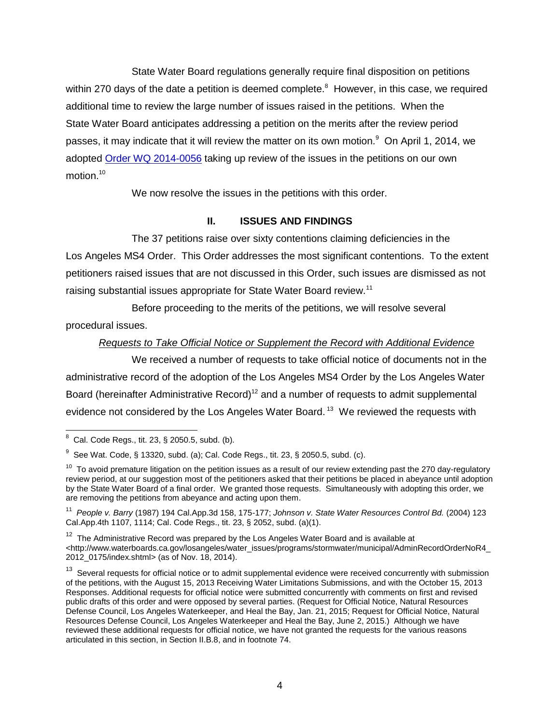State Water Board regulations generally require final disposition on petitions within 270 days of the date a petition is deemed complete. $8$  However, in this case, we required additional time to review the large number of issues raised in the petitions. When the State Water Board anticipates addressing a petition on the merits after the review period passes, it may indicate that it will review the matter on its own motion.<sup>9</sup> On April 1, 2014, we adopted [Order WQ 2014-0056](http://www.waterboards.ca.gov/board_decisions/adopted_orders/water_quality/2014/wqo2014_0056.pdf) taking up review of the issues in the petitions on our own motion.<sup>10</sup>

We now resolve the issues in the petitions with this order.

## **II. ISSUES AND FINDINGS**

The 37 petitions raise over sixty contentions claiming deficiencies in the Los Angeles MS4 Order. This Order addresses the most significant contentions. To the extent petitioners raised issues that are not discussed in this Order, such issues are dismissed as not raising substantial issues appropriate for State Water Board review.<sup>11</sup>

Before proceeding to the merits of the petitions, we will resolve several procedural issues.

### *Requests to Take Official Notice or Supplement the Record with Additional Evidence*

We received a number of requests to take official notice of documents not in the administrative record of the adoption of the Los Angeles MS4 Order by the Los Angeles Water Board (hereinafter Administrative Record)<sup>12</sup> and a number of requests to admit supplemental evidence not considered by the Los Angeles Water Board.<sup>13</sup> We reviewed the requests with

 $8^8$  Cal. Code Regs., tit. 23, § 2050.5, subd. (b).

<sup>&</sup>lt;sup>9</sup> See Wat. Code, § 13320, subd. (a); Cal. Code Regs., tit. 23, § 2050.5, subd. (c).

 $10$  To avoid premature litigation on the petition issues as a result of our review extending past the 270 day-regulatory review period, at our suggestion most of the petitioners asked that their petitions be placed in abeyance until adoption by the State Water Board of a final order. We granted those requests. Simultaneously with adopting this order, we are removing the petitions from abeyance and acting upon them.

<sup>&</sup>lt;sup>11</sup> People v. Barry (1987) 194 Cal.App.3d 158, 175-177; Johnson v. State Water Resources Control Bd. (2004) 123 Cal.App.4th 1107, 1114; Cal. Code Regs., tit. 23, § 2052, subd. (a)(1).

 $12$  The Administrative Record was prepared by the Los Angeles Water Board and is available at [<http://www.waterboards.ca.gov/losangeles/water\\_issues/programs/stormwater/municipal/AdminRecordOrderNoR4\\_](http://www.waterboards.ca.gov/losangeles/water_issues/programs/stormwater/municipal/AdminRecordOrderNoR4_2012_0175/index.shtml) [2012\\_0175/index.shtml>](http://www.waterboards.ca.gov/losangeles/water_issues/programs/stormwater/municipal/AdminRecordOrderNoR4_2012_0175/index.shtml) (as of Nov. 18, 2014).

<sup>&</sup>lt;sup>13</sup> Several requests for official notice or to admit supplemental evidence were received concurrently with submission of the petitions, with the August 15, 2013 Receiving Water Limitations Submissions, and with the October 15, 2013 Responses. Additional requests for official notice were submitted concurrently with comments on first and revised public drafts of this order and were opposed by several parties. (Request for Official Notice, Natural Resources Defense Council, Los Angeles Waterkeeper, and Heal the Bay, Jan. 21, 2015; Request for Official Notice, Natural Resources Defense Council, Los Angeles Waterkeeper and Heal the Bay, June 2, 2015.) Although we have reviewed these additional requests for official notice, we have not granted the requests for the various reasons articulated in this section, in Section II.B.8, and in footnote 74.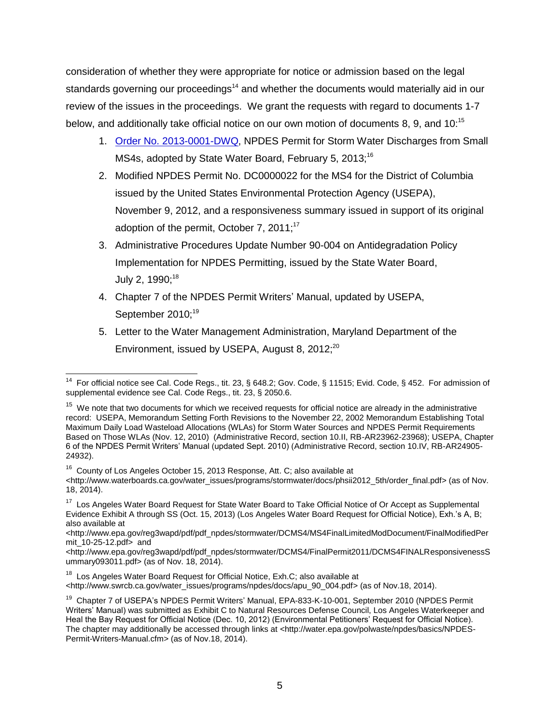consideration of whether they were appropriate for notice or admission based on the legal standards governing our proceedings<sup>14</sup> and whether the documents would materially aid in our review of the issues in the proceedings. We grant the requests with regard to documents 1-7 below, and additionally take official notice on our own motion of documents 8, 9, and 10:<sup>15</sup>

- 1. Order [No. 2013-0001-DWQ,](http://www.waterboards.ca.gov/board_decisions/adopted_orders/water_quality/2013/wqo2013_0001dwq.pdf) NPDES Permit for Storm Water Discharges from Small MS4s, adopted by State Water Board, February 5, 2013;<sup>16</sup>
- 2. Modified NPDES Permit No. DC0000022 for the MS4 for the District of Columbia issued by the United States Environmental Protection Agency (USEPA), November 9, 2012, and a responsiveness summary issued in support of its original adoption of the permit, October 7, 2011; $^{17}$
- 3. Administrative Procedures Update Number 90-004 on Antidegradation Policy Implementation for NPDES Permitting, issued by the State Water Board, July 2, 1990;<sup>18</sup>
- 4. Chapter 7 of the NPDES Permit Writers' Manual, updated by USEPA, September 2010:<sup>19</sup>
- 5. Letter to the Water Management Administration, Maryland Department of the Environment, issued by USEPA, August 8,  $2012$ ; $^{20}$

 <sup>14</sup> For official notice see Cal. Code Regs., tit. 23, § 648.2; Gov. Code, § 11515; Evid. Code, § 452. For admission of supplemental evidence see Cal. Code Regs., tit. 23, § 2050.6.

<sup>&</sup>lt;sup>15</sup> We note that two documents for which we received requests for official notice are already in the administrative record: USEPA, Memorandum Setting Forth Revisions to the November 22, 2002 Memorandum Establishing Total Maximum Daily Load Wasteload Allocations (WLAs) for Storm Water Sources and NPDES Permit Requirements Based on Those WLAs (Nov. 12, 2010) (Administrative Record, section 10.II, RB-AR23962-23968); USEPA, Chapter 6 of the NPDES Permit Writers' Manual (updated Sept. 2010) (Administrative Record, section 10.IV, RB-AR24905- 24932).

<sup>16</sup> County of Los Angeles October 15, 2013 Response, Att. C; also available at

[<sup>&</sup>lt;http://www.waterboards.ca.gov/water\\_issues/programs/stormwater/docs/phsii2012\\_5th/order\\_final.pdf>](http://www.waterboards.ca.gov/water_issues/programs/stormwater/docs/phsii2012_5th/order_final.pdf) (as of Nov. 18, 2014).

<sup>&</sup>lt;sup>17</sup> Los Angeles Water Board Request for State Water Board to Take Official Notice of Or Accept as Supplemental Evidence Exhibit A through SS (Oct. 15, 2013) (Los Angeles Water Board Request for Official Notice), Exh.'s A, B; also available at

<sup>&</sup>lt;http://www.epa.gov/reg3wapd/pdf/pdf\_npdes/stormwater/DCMS4/MS4FinalLimitedModDocument/FinalModifiedPer mit\_10-25-12.pdf> and

<sup>&</sup>lt;http://www.epa.gov/reg3wapd/pdf/pdf\_npdes/stormwater/DCMS4/FinalPermit2011/DCMS4FINALResponsivenessS ummary093011.pdf> (as of Nov. 18, 2014).

<sup>&</sup>lt;sup>18</sup> Los Angeles Water Board Request for Official Notice, Exh.C; also available at

[<sup>&</sup>lt;http://www.swrcb.ca.gov/water\\_issues/programs/npdes/docs/apu\\_90\\_004.pdf>](http://www.swrcb.ca.gov/water_issues/programs/npdes/docs/apu_90_004.pdf) (as of Nov.18, 2014).

<sup>&</sup>lt;sup>19</sup> Chapter 7 of USEPA's NPDES Permit Writers' Manual, EPA-833-K-10-001, September 2010 (NPDES Permit Writers' Manual) was submitted as Exhibit C to Natural Resources Defense Council, Los Angeles Waterkeeper and Heal the Bay Request for Official Notice (Dec. 10, 2012) (Environmental Petitioners' Request for Official Notice). The chapter may additionally be accessed through links at [<http://water.epa.gov/polwaste/npdes/basics/NPDES-](http://water.epa.gov/polwaste/npdes/basics/NPDES-Permit-Writers-Manual.cfm)[Permit-Writers-Manual.cfm>](http://water.epa.gov/polwaste/npdes/basics/NPDES-Permit-Writers-Manual.cfm) (as of Nov.18, 2014).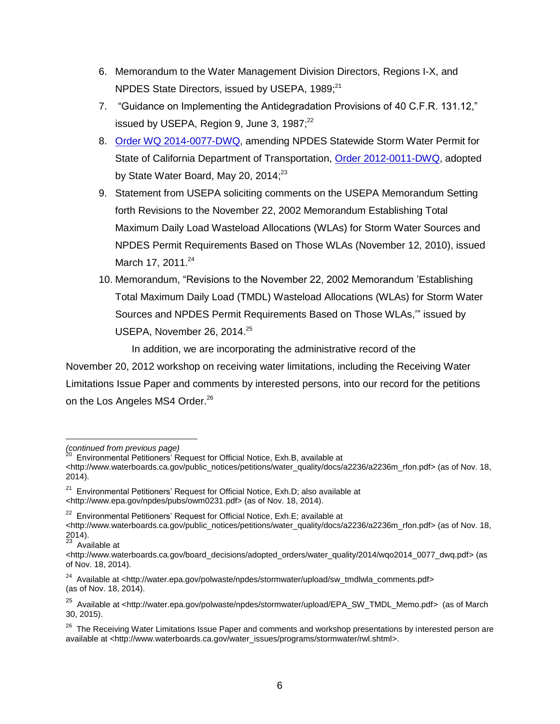- 6. Memorandum to the Water Management Division Directors, Regions I-X, and NPDES State Directors, issued by USEPA, 1989:<sup>21</sup>
- 7. "Guidance on Implementing the Antidegradation Provisions of 40 C.F.R. 131.12," issued by USEPA, Region 9, June 3, 1987; $^{22}$
- 8. [Order WQ 2014-0077-DWQ,](http://www.waterboards.ca.gov/board_decisions/adopted_orders/water_quality/2014/wqo2014_0077_dwq.pdf) amending NPDES Statewide Storm Water Permit for State of California Department of Transportation, [Order 2012-0011-DWQ,](http://www.waterboards.ca.gov/board_decisions/adopted_orders/water_quality/2012/wqo2012_0011_dwq.pdf) adopted by State Water Board, May 20, 2014;<sup>23</sup>
- 9. Statement from USEPA soliciting comments on the USEPA Memorandum Setting forth Revisions to the November 22, 2002 Memorandum Establishing Total Maximum Daily Load Wasteload Allocations (WLAs) for Storm Water Sources and NPDES Permit Requirements Based on Those WLAs (November 12, 2010), issued March 17, 2011.<sup>24</sup>
- 10. Memorandum, "Revisions to the November 22, 2002 Memorandum 'Establishing Total Maximum Daily Load (TMDL) Wasteload Allocations (WLAs) for Storm Water Sources and NPDES Permit Requirements Based on Those WLAs,'" issued by USEPA, November 26, 2014.<sup>25</sup>

In addition, we are incorporating the administrative record of the

November 20, 2012 workshop on receiving water limitations, including the Receiving Water Limitations Issue Paper and comments by interested persons, into our record for the petitions on the Los Angeles MS4 Order.<sup>26</sup>

<sup>23</sup> Available at

*<sup>(</sup>continued from previous page)*

<sup>&</sup>lt;sup>20</sup> Environmental Petitioners' Request for Official Notice, Exh.B, available at

<sup>&</sup>lt;http://www.waterboards.ca.gov/public\_notices/petitions/water\_quality/docs/a2236/a2236m\_rfon.pdf> (as of Nov. 18, 2014).

 $21$  Environmental Petitioners' Request for Official Notice, Exh.D; also available at [<http://www.epa.gov/npdes/pubs/owm0231.pdf>](http://www.epa.gov/npdes/pubs/owm0231.pdf) (as of Nov. 18, 2014).

<sup>&</sup>lt;sup>22</sup> Environmental Petitioners' Request for Official Notice, Exh.E; available at

[<sup>&</sup>lt;http://www.waterboards.ca.gov/public\\_notices/petitions/water\\_quality/docs/a2236/a2236m\\_rfon.pdf>](http://www.waterboards.ca.gov/public_notices/petitions/water_quality/docs/a2236/a2236m_rfon.pdf) (as of Nov. 18, 2014).

[<sup>&</sup>lt;http://www.waterboards.ca.gov/board\\_decisions/adopted\\_orders/water\\_quality/2014/wqo2014\\_0077\\_dwq.pdf>](http://www.waterboards.ca.gov/board_decisions/adopted_orders/water_quality/2014/wqo2014_0077_dwq.pdf) (as of Nov. 18, 2014).

<sup>&</sup>lt;sup>24</sup> Available at [<http://water.epa.gov/polwaste/npdes/stormwater/upload/sw\\_tmdlwla\\_comments.pdf>](http://water.epa.gov/polwaste/npdes/stormwater/upload/sw_tmdlwla_comments.pdf) (as of Nov. 18, 2014).

<sup>&</sup>lt;sup>25</sup> Available at <http://water.epa.gov/polwaste/npdes/stormwater/upload/EPA\_SW\_TMDL\_Memo.pdf> (as of March 30, 2015).

<sup>&</sup>lt;sup>26</sup> The Receiving Water Limitations Issue Paper and comments and workshop presentations by interested person are available at [<http://www.waterboards.ca.gov/water\\_issues/programs/stormwater/rwl.shtml>](http://www.waterboards.ca.gov/water_issues/programs/stormwater/rwl.shtml).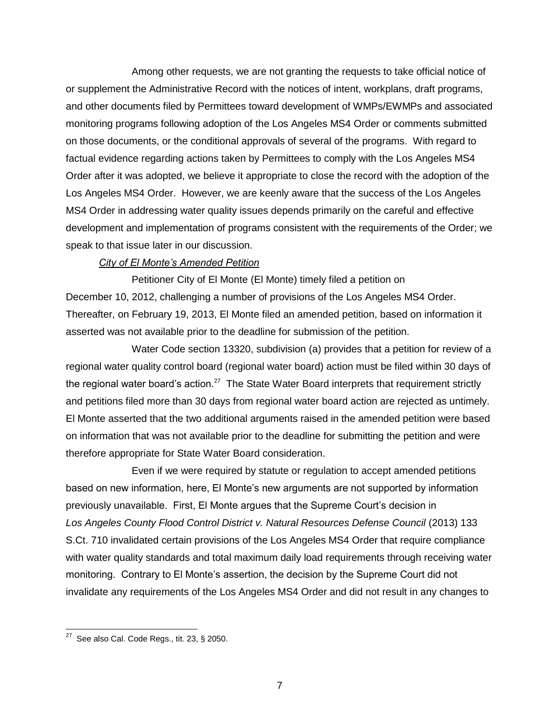Among other requests, we are not granting the requests to take official notice of or supplement the Administrative Record with the notices of intent, workplans, draft programs, and other documents filed by Permittees toward development of WMPs/EWMPs and associated monitoring programs following adoption of the Los Angeles MS4 Order or comments submitted on those documents, or the conditional approvals of several of the programs. With regard to factual evidence regarding actions taken by Permittees to comply with the Los Angeles MS4 Order after it was adopted, we believe it appropriate to close the record with the adoption of the Los Angeles MS4 Order. However, we are keenly aware that the success of the Los Angeles MS4 Order in addressing water quality issues depends primarily on the careful and effective development and implementation of programs consistent with the requirements of the Order; we speak to that issue later in our discussion.

#### *City of El Monte's Amended Petition*

Petitioner City of El Monte (El Monte) timely filed a petition on December 10, 2012, challenging a number of provisions of the Los Angeles MS4 Order. Thereafter, on February 19, 2013, El Monte filed an amended petition, based on information it asserted was not available prior to the deadline for submission of the petition.

Water Code section 13320, subdivision (a) provides that a petition for review of a regional water quality control board (regional water board) action must be filed within 30 days of the regional water board's action.<sup>27</sup> The State Water Board interprets that requirement strictly and petitions filed more than 30 days from regional water board action are rejected as untimely. El Monte asserted that the two additional arguments raised in the amended petition were based on information that was not available prior to the deadline for submitting the petition and were therefore appropriate for State Water Board consideration.

Even if we were required by statute or regulation to accept amended petitions based on new information, here, El Monte's new arguments are not supported by information previously unavailable. First, El Monte argues that the Supreme Court's decision in Los Angeles County Flood Control District v. Natural Resources Defense Council (2013) 133 S.Ct. 710 invalidated certain provisions of the Los Angeles MS4 Order that require compliance with water quality standards and total maximum daily load requirements through receiving water monitoring. Contrary to El Monte's assertion, the decision by the Supreme Court did not invalidate any requirements of the Los Angeles MS4 Order and did not result in any changes to

 $\overline{\phantom{a}}$  $27$  See also Cal. Code Regs., tit. 23, § 2050.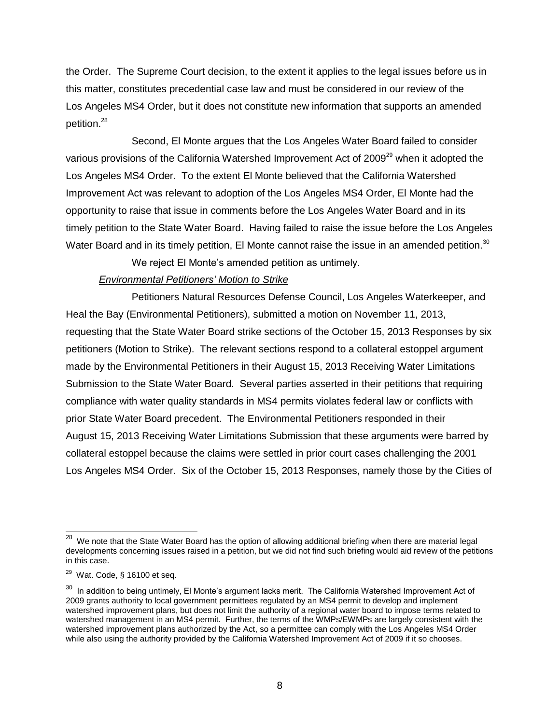the Order. The Supreme Court decision, to the extent it applies to the legal issues before us in this matter, constitutes precedential case law and must be considered in our review of the Los Angeles MS4 Order, but it does not constitute new information that supports an amended petition.<sup>28</sup>

Second, El Monte argues that the Los Angeles Water Board failed to consider various provisions of the California Watershed Improvement Act of 2009<sup>29</sup> when it adopted the Los Angeles MS4 Order. To the extent El Monte believed that the California Watershed Improvement Act was relevant to adoption of the Los Angeles MS4 Order, El Monte had the opportunity to raise that issue in comments before the Los Angeles Water Board and in its timely petition to the State Water Board. Having failed to raise the issue before the Los Angeles Water Board and in its timely petition, El Monte cannot raise the issue in an amended petition.<sup>30</sup>

We reject El Monte's amended petition as untimely.

## *Environmental Petitioners' Motion to Strike*

Petitioners Natural Resources Defense Council, Los Angeles Waterkeeper, and Heal the Bay (Environmental Petitioners), submitted a motion on November 11, 2013, requesting that the State Water Board strike sections of the October 15, 2013 Responses by six petitioners (Motion to Strike). The relevant sections respond to a collateral estoppel argument made by the Environmental Petitioners in their August 15, 2013 Receiving Water Limitations Submission to the State Water Board. Several parties asserted in their petitions that requiring compliance with water quality standards in MS4 permits violates federal law or conflicts with prior State Water Board precedent. The Environmental Petitioners responded in their August 15, 2013 Receiving Water Limitations Submission that these arguments were barred by collateral estoppel because the claims were settled in prior court cases challenging the 2001 Los Angeles MS4 Order. Six of the October 15, 2013 Responses, namely those by the Cities of

 28 We note that the State Water Board has the option of allowing additional briefing when there are material legal developments concerning issues raised in a petition, but we did not find such briefing would aid review of the petitions in this case.

 $29$  Wat. Code, § 16100 et seq.

 $30$  In addition to being untimely, El Monte's argument lacks merit. The California Watershed Improvement Act of 2009 grants authority to local government permittees regulated by an MS4 permit to develop and implement watershed improvement plans, but does not limit the authority of a regional water board to impose terms related to watershed management in an MS4 permit. Further, the terms of the WMPs/EWMPs are largely consistent with the watershed improvement plans authorized by the Act, so a permittee can comply with the Los Angeles MS4 Order while also using the authority provided by the California Watershed Improvement Act of 2009 if it so chooses.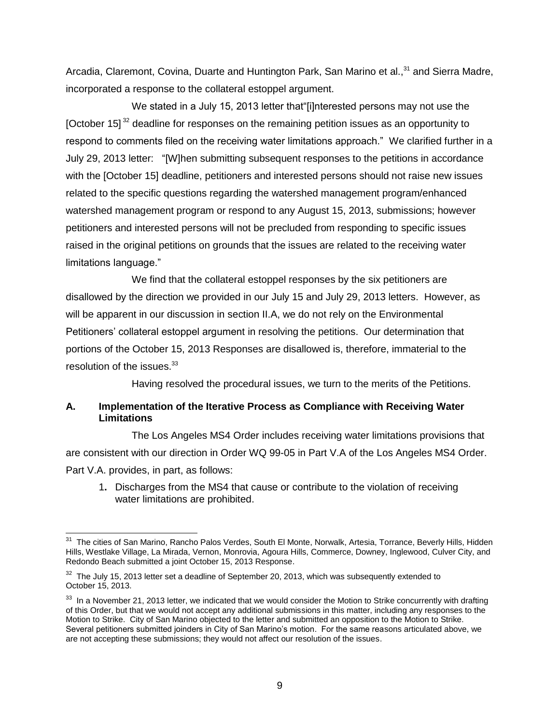Arcadia, Claremont, Covina, Duarte and Huntington Park, San Marino et al.,<sup>31</sup> and Sierra Madre, incorporated a response to the collateral estoppel argument.

We stated in a July 15, 2013 letter that"[i]nterested persons may not use the [October 15]  $32$  deadline for responses on the remaining petition issues as an opportunity to respond to comments filed on the receiving water limitations approach." We clarified further in a July 29, 2013 letter: "[W]hen submitting subsequent responses to the petitions in accordance with the [October 15] deadline, petitioners and interested persons should not raise new issues related to the specific questions regarding the watershed management program/enhanced watershed management program or respond to any August 15, 2013, submissions; however petitioners and interested persons will not be precluded from responding to specific issues raised in the original petitions on grounds that the issues are related to the receiving water limitations language."

We find that the collateral estoppel responses by the six petitioners are disallowed by the direction we provided in our July 15 and July 29, 2013 letters. However, as will be apparent in our discussion in section II.A, we do not rely on the Environmental Petitioners' collateral estoppel argument in resolving the petitions. Our determination that portions of the October 15, 2013 Responses are disallowed is, therefore, immaterial to the resolution of the issues.<sup>33</sup>

Having resolved the procedural issues, we turn to the merits of the Petitions.

### **A. Implementation of the Iterative Process as Compliance with Receiving Water Limitations**

The Los Angeles MS4 Order includes receiving water limitations provisions that are consistent with our direction in Order WQ 99-05 in Part V.A of the Los Angeles MS4 Order. Part V.A. provides, in part, as follows:

1**.** Discharges from the MS4 that cause or contribute to the violation of receiving water limitations are prohibited.

 <sup>31</sup> The cities of San Marino, Rancho Palos Verdes, South El Monte, Norwalk, Artesia, Torrance, Beverly Hills, Hidden Hills, Westlake Village, La Mirada, Vernon, Monrovia, Agoura Hills, Commerce, Downey, Inglewood, Culver City, and Redondo Beach submitted a joint October 15, 2013 Response.

 $32$  The July 15, 2013 letter set a deadline of September 20, 2013, which was subsequently extended to October 15, 2013.

 $33$  In a November 21, 2013 letter, we indicated that we would consider the Motion to Strike concurrently with drafting of this Order, but that we would not accept any additional submissions in this matter, including any responses to the Motion to Strike. City of San Marino objected to the letter and submitted an opposition to the Motion to Strike. Several petitioners submitted joinders in City of San Marino's motion. For the same reasons articulated above, we are not accepting these submissions; they would not affect our resolution of the issues.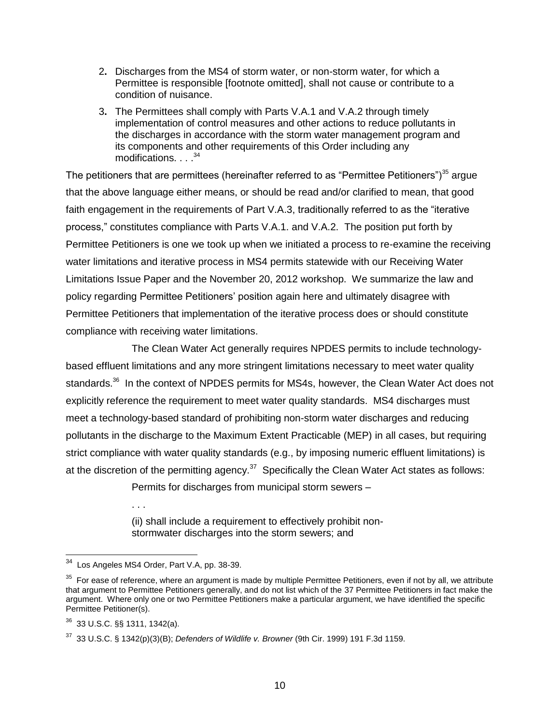- 2**.** Discharges from the MS4 of storm water, or non-storm water, for which a Permittee is responsible [footnote omitted], shall not cause or contribute to a condition of nuisance.
- 3**.** The Permittees shall comply with Parts V.A.1 and V.A.2 through timely implementation of control measures and other actions to reduce pollutants in the discharges in accordance with the storm water management program and its components and other requirements of this Order including any modifications. . . . <sup>34</sup>

The petitioners that are permittees (hereinafter referred to as "Permittee Petitioners")<sup>35</sup> argue that the above language either means, or should be read and/or clarified to mean, that good faith engagement in the requirements of Part V.A.3, traditionally referred to as the "iterative process," constitutes compliance with Parts V.A.1. and V.A.2. The position put forth by Permittee Petitioners is one we took up when we initiated a process to re-examine the receiving water limitations and iterative process in MS4 permits statewide with our Receiving Water Limitations Issue Paper and the November 20, 2012 workshop. We summarize the law and policy regarding Permittee Petitioners' position again here and ultimately disagree with Permittee Petitioners that implementation of the iterative process does or should constitute compliance with receiving water limitations.

The Clean Water Act generally requires NPDES permits to include technologybased effluent limitations and any more stringent limitations necessary to meet water quality standards.<sup>36</sup> In the context of NPDES permits for MS4s, however, the Clean Water Act does not explicitly reference the requirement to meet water quality standards. MS4 discharges must meet a technology-based standard of prohibiting non-storm water discharges and reducing pollutants in the discharge to the Maximum Extent Practicable (MEP) in all cases, but requiring strict compliance with water quality standards (e.g., by imposing numeric effluent limitations) is at the discretion of the permitting agency.<sup>37</sup> Specifically the Clean Water Act states as follows:

Permits for discharges from municipal storm sewers –

(ii) shall include a requirement to effectively prohibit nonstormwater discharges into the storm sewers; and

. . .

 34 Los Angeles MS4 Order, Part V.A, pp. 38-39.

 $35$  For ease of reference, where an argument is made by multiple Permittee Petitioners, even if not by all, we attribute that argument to Permittee Petitioners generally, and do not list which of the 37 Permittee Petitioners in fact make the argument. Where only one or two Permittee Petitioners make a particular argument, we have identified the specific Permittee Petitioner(s).

<sup>36</sup> 33 U.S.C. §§ 1311, 1342(a).

<sup>37</sup> 33 U.S.C. § 1342(p)(3)(B); *Defenders of Wildlife v. Browner* (9th Cir. 1999) 191 F.3d 1159.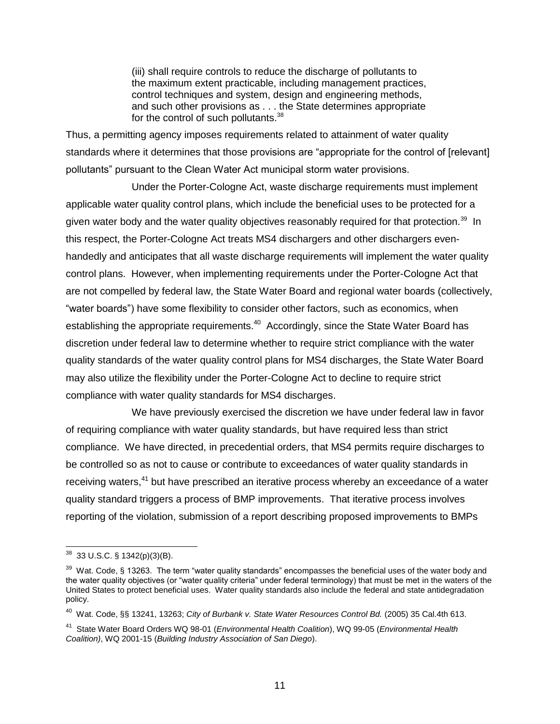(iii) shall require controls to reduce the discharge of pollutants to the maximum extent practicable, including management practices, control techniques and system, design and engineering methods, and such other provisions as . . . the State determines appropriate for the control of such pollutants.<sup>38</sup>

Thus, a permitting agency imposes requirements related to attainment of water quality standards where it determines that those provisions are "appropriate for the control of [relevant] pollutants" pursuant to the Clean Water Act municipal storm water provisions.

Under the Porter-Cologne Act, waste discharge requirements must implement applicable water quality control plans, which include the beneficial uses to be protected for a given water body and the water quality objectives reasonably required for that protection.<sup>39</sup> In this respect, the Porter-Cologne Act treats MS4 dischargers and other dischargers evenhandedly and anticipates that all waste discharge requirements will implement the water quality control plans. However, when implementing requirements under the Porter-Cologne Act that are not compelled by federal law, the State Water Board and regional water boards (collectively, "water boards") have some flexibility to consider other factors, such as economics, when establishing the appropriate requirements.<sup>40</sup> Accordingly, since the State Water Board has discretion under federal law to determine whether to require strict compliance with the water quality standards of the water quality control plans for MS4 discharges, the State Water Board may also utilize the flexibility under the Porter-Cologne Act to decline to require strict compliance with water quality standards for MS4 discharges.

We have previously exercised the discretion we have under federal law in favor of requiring compliance with water quality standards, but have required less than strict compliance. We have directed, in precedential orders, that MS4 permits require discharges to be controlled so as not to cause or contribute to exceedances of water quality standards in receiving waters,<sup>41</sup> but have prescribed an iterative process whereby an exceedance of a water quality standard triggers a process of BMP improvements. That iterative process involves reporting of the violation, submission of a report describing proposed improvements to BMPs

  $38$  33 U.S.C. § 1342(p)(3)(B).

 $39$  Wat. Code, § 13263. The term "water quality standards" encompasses the beneficial uses of the water body and the water quality objectives (or "water quality criteria" under federal terminology) that must be met in the waters of the United States to protect beneficial uses. Water quality standards also include the federal and state antidegradation policy.

<sup>40</sup> Wat. Code, §§ 13241, 13263; *City of Burbank v. State Water Resources Control Bd.* (2005) 35 Cal.4th 613.

<sup>41</sup> State Water Board Orders WQ 98-01 (*Environmental Health Coalition*), WQ 99-05 (*Environmental Health Coalition)*, WQ 2001-15 (*Building Industry Association of San Diego*).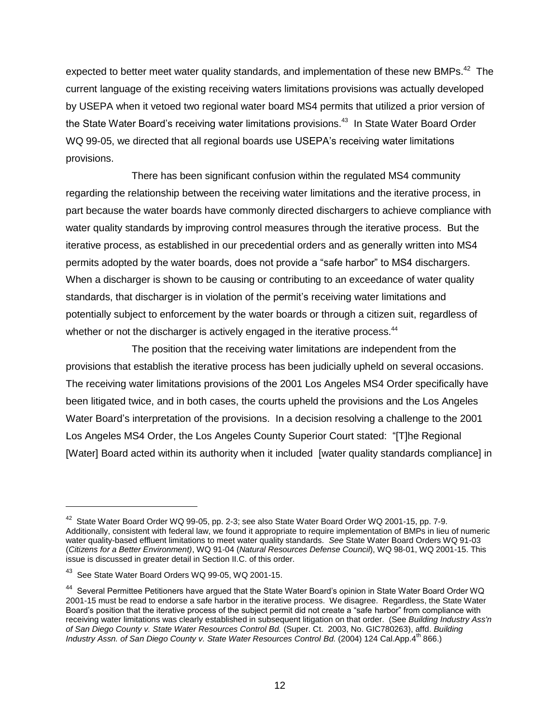expected to better meet water quality standards, and implementation of these new BMPs.<sup>42</sup> The current language of the existing receiving waters limitations provisions was actually developed by USEPA when it vetoed two regional water board MS4 permits that utilized a prior version of the State Water Board's receiving water limitations provisions.<sup>43</sup> In State Water Board Order WQ 99-05, we directed that all regional boards use USEPA's receiving water limitations provisions.

There has been significant confusion within the regulated MS4 community regarding the relationship between the receiving water limitations and the iterative process, in part because the water boards have commonly directed dischargers to achieve compliance with water quality standards by improving control measures through the iterative process. But the iterative process, as established in our precedential orders and as generally written into MS4 permits adopted by the water boards, does not provide a "safe harbor" to MS4 dischargers. When a discharger is shown to be causing or contributing to an exceedance of water quality standards, that discharger is in violation of the permit's receiving water limitations and potentially subject to enforcement by the water boards or through a citizen suit, regardless of whether or not the discharger is actively engaged in the iterative process.<sup>44</sup>

The position that the receiving water limitations are independent from the provisions that establish the iterative process has been judicially upheld on several occasions. The receiving water limitations provisions of the 2001 Los Angeles MS4 Order specifically have been litigated twice, and in both cases, the courts upheld the provisions and the Los Angeles Water Board's interpretation of the provisions. In a decision resolving a challenge to the 2001 Los Angeles MS4 Order, the Los Angeles County Superior Court stated: "[T]he Regional [Water] Board acted within its authority when it included [water quality standards compliance] in

<sup>&</sup>lt;sup>42</sup> State Water Board Order WQ 99-05, pp. 2-3; see also State Water Board Order WQ 2001-15, pp. 7-9. Additionally, consistent with federal law, we found it appropriate to require implementation of BMPs in lieu of numeric water quality-based effluent limitations to meet water quality standards. *See* State Water Board Orders WQ 91-03 (*Citizens for a Better Environment)*, WQ 91-04 (*Natural Resources Defense Council*), WQ 98-01, WQ 2001-15. This issue is discussed in greater detail in Section II.C. of this order.

 $^{43}$  See State Water Board Orders WQ 99-05, WQ 2001-15.

<sup>&</sup>lt;sup>44</sup> Several Permittee Petitioners have argued that the State Water Board's opinion in State Water Board Order WQ 2001-15 must be read to endorse a safe harbor in the iterative process. We disagree. Regardless, the State Water Board's position that the iterative process of the subject permit did not create a "safe harbor" from compliance with receiving water limitations was clearly established in subsequent litigation on that order. (See *Building Industry Ass'n of San Diego County v. State Water Resources Control Bd.* (Super. Ct. 2003, No. GIC780263), affd. *Building Industry Assn. of San Diego County v. State Water Resources Control Bd.* (2004) 124 Cal.App.4<sup>th</sup> 866.)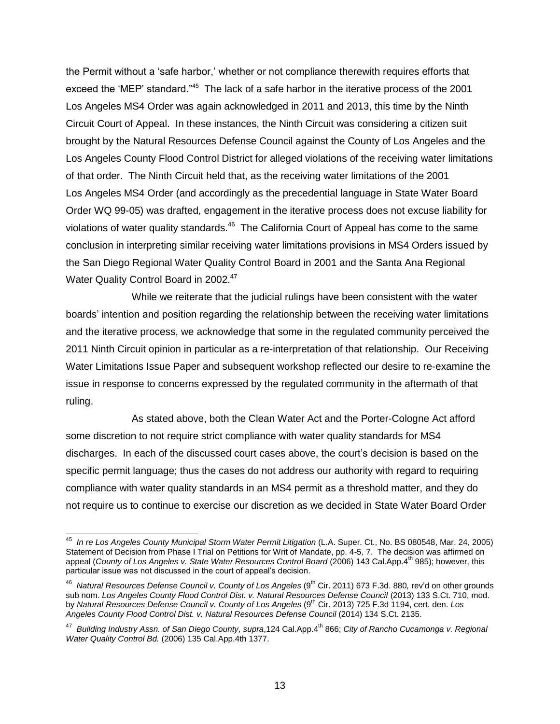the Permit without a 'safe harbor,' whether or not compliance therewith requires efforts that exceed the 'MEP' standard."<sup>45</sup> The lack of a safe harbor in the iterative process of the 2001 Los Angeles MS4 Order was again acknowledged in 2011 and 2013, this time by the Ninth Circuit Court of Appeal. In these instances, the Ninth Circuit was considering a citizen suit brought by the Natural Resources Defense Council against the County of Los Angeles and the Los Angeles County Flood Control District for alleged violations of the receiving water limitations of that order. The Ninth Circuit held that, as the receiving water limitations of the 2001 Los Angeles MS4 Order (and accordingly as the precedential language in State Water Board Order WQ 99-05) was drafted, engagement in the iterative process does not excuse liability for violations of water quality standards.<sup>46</sup> The California Court of Appeal has come to the same conclusion in interpreting similar receiving water limitations provisions in MS4 Orders issued by the San Diego Regional Water Quality Control Board in 2001 and the Santa Ana Regional Water Quality Control Board in 2002.<sup>47</sup>

While we reiterate that the judicial rulings have been consistent with the water boards' intention and position regarding the relationship between the receiving water limitations and the iterative process, we acknowledge that some in the regulated community perceived the 2011 Ninth Circuit opinion in particular as a re-interpretation of that relationship. Our Receiving Water Limitations Issue Paper and subsequent workshop reflected our desire to re-examine the issue in response to concerns expressed by the regulated community in the aftermath of that ruling.

As stated above, both the Clean Water Act and the Porter-Cologne Act afford some discretion to not require strict compliance with water quality standards for MS4 discharges. In each of the discussed court cases above, the court's decision is based on the specific permit language; thus the cases do not address our authority with regard to requiring compliance with water quality standards in an MS4 permit as a threshold matter, and they do not require us to continue to exercise our discretion as we decided in State Water Board Order

 45 *In re Los Angeles County Municipal Storm Water Permit Litigation* (L.A. Super. Ct., No. BS 080548, Mar. 24, 2005) Statement of Decision from Phase I Trial on Petitions for Writ of Mandate, pp. 4-5, 7. The decision was affirmed on appeal (*County of Los Angeles v. State Water Resources Control Board* (2006) 143 Cal.App.4<sup>th</sup> 985); however, this particular issue was not discussed in the court of appeal's decision.

<sup>&</sup>lt;sup>46</sup> Natural Resources Defense Council v. County of Los Angeles (9<sup>th</sup> Cir. 2011) 673 F.3d. 880, rev'd on other grounds sub nom. Los Angeles County Flood Control Dist. v. Natural Resources Defense Council (2013) 133 S.Ct. 710, mod. by *Natural Resources Defense Council v. County of Los Angeles* (9<sup>th</sup> Cir. 2013) 725 F.3d 1194, cert. den. Los *Angeles County Flood Control Dist. v. Natural Resources Defense Council* (2014) 134 S.Ct. 2135.

<sup>47</sup> *Building Industry Assn. of San Diego County, supra*,124 Cal.App.4th 866; *City of Rancho Cucamonga v. Regional Water Quality Control Bd.* (2006) 135 Cal.App.4th 1377.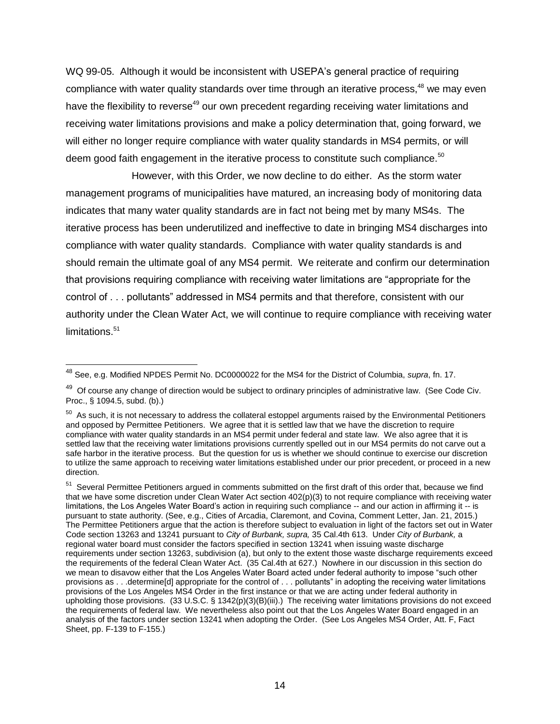WQ 99-05. Although it would be inconsistent with USEPA's general practice of requiring compliance with water quality standards over time through an iterative process,<sup>48</sup> we may even have the flexibility to reverse<sup>49</sup> our own precedent regarding receiving water limitations and receiving water limitations provisions and make a policy determination that, going forward, we will either no longer require compliance with water quality standards in MS4 permits, or will deem good faith engagement in the iterative process to constitute such compliance.<sup>50</sup>

However, with this Order, we now decline to do either. As the storm water management programs of municipalities have matured, an increasing body of monitoring data indicates that many water quality standards are in fact not being met by many MS4s. The iterative process has been underutilized and ineffective to date in bringing MS4 discharges into compliance with water quality standards. Compliance with water quality standards is and should remain the ultimate goal of any MS4 permit. We reiterate and confirm our determination that provisions requiring compliance with receiving water limitations are "appropriate for the control of . . . pollutants" addressed in MS4 permits and that therefore, consistent with our authority under the Clean Water Act, we will continue to require compliance with receiving water limitations.<sup>51</sup>

 $\overline{\phantom{a}}$ 

<sup>48</sup> See, e.g. Modified NPDES Permit No. DC0000022 for the MS4 for the District of Columbia, *supra*, fn. 17.

<sup>&</sup>lt;sup>49</sup> Of course any change of direction would be subject to ordinary principles of administrative law. (See Code Civ. Proc., § 1094.5, subd. (b).)

 $50$  As such, it is not necessary to address the collateral estoppel arguments raised by the Environmental Petitioners and opposed by Permittee Petitioners. We agree that it is settled law that we have the discretion to require compliance with water quality standards in an MS4 permit under federal and state law. We also agree that it is settled law that the receiving water limitations provisions currently spelled out in our MS4 permits do not carve out a safe harbor in the iterative process. But the question for us is whether we should continue to exercise our discretion to utilize the same approach to receiving water limitations established under our prior precedent, or proceed in a new direction.

<sup>&</sup>lt;sup>51</sup> Several Permittee Petitioners argued in comments submitted on the first draft of this order that, because we find that we have some discretion under Clean Water Act section 402(p)(3) to not require compliance with receiving water limitations, the Los Angeles Water Board's action in requiring such compliance -- and our action in affirming it -- is pursuant to state authority. (See, e.g., Cities of Arcadia, Claremont, and Covina, Comment Letter, Jan. 21, 2015.) The Permittee Petitioners argue that the action is therefore subject to evaluation in light of the factors set out in Water Code section 13263 and 13241 pursuant to *City of Burbank, supra,* 35 Cal.4th 613. Under *City of Burbank,* a regional water board must consider the factors specified in section 13241 when issuing waste discharge requirements under section 13263, subdivision (a), but only to the extent those waste discharge requirements exceed the requirements of the federal Clean Water Act. (35 Cal.4th at 627.) Nowhere in our discussion in this section do we mean to disavow either that the Los Angeles Water Board acted under federal authority to impose "such other provisions as . . .determine[d] appropriate for the control of . . . pollutants" in adopting the receiving water limitations provisions of the Los Angeles MS4 Order in the first instance or that we are acting under federal authority in upholding those provisions. (33 U.S.C. § 1342(p)(3)(B)(iii).) The receiving water limitations provisions do not exceed the requirements of federal law. We nevertheless also point out that the Los Angeles Water Board engaged in an analysis of the factors under section 13241 when adopting the Order. (See Los Angeles MS4 Order, Att. F, Fact Sheet, pp. F-139 to F-155.)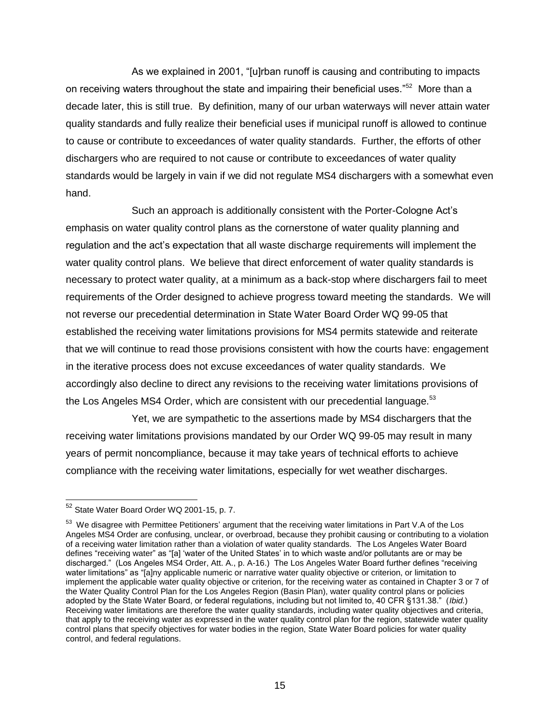As we explained in 2001, "[u]rban runoff is causing and contributing to impacts on receiving waters throughout the state and impairing their beneficial uses."<sup>52</sup> More than a decade later, this is still true. By definition, many of our urban waterways will never attain water quality standards and fully realize their beneficial uses if municipal runoff is allowed to continue to cause or contribute to exceedances of water quality standards. Further, the efforts of other dischargers who are required to not cause or contribute to exceedances of water quality standards would be largely in vain if we did not regulate MS4 dischargers with a somewhat even hand.

Such an approach is additionally consistent with the Porter-Cologne Act's emphasis on water quality control plans as the cornerstone of water quality planning and regulation and the act's expectation that all waste discharge requirements will implement the water quality control plans. We believe that direct enforcement of water quality standards is necessary to protect water quality, at a minimum as a back-stop where dischargers fail to meet requirements of the Order designed to achieve progress toward meeting the standards. We will not reverse our precedential determination in State Water Board Order WQ 99-05 that established the receiving water limitations provisions for MS4 permits statewide and reiterate that we will continue to read those provisions consistent with how the courts have: engagement in the iterative process does not excuse exceedances of water quality standards. We accordingly also decline to direct any revisions to the receiving water limitations provisions of the Los Angeles MS4 Order, which are consistent with our precedential language.<sup>53</sup>

Yet, we are sympathetic to the assertions made by MS4 dischargers that the receiving water limitations provisions mandated by our Order WQ 99-05 may result in many years of permit noncompliance, because it may take years of technical efforts to achieve compliance with the receiving water limitations, especially for wet weather discharges.

 $52$  State Water Board Order WQ 2001-15, p. 7.

 $53$  We disagree with Permittee Petitioners' argument that the receiving water limitations in Part V.A of the Los Angeles MS4 Order are confusing, unclear, or overbroad, because they prohibit causing or contributing to a violation of a receiving water limitation rather than a violation of water quality standards. The Los Angeles Water Board defines "receiving water" as "[a] 'water of the United States' in to which waste and/or pollutants are or may be discharged." (Los Angeles MS4 Order, Att. A., p. A-16.) The Los Angeles Water Board further defines "receiving water limitations" as "[a]ny applicable numeric or narrative water quality objective or criterion, or limitation to implement the applicable water quality objective or criterion, for the receiving water as contained in Chapter 3 or 7 of the Water Quality Control Plan for the Los Angeles Region (Basin Plan), water quality control plans or policies adopted by the State Water Board, or federal regulations, including but not limited to, 40 CFR §131.38." (*Ibid.*) Receiving water limitations are therefore the water quality standards, including water quality objectives and criteria, that apply to the receiving water as expressed in the water quality control plan for the region, statewide water quality control plans that specify objectives for water bodies in the region, State Water Board policies for water quality control, and federal regulations.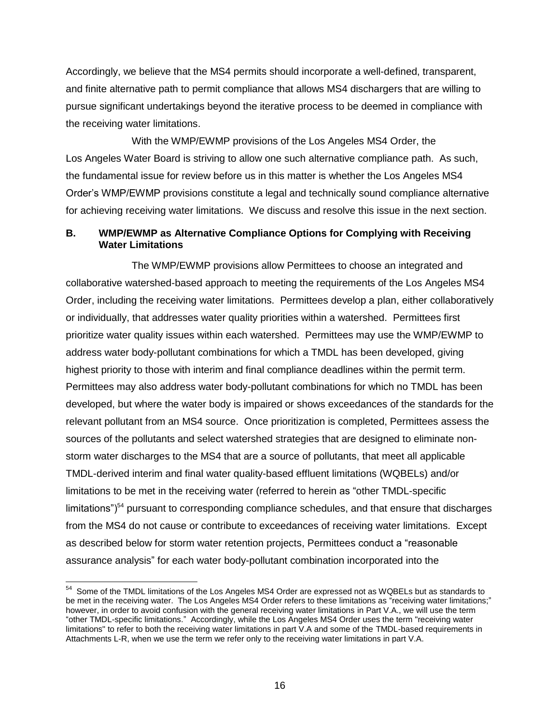Accordingly, we believe that the MS4 permits should incorporate a well-defined, transparent, and finite alternative path to permit compliance that allows MS4 dischargers that are willing to pursue significant undertakings beyond the iterative process to be deemed in compliance with the receiving water limitations.

With the WMP/EWMP provisions of the Los Angeles MS4 Order, the Los Angeles Water Board is striving to allow one such alternative compliance path. As such, the fundamental issue for review before us in this matter is whether the Los Angeles MS4 Order's WMP/EWMP provisions constitute a legal and technically sound compliance alternative for achieving receiving water limitations. We discuss and resolve this issue in the next section.

# **B. WMP/EWMP as Alternative Compliance Options for Complying with Receiving Water Limitations**

The WMP/EWMP provisions allow Permittees to choose an integrated and collaborative watershed-based approach to meeting the requirements of the Los Angeles MS4 Order, including the receiving water limitations. Permittees develop a plan, either collaboratively or individually, that addresses water quality priorities within a watershed. Permittees first prioritize water quality issues within each watershed. Permittees may use the WMP/EWMP to address water body-pollutant combinations for which a TMDL has been developed, giving highest priority to those with interim and final compliance deadlines within the permit term. Permittees may also address water body-pollutant combinations for which no TMDL has been developed, but where the water body is impaired or shows exceedances of the standards for the relevant pollutant from an MS4 source. Once prioritization is completed, Permittees assess the sources of the pollutants and select watershed strategies that are designed to eliminate nonstorm water discharges to the MS4 that are a source of pollutants, that meet all applicable TMDL-derived interim and final water quality-based effluent limitations (WQBELs) and/or limitations to be met in the receiving water (referred to herein as "other TMDL-specific limitations" $154$  pursuant to corresponding compliance schedules, and that ensure that discharges from the MS4 do not cause or contribute to exceedances of receiving water limitations. Except as described below for storm water retention projects, Permittees conduct a "reasonable assurance analysis" for each water body-pollutant combination incorporated into the

 $54$  Some of the TMDL limitations of the Los Angeles MS4 Order are expressed not as WQBELs but as standards to be met in the receiving water. The Los Angeles MS4 Order refers to these limitations as "receiving water limitations;" however, in order to avoid confusion with the general receiving water limitations in Part V.A., we will use the term "other TMDL-specific limitations." Accordingly, while the Los Angeles MS4 Order uses the term "receiving water limitations" to refer to both the receiving water limitations in part V.A and some of the TMDL-based requirements in Attachments L-R, when we use the term we refer only to the receiving water limitations in part V.A.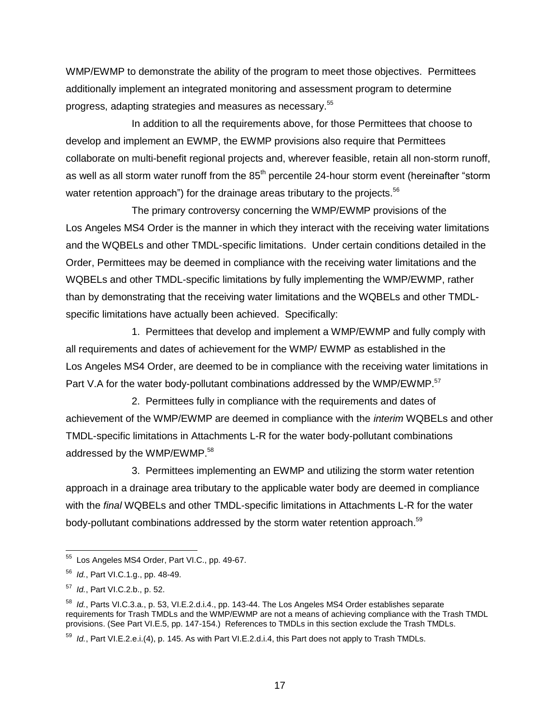WMP/EWMP to demonstrate the ability of the program to meet those objectives. Permittees additionally implement an integrated monitoring and assessment program to determine progress, adapting strategies and measures as necessary.<sup>55</sup>

In addition to all the requirements above, for those Permittees that choose to develop and implement an EWMP, the EWMP provisions also require that Permittees collaborate on multi-benefit regional projects and, wherever feasible, retain all non-storm runoff, as well as all storm water runoff from the  $85<sup>th</sup>$  percentile 24-hour storm event (hereinafter "storm water retention approach") for the drainage areas tributary to the projects. $56$ 

The primary controversy concerning the WMP/EWMP provisions of the Los Angeles MS4 Order is the manner in which they interact with the receiving water limitations and the WQBELs and other TMDL-specific limitations. Under certain conditions detailed in the Order, Permittees may be deemed in compliance with the receiving water limitations and the WQBELs and other TMDL-specific limitations by fully implementing the WMP/EWMP, rather than by demonstrating that the receiving water limitations and the WQBELs and other TMDLspecific limitations have actually been achieved. Specifically:

1. Permittees that develop and implement a WMP/EWMP and fully comply with all requirements and dates of achievement for the WMP/ EWMP as established in the Los Angeles MS4 Order, are deemed to be in compliance with the receiving water limitations in Part V.A for the water body-pollutant combinations addressed by the WMP/EWMP.<sup>57</sup>

2. Permittees fully in compliance with the requirements and dates of achievement of the WMP/EWMP are deemed in compliance with the *interim* WQBELs and other TMDL-specific limitations in Attachments L-R for the water body-pollutant combinations addressed by the WMP/EWMP.<sup>58</sup>

3. Permittees implementing an EWMP and utilizing the storm water retention approach in a drainage area tributary to the applicable water body are deemed in compliance with the *final* WQBELs and other TMDL-specific limitations in Attachments L-R for the water body-pollutant combinations addressed by the storm water retention approach.<sup>59</sup>

<sup>&</sup>lt;sup>55</sup> Los Angeles MS4 Order, Part VI.C., pp. 49-67.

<sup>56</sup> *Id.*, Part VI.C.1.g., pp. 48-49.

<sup>57</sup> *Id.*, Part VI.C.2.b., p. 52.

<sup>58</sup> *Id.*, Parts VI.C.3.a., p. 53, VI.E.2.d.i.4., pp. 143-44. The Los Angeles MS4 Order establishes separate requirements for Trash TMDLs and the WMP/EWMP are not a means of achieving compliance with the Trash TMDL provisions. (See Part VI.E.5, pp. 147-154.) References to TMDLs in this section exclude the Trash TMDLs.

<sup>59</sup> *Id.*, Part VI.E.2.e.i.(4), p. 145. As with Part VI.E.2.d.i.4, this Part does not apply to Trash TMDLs.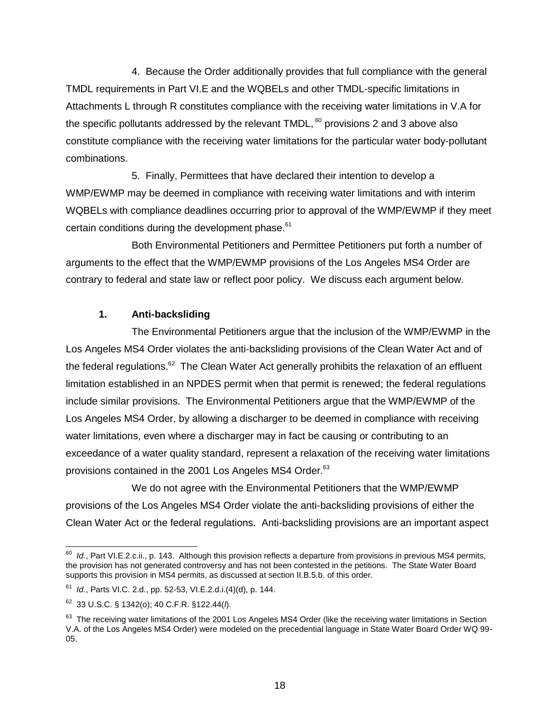4. Because the Order additionally provides that full compliance with the general TMDL requirements in Part VI.E and the WQBELs and other TMDL-specific limitations in Attachments L through R constitutes compliance with the receiving water limitations in V.A for the specific pollutants addressed by the relevant  $TMDL$ ,  $60$  provisions 2 and 3 above also constitute compliance with the receiving water limitations for the particular water body-pollutant combinations.

5. Finally, Permittees that have declared their intention to develop a WMP/EWMP may be deemed in compliance with receiving water limitations and with interim WQBELs with compliance deadlines occurring prior to approval of the WMP/EWMP if they meet certain conditions during the development phase.<sup>61</sup>

Both Environmental Petitioners and Permittee Petitioners put forth a number of arguments to the effect that the WMP/EWMP provisions of the Los Angeles MS4 Order are contrary to federal and state law or reflect poor policy. We discuss each argument below.

## **1. Anti-backsliding**

The Environmental Petitioners argue that the inclusion of the WMP/EWMP in the Los Angeles MS4 Order violates the anti-backsliding provisions of the Clean Water Act and of the federal regulations.<sup>62</sup> The Clean Water Act generally prohibits the relaxation of an effluent limitation established in an NPDES permit when that permit is renewed; the federal regulations include similar provisions. The Environmental Petitioners argue that the WMP/EWMP of the Los Angeles MS4 Order, by allowing a discharger to be deemed in compliance with receiving water limitations, even where a discharger may in fact be causing or contributing to an exceedance of a water quality standard, represent a relaxation of the receiving water limitations provisions contained in the 2001 Los Angeles MS4 Order.<sup>63</sup>

We do not agree with the Environmental Petitioners that the WMP/EWMP provisions of the Los Angeles MS4 Order violate the anti-backsliding provisions of either the Clean Water Act or the federal regulations. Anti-backsliding provisions are an important aspect

 <sup>60</sup> *Id.*, Part VI.E.2.c.ii., p. 143. Although this provision reflects a departure from provisions in previous MS4 permits, the provision has not generated controversy and has not been contested in the petitions. The State Water Board supports this provision in MS4 permits, as discussed at section II.B.5.b. of this order.

<sup>61</sup> *Id.*, Parts VI.C. 2.d., pp. 52-53, VI.E.2.d.i.(4)(d), p. 144.

<sup>62</sup> 33 U.S.C. § 1342(o); 40 C.F.R. §122.44(*l*).

<sup>&</sup>lt;sup>63</sup> The receiving water limitations of the 2001 Los Angeles MS4 Order (like the receiving water limitations in Section V.A. of the Los Angeles MS4 Order) were modeled on the precedential language in State Water Board Order WQ 99- 05.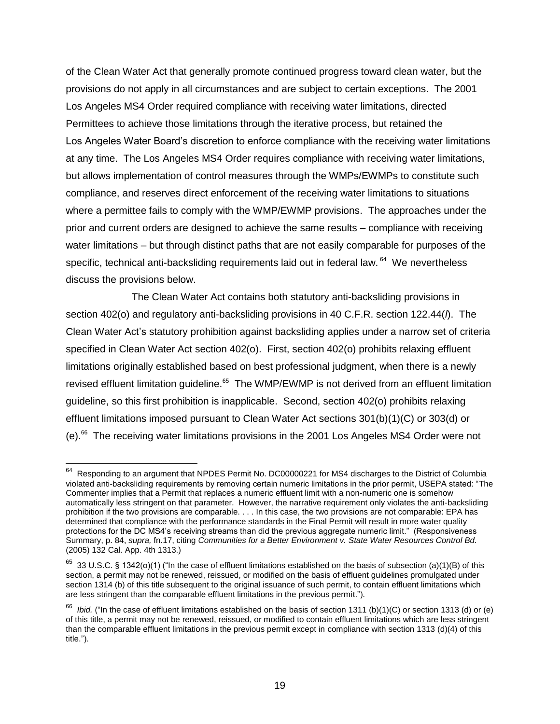of the Clean Water Act that generally promote continued progress toward clean water, but the provisions do not apply in all circumstances and are subject to certain exceptions. The 2001 Los Angeles MS4 Order required compliance with receiving water limitations, directed Permittees to achieve those limitations through the iterative process, but retained the Los Angeles Water Board's discretion to enforce compliance with the receiving water limitations at any time. The Los Angeles MS4 Order requires compliance with receiving water limitations, but allows implementation of control measures through the WMPs/EWMPs to constitute such compliance, and reserves direct enforcement of the receiving water limitations to situations where a permittee fails to comply with the WMP/EWMP provisions. The approaches under the prior and current orders are designed to achieve the same results – compliance with receiving water limitations – but through distinct paths that are not easily comparable for purposes of the specific, technical anti-backsliding requirements laid out in federal law. <sup>64</sup> We nevertheless discuss the provisions below.

The Clean Water Act contains both statutory anti-backsliding provisions in section 402(o) and regulatory anti-backsliding provisions in 40 C.F.R. section 122.44(*l*). The Clean Water Act's statutory prohibition against backsliding applies under a narrow set of criteria specified in Clean Water Act section 402(o). First, section 402(o) prohibits relaxing effluent limitations originally established based on best professional judgment, when there is a newly revised effluent limitation guideline.<sup>65</sup> The WMP/EWMP is not derived from an effluent limitation guideline, so this first prohibition is inapplicable. Second, section 402(o) prohibits relaxing effluent limitations imposed pursuant to Clean Water Act sections 301(b)(1)(C) or 303(d) or (e).<sup>66</sup> The receiving water limitations provisions in the 2001 Los Angeles MS4 Order were not

 64 Responding to an argument that NPDES Permit No. DC00000221 for MS4 discharges to the District of Columbia violated anti-backsliding requirements by removing certain numeric limitations in the prior permit, USEPA stated: "The Commenter implies that a Permit that replaces a numeric effluent limit with a non-numeric one is somehow automatically less stringent on that parameter. However, the narrative requirement only violates the anti-backsliding prohibition if the two provisions are comparable. . . . In this case, the two provisions are not comparable: EPA has determined that compliance with the performance standards in the Final Permit will result in more water quality protections for the DC MS4's receiving streams than did the previous aggregate numeric limit." (Responsiveness Summary, p. 84, *supra,* fn.17, citing *Communities for a Better Environment v. State Water Resources Control Bd.* (2005) 132 Cal. App. 4th 1313.)

 $^{65}$  33 U.S.C. § 1342(o)(1) ("In the case of effluent limitations established on the basis of subsection (a)(1)(B) of this section, a permit may not be renewed, reissued, or modified on the basis of effluent quidelines promulgated under section [1314](http://www.law.cornell.edu/uscode/text/33/1314) [\(b\)](http://www.law.cornell.edu/uscode/text/33/usc_sec_33_00001314----000-#b) of this title subsequent to the original issuance of such permit, to contain effluent limitations which are less stringent than the comparable effluent limitations in the previous permit.").

<sup>&</sup>lt;sup>66</sup> *Ibid.* ("In the case of effluent limitations established on the basis of section [1311](http://www.law.cornell.edu/uscode/text/33/1311) [\(b\)\(1\)\(C\)](http://www.law.cornell.edu/uscode/text/33/usc_sec_33_00001311----000-#b_1_C) or section [1313](http://www.law.cornell.edu/uscode/text/33/1313) [\(d\)](http://www.law.cornell.edu/uscode/text/33/usc_sec_33_00001313----000-#d) or (e) of this title, a permit may not be renewed, reissued, or modified to contain effluent limitations which are less stringent than the comparable effluent limitations in the previous permit except in compliance with section [1313](http://www.law.cornell.edu/uscode/text/33/1313) [\(d\)\(4\)](http://www.law.cornell.edu/uscode/text/33/usc_sec_33_00001313----000-#d_4) of this title.").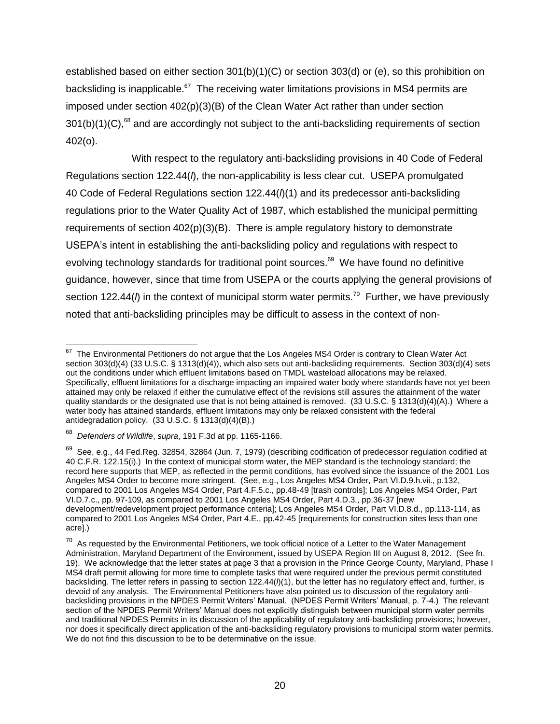established based on either section 301(b)(1)(C) or section 303(d) or (e), so this prohibition on backsliding is inapplicable. $^{67}$  The receiving water limitations provisions in MS4 permits are imposed under section  $402(p)(3)(B)$  of the Clean Water Act rather than under section  $301(b)(1)(C)$ ,<sup>68</sup> and are accordingly not subject to the anti-backsliding requirements of section 402(o).

With respect to the regulatory anti-backsliding provisions in 40 Code of Federal Regulations section 122.44(*l*), the non-applicability is less clear cut. USEPA promulgated 40 Code of Federal Regulations section 122.44(*l*)(1) and its predecessor anti-backsliding regulations prior to the Water Quality Act of 1987, which established the municipal permitting requirements of section 402(p)(3)(B). There is ample regulatory history to demonstrate USEPA's intent in establishing the anti-backsliding policy and regulations with respect to evolving technology standards for traditional point sources.<sup>69</sup> We have found no definitive guidance, however, since that time from USEPA or the courts applying the general provisions of section 122.44(*l*) in the context of municipal storm water permits.<sup>70</sup> Further, we have previously noted that anti-backsliding principles may be difficult to assess in the context of non-

 $\overline{\phantom{a}}$  $67$  The Environmental Petitioners do not argue that the Los Angeles MS4 Order is contrary to Clean Water Act section 303(d)(4) (33 U.S.C. § 1313(d)(4)), which also sets out anti-backsliding requirements. Section 303(d)(4) sets out the conditions under which effluent limitations based on TMDL wasteload allocations may be relaxed. Specifically, effluent limitations for a discharge impacting an impaired water body where standards have not yet been attained may only be relaxed if either the cumulative effect of the revisions still assures the attainment of the water quality standards or the designated use that is not being attained is removed. (33 U.S.C. § 1313(d)(4)(A).) Where a water body has attained standards, effluent limitations may only be relaxed consistent with the federal antidegradation policy. (33 U.S.C. § 1313(d)(4)(B).)

<sup>68</sup> *Defenders of Wildlife*, *supra*, 191 F.3d at pp. 1165-1166.

 $^{69}$  See, e.g., 44 Fed.Reg. 32854, 32864 (Jun. 7, 1979) (describing codification of predecessor regulation codified at 40 C.F.R. 122.15(i).) In the context of municipal storm water, the MEP standard is the technology standard; the record here supports that MEP, as reflected in the permit conditions, has evolved since the issuance of the 2001 Los Angeles MS4 Order to become more stringent. (See, e.g., Los Angeles MS4 Order, Part VI.D.9.h.vii., p.132, compared to 2001 Los Angeles MS4 Order, Part 4.F.5.c., pp.48-49 [trash controls]; Los Angeles MS4 Order, Part VI.D.7.c., pp. 97-109, as compared to 2001 Los Angeles MS4 Order, Part 4.D.3., pp.36-37 [new development/redevelopment project performance criteria]; Los Angeles MS4 Order, Part VI.D.8.d., pp.113-114, as compared to 2001 Los Angeles MS4 Order, Part 4.E., pp.42-45 [requirements for construction sites less than one acre].)

 $^{70}$  As requested by the Environmental Petitioners, we took official notice of a Letter to the Water Management Administration, Maryland Department of the Environment, issued by USEPA Region III on August 8, 2012. (See fn. 19). We acknowledge that the letter states at page 3 that a provision in the Prince George County, Maryland, Phase I MS4 draft permit allowing for more time to complete tasks that were required under the previous permit constituted backsliding. The letter refers in passing to section 122.44(*l*)(1), but the letter has no regulatory effect and, further, is devoid of any analysis. The Environmental Petitioners have also pointed us to discussion of the regulatory antibacksliding provisions in the NPDES Permit Writers' Manual. (NPDES Permit Writers' Manual, p. 7-4.) The relevant section of the NPDES Permit Writers' Manual does not explicitly distinguish between municipal storm water permits and traditional NPDES Permits in its discussion of the applicability of regulatory anti-backsliding provisions; however, nor does it specifically direct application of the anti-backsliding regulatory provisions to municipal storm water permits. We do not find this discussion to be to be determinative on the issue.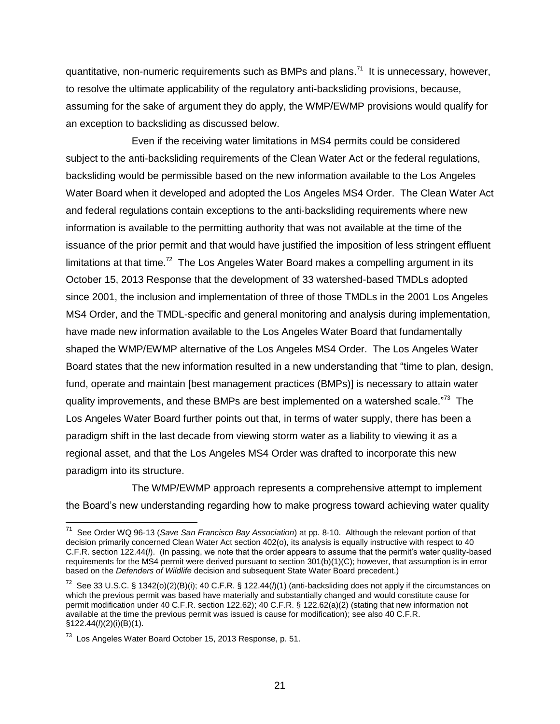quantitative, non-numeric requirements such as BMPs and plans.<sup>71</sup> It is unnecessary, however, to resolve the ultimate applicability of the regulatory anti-backsliding provisions, because, assuming for the sake of argument they do apply, the WMP/EWMP provisions would qualify for an exception to backsliding as discussed below.

Even if the receiving water limitations in MS4 permits could be considered subject to the anti-backsliding requirements of the Clean Water Act or the federal regulations, backsliding would be permissible based on the new information available to the Los Angeles Water Board when it developed and adopted the Los Angeles MS4 Order. The Clean Water Act and federal regulations contain exceptions to the anti-backsliding requirements where new information is available to the permitting authority that was not available at the time of the issuance of the prior permit and that would have justified the imposition of less stringent effluent limitations at that time.<sup>72</sup> The Los Angeles Water Board makes a compelling argument in its October 15, 2013 Response that the development of 33 watershed-based TMDLs adopted since 2001, the inclusion and implementation of three of those TMDLs in the 2001 Los Angeles MS4 Order, and the TMDL-specific and general monitoring and analysis during implementation, have made new information available to the Los Angeles Water Board that fundamentally shaped the WMP/EWMP alternative of the Los Angeles MS4 Order. The Los Angeles Water Board states that the new information resulted in a new understanding that "time to plan, design, fund, operate and maintain [best management practices (BMPs)] is necessary to attain water quality improvements, and these BMPs are best implemented on a watershed scale."<sup>73</sup> The Los Angeles Water Board further points out that, in terms of water supply, there has been a paradigm shift in the last decade from viewing storm water as a liability to viewing it as a regional asset, and that the Los Angeles MS4 Order was drafted to incorporate this new paradigm into its structure.

The WMP/EWMP approach represents a comprehensive attempt to implement the Board's new understanding regarding how to make progress toward achieving water quality

<sup>71</sup> See Order WQ 96-13 (*Save San Francisco Bay Association*) at pp. 8-10. Although the relevant portion of that decision primarily concerned Clean Water Act section 402(o), its analysis is equally instructive with respect to 40 C.F.R. section 122.44(*l*). (In passing, we note that the order appears to assume that the permit's water quality-based requirements for the MS4 permit were derived pursuant to section 301(b)(1)(C); however, that assumption is in error based on the *Defenders of Wildlife* decision and subsequent State Water Board precedent.)

<sup>72</sup> See 33 U.S.C. § 1342(o)(2)(B)(i); 40 C.F.R. § 122.44(*l*)(1) (anti-backsliding does not apply if the circumstances on which the previous permit was based have materially and substantially changed and would constitute cause for permit modification under 40 C.F.R. section 122.62); 40 C.F.R. § 122.62(a)(2) (stating that new information not available at the time the previous permit was issued is cause for modification); see also 40 C.F.R. §122.44(*l*)(2)(i)(B)(1).

<sup>&</sup>lt;sup>73</sup> Los Angeles Water Board October 15, 2013 Response, p. 51.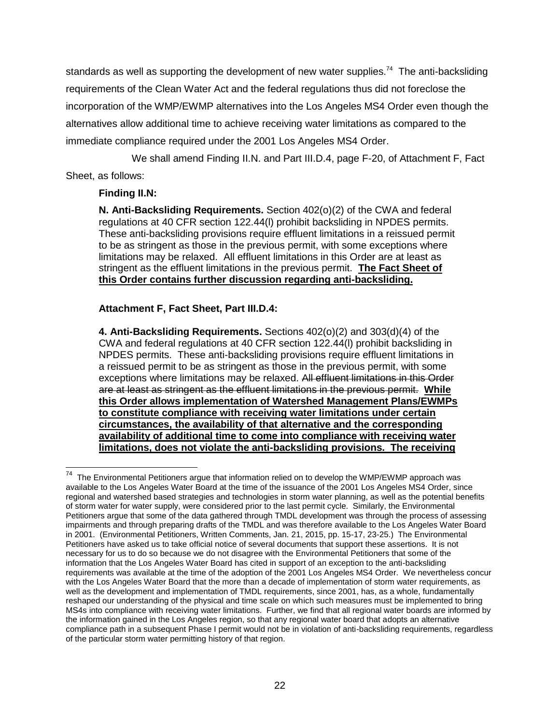standards as well as supporting the development of new water supplies.<sup>74</sup> The anti-backsliding requirements of the Clean Water Act and the federal regulations thus did not foreclose the incorporation of the WMP/EWMP alternatives into the Los Angeles MS4 Order even though the alternatives allow additional time to achieve receiving water limitations as compared to the immediate compliance required under the 2001 Los Angeles MS4 Order.

We shall amend Finding II.N. and Part III.D.4, page F-20, of Attachment F, Fact Sheet, as follows:

### **Finding II.N:**

**N. Anti-Backsliding Requirements.** Section 402(o)(2) of the CWA and federal regulations at 40 CFR section 122.44(l) prohibit backsliding in NPDES permits. These anti-backsliding provisions require effluent limitations in a reissued permit to be as stringent as those in the previous permit, with some exceptions where limitations may be relaxed. All effluent limitations in this Order are at least as stringent as the effluent limitations in the previous permit. **The Fact Sheet of this Order contains further discussion regarding anti-backsliding.** 

## **Attachment F, Fact Sheet, Part III.D.4:**

**4. Anti-Backsliding Requirements.** Sections 402(o)(2) and 303(d)(4) of the CWA and federal regulations at 40 CFR section 122.44(l) prohibit backsliding in NPDES permits. These anti-backsliding provisions require effluent limitations in a reissued permit to be as stringent as those in the previous permit, with some exceptions where limitations may be relaxed. All effluent limitations in this Order are at least as stringent as the effluent limitations in the previous permit. **While this Order allows implementation of Watershed Management Plans/EWMPs to constitute compliance with receiving water limitations under certain circumstances, the availability of that alternative and the corresponding availability of additional time to come into compliance with receiving water limitations, does not violate the anti-backsliding provisions. The receiving** 

 74 The Environmental Petitioners argue that information relied on to develop the WMP/EWMP approach was available to the Los Angeles Water Board at the time of the issuance of the 2001 Los Angeles MS4 Order, since regional and watershed based strategies and technologies in storm water planning, as well as the potential benefits of storm water for water supply, were considered prior to the last permit cycle. Similarly, the Environmental Petitioners argue that some of the data gathered through TMDL development was through the process of assessing impairments and through preparing drafts of the TMDL and was therefore available to the Los Angeles Water Board in 2001. (Environmental Petitioners, Written Comments, Jan. 21, 2015, pp. 15-17, 23-25.) The Environmental Petitioners have asked us to take official notice of several documents that support these assertions. It is not necessary for us to do so because we do not disagree with the Environmental Petitioners that some of the information that the Los Angeles Water Board has cited in support of an exception to the anti-backsliding requirements was available at the time of the adoption of the 2001 Los Angeles MS4 Order. We nevertheless concur with the Los Angeles Water Board that the more than a decade of implementation of storm water requirements, as well as the development and implementation of TMDL requirements, since 2001, has, as a whole, fundamentally reshaped our understanding of the physical and time scale on which such measures must be implemented to bring MS4s into compliance with receiving water limitations. Further, we find that all regional water boards are informed by the information gained in the Los Angeles region, so that any regional water board that adopts an alternative compliance path in a subsequent Phase I permit would not be in violation of anti-backsliding requirements, regardless of the particular storm water permitting history of that region.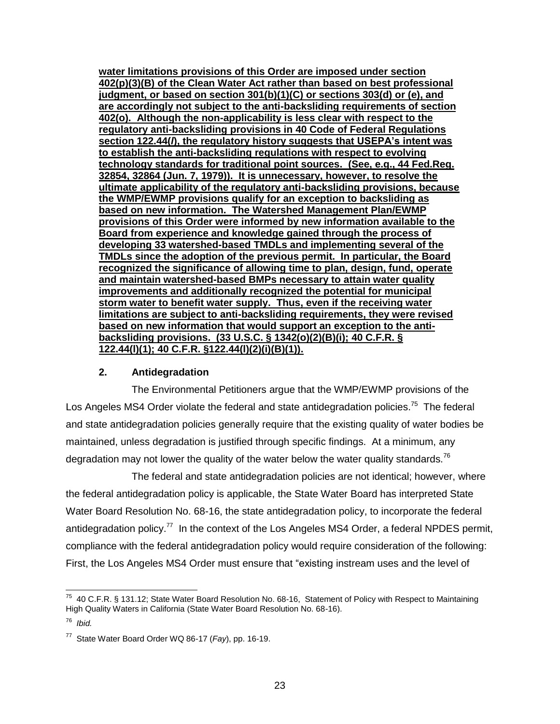**water limitations provisions of this Order are imposed under section 402(p)(3)(B) of the Clean Water Act rather than based on best professional judgment, or based on section 301(b)(1)(C) or sections 303(d) or (e), and are accordingly not subject to the anti-backsliding requirements of section 402(o). Although the non-applicability is less clear with respect to the regulatory anti-backsliding provisions in 40 Code of Federal Regulations section 122.44(***l***), the regulatory history suggests that USEPA's intent was to establish the anti-backsliding regulations with respect to evolving technology standards for traditional point sources. (See, e.g., 44 Fed.Reg. 32854, 32864 (Jun. 7, 1979)). It is unnecessary, however, to resolve the ultimate applicability of the regulatory anti-backsliding provisions, because the WMP/EWMP provisions qualify for an exception to backsliding as based on new information. The Watershed Management Plan/EWMP provisions of this Order were informed by new information available to the Board from experience and knowledge gained through the process of developing 33 watershed-based TMDLs and implementing several of the TMDLs since the adoption of the previous permit. In particular, the Board recognized the significance of allowing time to plan, design, fund, operate and maintain watershed-based BMPs necessary to attain water quality improvements and additionally recognized the potential for municipal storm water to benefit water supply. Thus, even if the receiving water limitations are subject to anti-backsliding requirements, they were revised based on new information that would support an exception to the antibacksliding provisions. (33 U.S.C. § 1342(o)(2)(B)(i); 40 C.F.R. § 122.44(l)(1); 40 C.F.R. §122.44(l)(2)(i)(B)(1)).** 

### **2. Antidegradation**

The Environmental Petitioners argue that the WMP/EWMP provisions of the Los Angeles MS4 Order violate the federal and state antidegradation policies.<sup>75</sup> The federal and state antidegradation policies generally require that the existing quality of water bodies be maintained, unless degradation is justified through specific findings. At a minimum, any degradation may not lower the quality of the water below the water quality standards.<sup>76</sup>

The federal and state antidegradation policies are not identical; however, where the federal antidegradation policy is applicable, the State Water Board has interpreted State Water Board Resolution No. 68-16, the state antidegradation policy, to incorporate the federal antidegradation policy.<sup>77</sup> In the context of the Los Angeles MS4 Order, a federal NPDES permit, compliance with the federal antidegradation policy would require consideration of the following: First, the Los Angeles MS4 Order must ensure that "existing instream uses and the level of

 $^{75}$  40 C.F.R. § 131.12; State Water Board Resolution No. 68-16, Statement of Policy with Respect to Maintaining High Quality Waters in California (State Water Board Resolution No. 68-16).

<sup>76</sup> *Ibid.*

<sup>77</sup> State Water Board Order WQ 86-17 (*Fay*), pp. 16-19.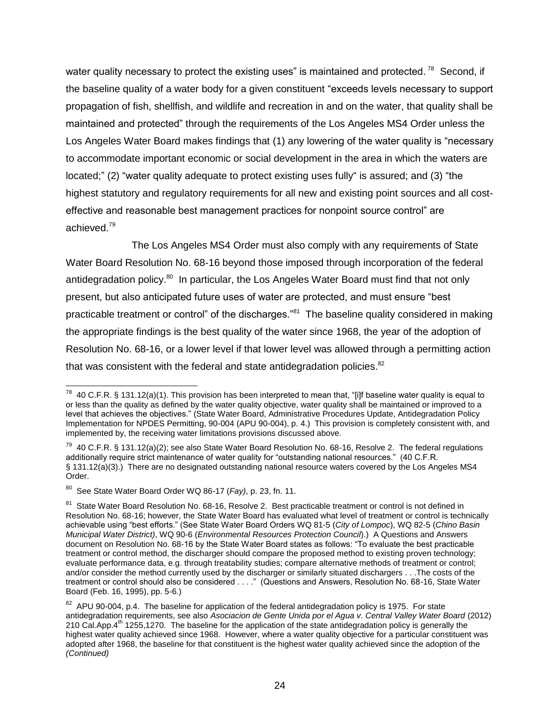water quality necessary to protect the existing uses" is maintained and protected.<sup>78</sup> Second, if the baseline quality of a water body for a given constituent "exceeds levels necessary to support propagation of fish, shellfish, and wildlife and recreation in and on the water, that quality shall be maintained and protected" through the requirements of the Los Angeles MS4 Order unless the Los Angeles Water Board makes findings that (1) any lowering of the water quality is "necessary to accommodate important economic or social development in the area in which the waters are located;" (2) "water quality adequate to protect existing uses fully" is assured; and (3) "the highest statutory and regulatory requirements for all new and existing point sources and all costeffective and reasonable best management practices for nonpoint source control" are achieved. 79

The Los Angeles MS4 Order must also comply with any requirements of State Water Board Resolution No. 68-16 beyond those imposed through incorporation of the federal antidegradation policy.<sup>80</sup> In particular, the Los Angeles Water Board must find that not only present, but also anticipated future uses of water are protected, and must ensure "best practicable treatment or control" of the discharges."<sup>81</sup> The baseline quality considered in making the appropriate findings is the best quality of the water since 1968, the year of the adoption of Resolution No. 68-16, or a lower level if that lower level was allowed through a permitting action that was consistent with the federal and state antidegradation policies.<sup>82</sup>

 <sup>78</sup> 40 C.F.R. § 131.12(a)(1). This provision has been interpreted to mean that, "[i]f baseline water quality is equal to or less than the quality as defined by the water quality objective, water quality shall be maintained or improved to a level that achieves the objectives." (State Water Board, Administrative Procedures Update, Antidegradation Policy Implementation for NPDES Permitting, 90-004 (APU 90-004), p. 4.) This provision is completely consistent with, and implemented by, the receiving water limitations provisions discussed above.

 $^{79}$  40 C.F.R. § 131.12(a)(2); see also State Water Board Resolution No. 68-16, Resolve 2. The federal regulations additionally require strict maintenance of water quality for "outstanding national resources." (40 C.F.R. § 131.12(a)(3).) There are no designated outstanding national resource waters covered by the Los Angeles MS4 Order.

<sup>80</sup> See State Water Board Order WQ 86-17 (*Fay)*, p. 23, fn. 11.

<sup>&</sup>lt;sup>81</sup> State Water Board Resolution No. 68-16, Resolve 2. Best practicable treatment or control is not defined in Resolution No. 68-16; however, the State Water Board has evaluated what level of treatment or control is technically achievable using "best efforts." (See State Water Board Orders WQ 81-5 (*City of Lompoc*), WQ 82-5 (*Chino Basin Municipal Water District)*, WQ 90-6 (*Environmental Resources Protection Council*).) A Questions and Answers document on Resolution No. 68-16 by the State Water Board states as follows: "To evaluate the best practicable treatment or control method, the discharger should compare the proposed method to existing proven technology; evaluate performance data, e.g. through treatability studies; compare alternative methods of treatment or control; and/or consider the method currently used by the discharger or similarly situated dischargers . . .The costs of the treatment or control should also be considered . . . ." (Questions and Answers, Resolution No. 68-16, State Water Board (Feb. 16, 1995), pp. 5-6.)

 $82$  APU 90-004, p.4. The baseline for application of the federal antidegradation policy is 1975. For state antidegradation requirements, see also *Asociacion de Gente Unida por el Agua v. Central Valley Water Board* (2012) 210 Cal.App. $4^{th}$  1255,1270. The baseline for the application of the state antidegradation policy is generally the highest water quality achieved since 1968. However, where a water quality objective for a particular constituent was adopted after 1968, the baseline for that constituent is the highest water quality achieved since the adoption of the *(Continued)*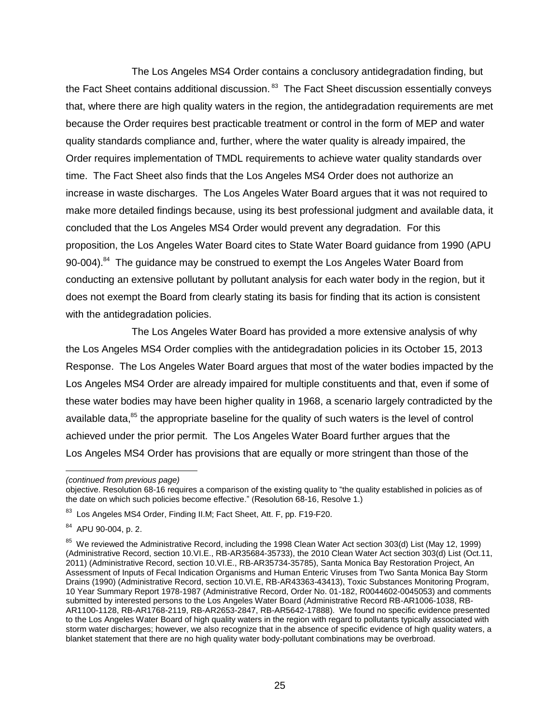The Los Angeles MS4 Order contains a conclusory antidegradation finding, but the Fact Sheet contains additional discussion.<sup>83</sup> The Fact Sheet discussion essentially conveys that, where there are high quality waters in the region, the antidegradation requirements are met because the Order requires best practicable treatment or control in the form of MEP and water quality standards compliance and, further, where the water quality is already impaired, the Order requires implementation of TMDL requirements to achieve water quality standards over time. The Fact Sheet also finds that the Los Angeles MS4 Order does not authorize an increase in waste discharges. The Los Angeles Water Board argues that it was not required to make more detailed findings because, using its best professional judgment and available data, it concluded that the Los Angeles MS4 Order would prevent any degradation. For this proposition, the Los Angeles Water Board cites to State Water Board guidance from 1990 (APU 90-004).<sup>84</sup> The guidance may be construed to exempt the Los Angeles Water Board from conducting an extensive pollutant by pollutant analysis for each water body in the region, but it does not exempt the Board from clearly stating its basis for finding that its action is consistent with the antidegradation policies.

The Los Angeles Water Board has provided a more extensive analysis of why the Los Angeles MS4 Order complies with the antidegradation policies in its October 15, 2013 Response. The Los Angeles Water Board argues that most of the water bodies impacted by the Los Angeles MS4 Order are already impaired for multiple constituents and that, even if some of these water bodies may have been higher quality in 1968, a scenario largely contradicted by the available data,<sup>85</sup> the appropriate baseline for the quality of such waters is the level of control achieved under the prior permit. The Los Angeles Water Board further argues that the Los Angeles MS4 Order has provisions that are equally or more stringent than those of the

*<sup>(</sup>continued from previous page)*

objective. Resolution 68-16 requires a comparison of the existing quality to "the quality established in policies as of the date on which such policies become effective." (Resolution 68-16, Resolve 1.)

<sup>83</sup> Los Angeles MS4 Order, Finding II.M; Fact Sheet, Att. F, pp. F19-F20.

<sup>84</sup> APU 90-004, p. 2.

<sup>&</sup>lt;sup>85</sup> We reviewed the Administrative Record, including the 1998 Clean Water Act section 303(d) List (May 12, 1999) (Administrative Record, section 10.VI.E., RB-AR35684-35733), the 2010 Clean Water Act section 303(d) List (Oct.11, 2011) (Administrative Record, section 10.VI.E., RB-AR35734-35785), Santa Monica Bay Restoration Project, An Assessment of Inputs of Fecal Indication Organisms and Human Enteric Viruses from Two Santa Monica Bay Storm Drains (1990) (Administrative Record, section 10.VI.E, RB-AR43363-43413), Toxic Substances Monitoring Program, 10 Year Summary Report 1978-1987 (Administrative Record, Order No. 01-182, R0044602-0045053) and comments submitted by interested persons to the Los Angeles Water Board (Administrative Record RB-AR1006-1038, RB-AR1100-1128, RB-AR1768-2119, RB-AR2653-2847, RB-AR5642-17888). We found no specific evidence presented to the Los Angeles Water Board of high quality waters in the region with regard to pollutants typically associated with storm water discharges; however, we also recognize that in the absence of specific evidence of high quality waters, a blanket statement that there are no high quality water body-pollutant combinations may be overbroad.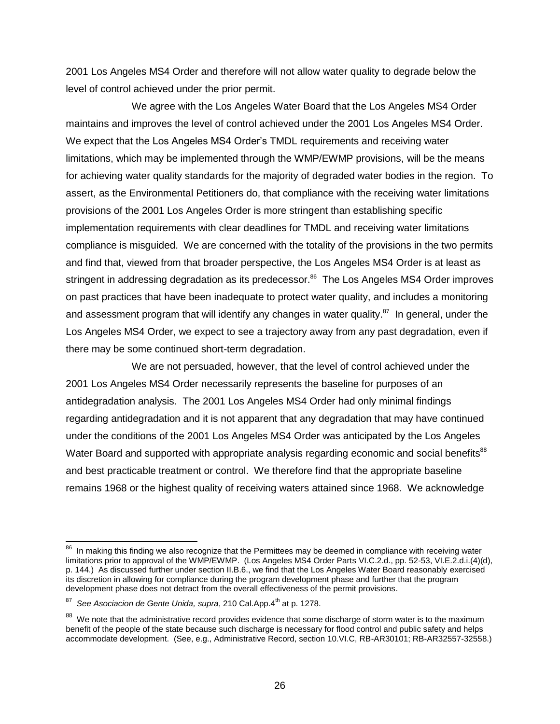2001 Los Angeles MS4 Order and therefore will not allow water quality to degrade below the level of control achieved under the prior permit.

We agree with the Los Angeles Water Board that the Los Angeles MS4 Order maintains and improves the level of control achieved under the 2001 Los Angeles MS4 Order. We expect that the Los Angeles MS4 Order's TMDL requirements and receiving water limitations, which may be implemented through the WMP/EWMP provisions, will be the means for achieving water quality standards for the majority of degraded water bodies in the region. To assert, as the Environmental Petitioners do, that compliance with the receiving water limitations provisions of the 2001 Los Angeles Order is more stringent than establishing specific implementation requirements with clear deadlines for TMDL and receiving water limitations compliance is misguided. We are concerned with the totality of the provisions in the two permits and find that, viewed from that broader perspective, the Los Angeles MS4 Order is at least as stringent in addressing degradation as its predecessor.<sup>86</sup> The Los Angeles MS4 Order improves on past practices that have been inadequate to protect water quality, and includes a monitoring and assessment program that will identify any changes in water quality.<sup>87</sup> In general, under the Los Angeles MS4 Order, we expect to see a trajectory away from any past degradation, even if there may be some continued short-term degradation.

We are not persuaded, however, that the level of control achieved under the 2001 Los Angeles MS4 Order necessarily represents the baseline for purposes of an antidegradation analysis. The 2001 Los Angeles MS4 Order had only minimal findings regarding antidegradation and it is not apparent that any degradation that may have continued under the conditions of the 2001 Los Angeles MS4 Order was anticipated by the Los Angeles Water Board and supported with appropriate analysis regarding economic and social benefits<sup>88</sup> and best practicable treatment or control. We therefore find that the appropriate baseline remains 1968 or the highest quality of receiving waters attained since 1968. We acknowledge

 $86$  In making this finding we also recognize that the Permittees may be deemed in compliance with receiving water limitations prior to approval of the WMP/EWMP. (Los Angeles MS4 Order Parts VI.C.2.d., pp. 52-53, VI.E.2.d.i.(4)(d), p. 144.) As discussed further under section II.B.6., we find that the Los Angeles Water Board reasonably exercised its discretion in allowing for compliance during the program development phase and further that the program development phase does not detract from the overall effectiveness of the permit provisions.

<sup>&</sup>lt;sup>87</sup> See Asociacion de Gente Unida, supra, 210 Cal.App.4<sup>th</sup> at p. 1278.

 $88$  We note that the administrative record provides evidence that some discharge of storm water is to the maximum benefit of the people of the state because such discharge is necessary for flood control and public safety and helps accommodate development. (See, e.g., Administrative Record, section 10.VI.C, RB-AR30101; RB-AR32557-32558.)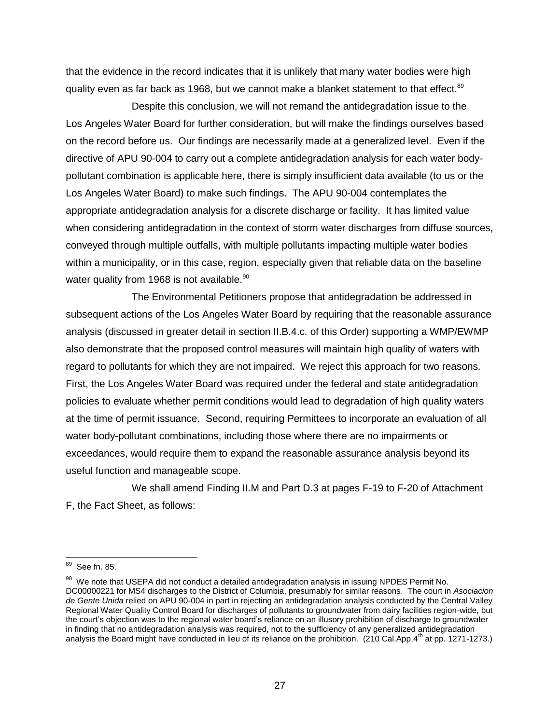that the evidence in the record indicates that it is unlikely that many water bodies were high quality even as far back as 1968, but we cannot make a blanket statement to that effect.<sup>89</sup>

Despite this conclusion, we will not remand the antidegradation issue to the Los Angeles Water Board for further consideration, but will make the findings ourselves based on the record before us. Our findings are necessarily made at a generalized level. Even if the directive of APU 90-004 to carry out a complete antidegradation analysis for each water bodypollutant combination is applicable here, there is simply insufficient data available (to us or the Los Angeles Water Board) to make such findings. The APU 90-004 contemplates the appropriate antidegradation analysis for a discrete discharge or facility. It has limited value when considering antidegradation in the context of storm water discharges from diffuse sources, conveyed through multiple outfalls, with multiple pollutants impacting multiple water bodies within a municipality, or in this case, region, especially given that reliable data on the baseline water quality from 1968 is not available. $^{90}$ 

The Environmental Petitioners propose that antidegradation be addressed in subsequent actions of the Los Angeles Water Board by requiring that the reasonable assurance analysis (discussed in greater detail in section II.B.4.c. of this Order) supporting a WMP/EWMP also demonstrate that the proposed control measures will maintain high quality of waters with regard to pollutants for which they are not impaired. We reject this approach for two reasons. First, the Los Angeles Water Board was required under the federal and state antidegradation policies to evaluate whether permit conditions would lead to degradation of high quality waters at the time of permit issuance. Second, requiring Permittees to incorporate an evaluation of all water body-pollutant combinations, including those where there are no impairments or exceedances, would require them to expand the reasonable assurance analysis beyond its useful function and manageable scope.

We shall amend Finding II.M and Part D.3 at pages F-19 to F-20 of Attachment F, the Fact Sheet, as follows:

<sup>89</sup> See fn. 85.

 $90$  We note that USEPA did not conduct a detailed antidegradation analysis in issuing NPDES Permit No. DC00000221 for MS4 discharges to the District of Columbia, presumably for similar reasons. The court in *Asociacion de Gente Unida* relied on APU 90-004 in part in rejecting an antidegradation analysis conducted by the Central Valley Regional Water Quality Control Board for discharges of pollutants to groundwater from dairy facilities region-wide, but the court's objection was to the regional water board's reliance on an illusory prohibition of discharge to groundwater in finding that no antidegradation analysis was required, not to the sufficiency of any generalized antidegradation analysis the Board might have conducted in lieu of its reliance on the prohibition.  $(210 \text{ Cal.App.4}^{\text{th}}$  at pp. 1271-1273.)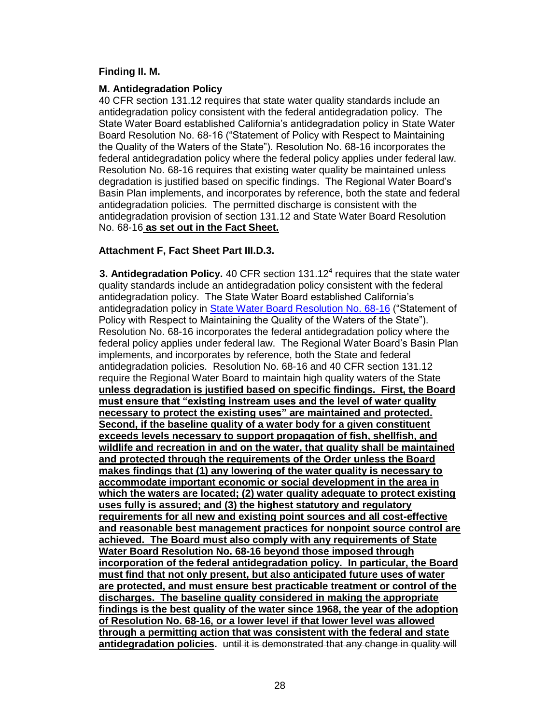#### **Finding II. M.**

#### **M. Antidegradation Policy**

40 CFR section 131.12 requires that state water quality standards include an antidegradation policy consistent with the federal antidegradation policy. The State Water Board established California's antidegradation policy in State Water Board Resolution No. 68-16 ("Statement of Policy with Respect to Maintaining the Quality of the Waters of the State"). Resolution No. 68-16 incorporates the federal antidegradation policy where the federal policy applies under federal law. Resolution No. 68-16 requires that existing water quality be maintained unless degradation is justified based on specific findings. The Regional Water Board's Basin Plan implements, and incorporates by reference, both the state and federal antidegradation policies. The permitted discharge is consistent with the antidegradation provision of section 131.12 and State Water Board Resolution No. 68-16 **as set out in the Fact Sheet.** 

### **Attachment F, Fact Sheet Part III.D.3.**

**3. Antidegradation Policy.** 40 CFR section 131.12<sup>4</sup> requires that the state water quality standards include an antidegradation policy consistent with the federal antidegradation policy. The State Water Board established California's antidegradation policy in [State Water Board Resolution No. 68-16](http://www.waterboards.ca.gov/board_decisions/adopted_orders/resolutions/1968/rs68_016.pdf) ("Statement of Policy with Respect to Maintaining the Quality of the Waters of the State"). Resolution No. 68-16 incorporates the federal antidegradation policy where the federal policy applies under federal law. The Regional Water Board's Basin Plan implements, and incorporates by reference, both the State and federal antidegradation policies. Resolution No. 68-16 and 40 CFR section 131.12 require the Regional Water Board to maintain high quality waters of the State **unless degradation is justified based on specific findings. First, the Board must ensure that "existing instream uses and the level of water quality necessary to protect the existing uses" are maintained and protected. Second, if the baseline quality of a water body for a given constituent exceeds levels necessary to support propagation of fish, shellfish, and wildlife and recreation in and on the water, that quality shall be maintained and protected through the requirements of the Order unless the Board makes findings that (1) any lowering of the water quality is necessary to accommodate important economic or social development in the area in which the waters are located; (2) water quality adequate to protect existing uses fully is assured; and (3) the highest statutory and regulatory requirements for all new and existing point sources and all cost-effective and reasonable best management practices for nonpoint source control are achieved. The Board must also comply with any requirements of State Water Board Resolution No. 68-16 beyond those imposed through incorporation of the federal antidegradation policy. In particular, the Board must find that not only present, but also anticipated future uses of water are protected, and must ensure best practicable treatment or control of the discharges. The baseline quality considered in making the appropriate findings is the best quality of the water since 1968, the year of the adoption of Resolution No. 68-16, or a lower level if that lower level was allowed through a permitting action that was consistent with the federal and state antidegradation policies.** until it is demonstrated that any change in quality will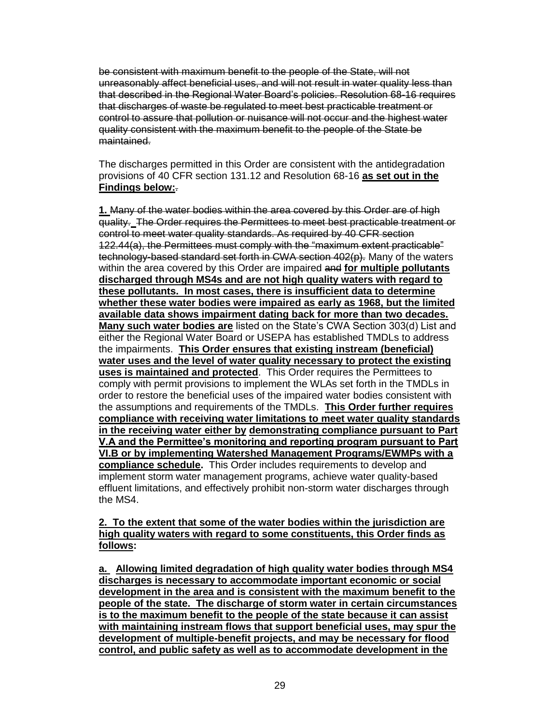be consistent with maximum benefit to the people of the State, will not unreasonably affect beneficial uses, and will not result in water quality less than that described in the Regional Water Board's policies. Resolution 68-16 requires that discharges of waste be regulated to meet best practicable treatment or control to assure that pollution or nuisance will not occur and the highest water quality consistent with the maximum benefit to the people of the State be maintained.

The discharges permitted in this Order are consistent with the antidegradation provisions of 40 CFR section 131.12 and Resolution 68-16 **as set out in the Findings below:**.

**1.** Many of the water bodies within the area covered by this Order are of high quality.The Order requires the Permittees to meet best practicable treatment or control to meet water quality standards. As required by 40 CFR section 122.44(a), the Permittees must comply with the "maximum extent practicable" technology-based standard set forth in CWA section 402(p). Many of the waters within the area covered by this Order are impaired and **for multiple pollutants discharged through MS4s and are not high quality waters with regard to these pollutants. In most cases, there is insufficient data to determine whether these water bodies were impaired as early as 1968, but the limited available data shows impairment dating back for more than two decades. Many such water bodies are** listed on the State's CWA Section 303(d) List and either the Regional Water Board or USEPA has established TMDLs to address the impairments. **This Order ensures that existing instream (beneficial) water uses and the level of water quality necessary to protect the existing uses is maintained and protected**. This Order requires the Permittees to comply with permit provisions to implement the WLAs set forth in the TMDLs in order to restore the beneficial uses of the impaired water bodies consistent with the assumptions and requirements of the TMDLs. **This Order further requires compliance with receiving water limitations to meet water quality standards in the receiving water either by demonstrating compliance pursuant to Part V.A and the Permittee's monitoring and reporting program pursuant to Part VI.B or by implementing Watershed Management Programs/EWMPs with a compliance schedule.** This Order includes requirements to develop and implement storm water management programs, achieve water quality-based effluent limitations, and effectively prohibit non-storm water discharges through the MS4.

#### **2. To the extent that some of the water bodies within the jurisdiction are high quality waters with regard to some constituents, this Order finds as follows:**

**a. Allowing limited degradation of high quality water bodies through MS4 discharges is necessary to accommodate important economic or social development in the area and is consistent with the maximum benefit to the people of the state. The discharge of storm water in certain circumstances is to the maximum benefit to the people of the state because it can assist with maintaining instream flows that support beneficial uses, may spur the development of multiple-benefit projects, and may be necessary for flood control, and public safety as well as to accommodate development in the**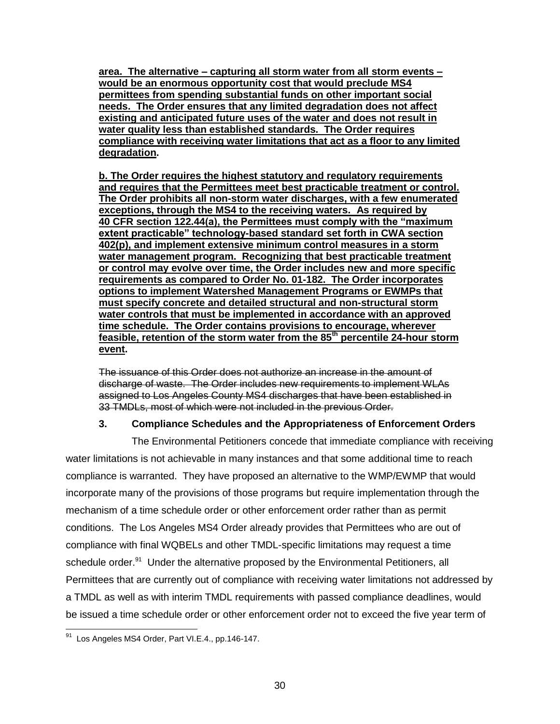**area. The alternative – capturing all storm water from all storm events – would be an enormous opportunity cost that would preclude MS4 permittees from spending substantial funds on other important social needs. The Order ensures that any limited degradation does not affect existing and anticipated future uses of the water and does not result in water quality less than established standards. The Order requires compliance with receiving water limitations that act as a floor to any limited degradation.** 

**b. The Order requires the highest statutory and regulatory requirements and requires that the Permittees meet best practicable treatment or control. The Order prohibits all non-storm water discharges, with a few enumerated exceptions, through the MS4 to the receiving waters. As required by 40 CFR section 122.44(a), the Permittees must comply with the "maximum extent practicable" technology-based standard set forth in CWA section 402(p), and implement extensive minimum control measures in a storm water management program. Recognizing that best practicable treatment or control may evolve over time, the Order includes new and more specific requirements as compared to Order No. 01-182. The Order incorporates options to implement Watershed Management Programs or EWMPs that must specify concrete and detailed structural and non-structural storm water controls that must be implemented in accordance with an approved time schedule. The Order contains provisions to encourage, wherever feasible, retention of the storm water from the 85th percentile 24-hour storm event.** 

The issuance of this Order does not authorize an increase in the amount of discharge of waste. The Order includes new requirements to implement WLAs assigned to Los Angeles County MS4 discharges that have been established in 33 TMDLs, most of which were not included in the previous Order.

### **3. Compliance Schedules and the Appropriateness of Enforcement Orders**

The Environmental Petitioners concede that immediate compliance with receiving water limitations is not achievable in many instances and that some additional time to reach compliance is warranted. They have proposed an alternative to the WMP/EWMP that would incorporate many of the provisions of those programs but require implementation through the mechanism of a time schedule order or other enforcement order rather than as permit conditions. The Los Angeles MS4 Order already provides that Permittees who are out of compliance with final WQBELs and other TMDL-specific limitations may request a time schedule order.<sup>91</sup> Under the alternative proposed by the Environmental Petitioners, all Permittees that are currently out of compliance with receiving water limitations not addressed by a TMDL as well as with interim TMDL requirements with passed compliance deadlines, would be issued a time schedule order or other enforcement order not to exceed the five year term of

 $\overline{a}$  $91$  Los Angeles MS4 Order, Part VI.E.4., pp.146-147.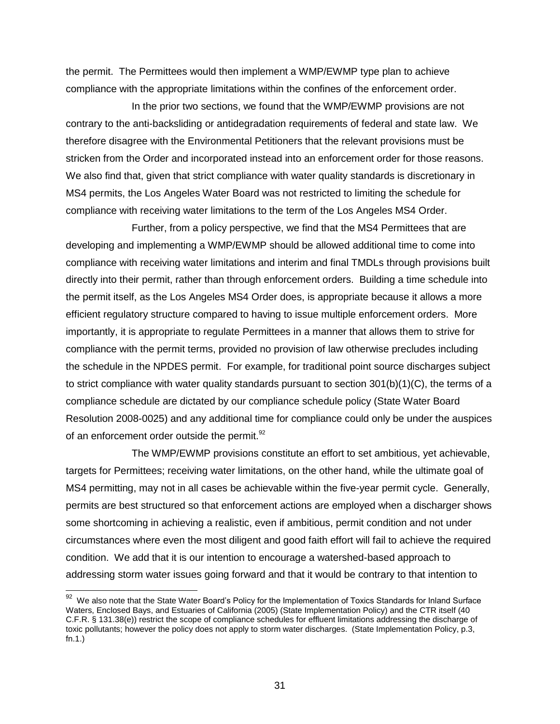the permit. The Permittees would then implement a WMP/EWMP type plan to achieve compliance with the appropriate limitations within the confines of the enforcement order.

In the prior two sections, we found that the WMP/EWMP provisions are not contrary to the anti-backsliding or antidegradation requirements of federal and state law. We therefore disagree with the Environmental Petitioners that the relevant provisions must be stricken from the Order and incorporated instead into an enforcement order for those reasons. We also find that, given that strict compliance with water quality standards is discretionary in MS4 permits, the Los Angeles Water Board was not restricted to limiting the schedule for compliance with receiving water limitations to the term of the Los Angeles MS4 Order.

Further, from a policy perspective, we find that the MS4 Permittees that are developing and implementing a WMP/EWMP should be allowed additional time to come into compliance with receiving water limitations and interim and final TMDLs through provisions built directly into their permit, rather than through enforcement orders. Building a time schedule into the permit itself, as the Los Angeles MS4 Order does, is appropriate because it allows a more efficient regulatory structure compared to having to issue multiple enforcement orders. More importantly, it is appropriate to regulate Permittees in a manner that allows them to strive for compliance with the permit terms, provided no provision of law otherwise precludes including the schedule in the NPDES permit. For example, for traditional point source discharges subject to strict compliance with water quality standards pursuant to section 301(b)(1)(C), the terms of a compliance schedule are dictated by our compliance schedule policy (State Water Board Resolution 2008-0025) and any additional time for compliance could only be under the auspices of an enforcement order outside the permit. $^{92}$ 

The WMP/EWMP provisions constitute an effort to set ambitious, yet achievable, targets for Permittees; receiving water limitations, on the other hand, while the ultimate goal of MS4 permitting, may not in all cases be achievable within the five-year permit cycle. Generally, permits are best structured so that enforcement actions are employed when a discharger shows some shortcoming in achieving a realistic, even if ambitious, permit condition and not under circumstances where even the most diligent and good faith effort will fail to achieve the required condition. We add that it is our intention to encourage a watershed-based approach to addressing storm water issues going forward and that it would be contrary to that intention to

 92 We also note that the State Water Board's Policy for the Implementation of Toxics Standards for Inland Surface Waters, Enclosed Bays, and Estuaries of California (2005) (State Implementation Policy) and the CTR itself (40 C.F.R. § 131.38(e)) restrict the scope of compliance schedules for effluent limitations addressing the discharge of toxic pollutants; however the policy does not apply to storm water discharges. (State Implementation Policy, p.3, fn.1.)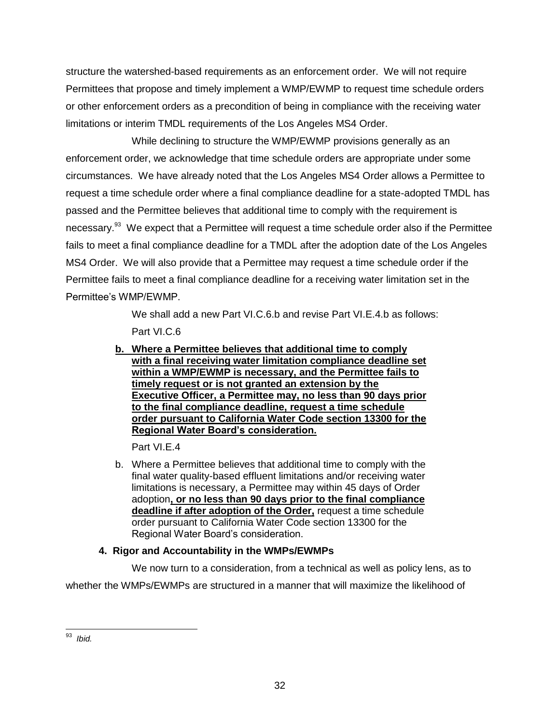structure the watershed-based requirements as an enforcement order. We will not require Permittees that propose and timely implement a WMP/EWMP to request time schedule orders or other enforcement orders as a precondition of being in compliance with the receiving water limitations or interim TMDL requirements of the Los Angeles MS4 Order.

While declining to structure the WMP/EWMP provisions generally as an enforcement order, we acknowledge that time schedule orders are appropriate under some circumstances. We have already noted that the Los Angeles MS4 Order allows a Permittee to request a time schedule order where a final compliance deadline for a state-adopted TMDL has passed and the Permittee believes that additional time to comply with the requirement is necessary.<sup>93</sup> We expect that a Permittee will request a time schedule order also if the Permittee fails to meet a final compliance deadline for a TMDL after the adoption date of the Los Angeles MS4 Order. We will also provide that a Permittee may request a time schedule order if the Permittee fails to meet a final compliance deadline for a receiving water limitation set in the Permittee's WMP/EWMP.

> We shall add a new Part VI.C.6.b and revise Part VI.E.4.b as follows: Part VI.C.6

**b. Where a Permittee believes that additional time to comply with a final receiving water limitation compliance deadline set within a WMP/EWMP is necessary, and the Permittee fails to timely request or is not granted an extension by the Executive Officer, a Permittee may, no less than 90 days prior to the final compliance deadline, request a time schedule order pursuant to California Water Code section 13300 for the Regional Water Board's consideration.**

Part VI.E.4

b. Where a Permittee believes that additional time to comply with the final water quality-based effluent limitations and/or receiving water limitations is necessary, a Permittee may within 45 days of Order adoption**, or no less than 90 days prior to the final compliance deadline if after adoption of the Order,** request a time schedule order pursuant to California Water Code section 13300 for the Regional Water Board's consideration.

# **4. Rigor and Accountability in the WMPs/EWMPs**

We now turn to a consideration, from a technical as well as policy lens, as to whether the WMPs/EWMPs are structured in a manner that will maximize the likelihood of

 $\overline{a}$ <sup>93</sup> *Ibid.*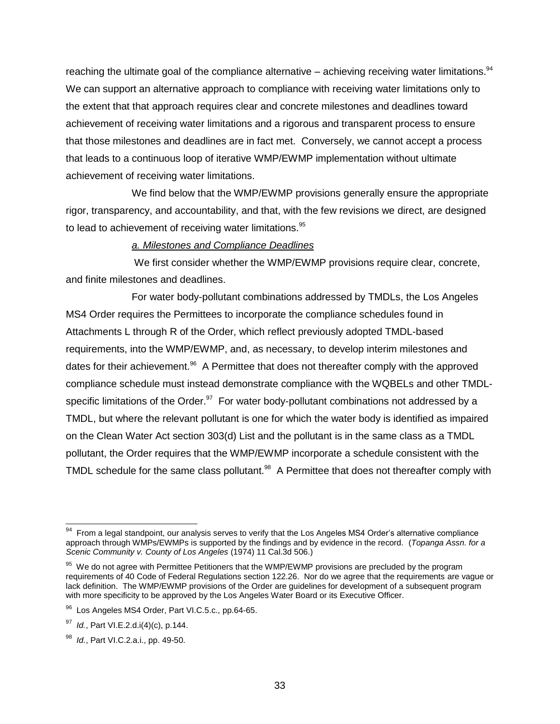reaching the ultimate goal of the compliance alternative  $-$  achieving receiving water limitations. $94$ We can support an alternative approach to compliance with receiving water limitations only to the extent that that approach requires clear and concrete milestones and deadlines toward achievement of receiving water limitations and a rigorous and transparent process to ensure that those milestones and deadlines are in fact met. Conversely, we cannot accept a process that leads to a continuous loop of iterative WMP/EWMP implementation without ultimate achievement of receiving water limitations.

We find below that the WMP/EWMP provisions generally ensure the appropriate rigor, transparency, and accountability, and that, with the few revisions we direct, are designed to lead to achievement of receiving water limitations.<sup>95</sup>

#### *a. Milestones and Compliance Deadlines*

We first consider whether the WMP/EWMP provisions require clear, concrete, and finite milestones and deadlines.

For water body-pollutant combinations addressed by TMDLs, the Los Angeles MS4 Order requires the Permittees to incorporate the compliance schedules found in Attachments L through R of the Order, which reflect previously adopted TMDL-based requirements, into the WMP/EWMP, and, as necessary, to develop interim milestones and dates for their achievement.<sup>96</sup> A Permittee that does not thereafter comply with the approved compliance schedule must instead demonstrate compliance with the WQBELs and other TMDLspecific limitations of the Order.<sup>97</sup> For water body-pollutant combinations not addressed by a TMDL, but where the relevant pollutant is one for which the water body is identified as impaired on the Clean Water Act section 303(d) List and the pollutant is in the same class as a TMDL pollutant, the Order requires that the WMP/EWMP incorporate a schedule consistent with the TMDL schedule for the same class pollutant.<sup>98</sup> A Permittee that does not thereafter comply with

 $94$  From a legal standpoint, our analysis serves to verify that the Los Angeles MS4 Order's alternative compliance approach through WMPs/EWMPs is supported by the findings and by evidence in the record. (*Topanga Assn. for a Scenic Community v. County of Los Angeles* (1974) 11 Cal.3d 506.)

<sup>&</sup>lt;sup>95</sup> We do not agree with Permittee Petitioners that the WMP/EWMP provisions are precluded by the program requirements of 40 Code of Federal Regulations section 122.26. Nor do we agree that the requirements are vague or lack definition. The WMP/EWMP provisions of the Order are guidelines for development of a subsequent program with more specificity to be approved by the Los Angeles Water Board or its Executive Officer.

<sup>96</sup> Los Angeles MS4 Order, Part VI.C.5.c., pp.64-65.

<sup>97</sup> *Id.*, Part VI.E.2.d.i(4)(c), p.144.

<sup>98</sup> *Id.*, Part VI.C.2.a.i., pp. 49-50.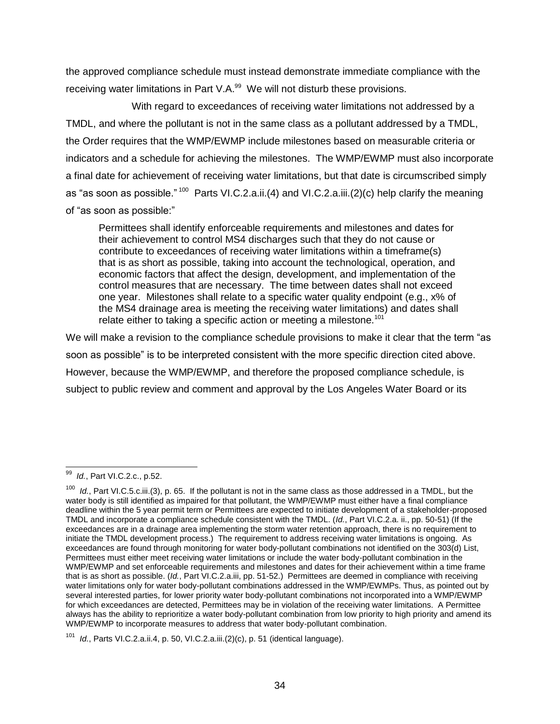the approved compliance schedule must instead demonstrate immediate compliance with the receiving water limitations in Part V.A. $^{99}$  We will not disturb these provisions.

With regard to exceedances of receiving water limitations not addressed by a TMDL, and where the pollutant is not in the same class as a pollutant addressed by a TMDL, the Order requires that the WMP/EWMP include milestones based on measurable criteria or indicators and a schedule for achieving the milestones. The WMP/EWMP must also incorporate a final date for achievement of receiving water limitations, but that date is circumscribed simply as "as soon as possible." <sup>100</sup> Parts VI.C.2.a.ii.(4) and VI.C.2.a.iii.(2)(c) help clarify the meaning of "as soon as possible:"

Permittees shall identify enforceable requirements and milestones and dates for their achievement to control MS4 discharges such that they do not cause or contribute to exceedances of receiving water limitations within a timeframe(s) that is as short as possible, taking into account the technological, operation, and economic factors that affect the design, development, and implementation of the control measures that are necessary. The time between dates shall not exceed one year. Milestones shall relate to a specific water quality endpoint (e.g., x% of the MS4 drainage area is meeting the receiving water limitations) and dates shall relate either to taking a specific action or meeting a milestone.<sup>101</sup>

We will make a revision to the compliance schedule provisions to make it clear that the term "as soon as possible" is to be interpreted consistent with the more specific direction cited above. However, because the WMP/EWMP, and therefore the proposed compliance schedule, is subject to public review and comment and approval by the Los Angeles Water Board or its

<sup>99</sup> *Id.*, Part VI.C.2.c., p.52.

<sup>&</sup>lt;sup>100</sup> *Id.*, Part VI.C.5.c.iii.(3), p. 65. If the pollutant is not in the same class as those addressed in a TMDL, but the water body is still identified as impaired for that pollutant, the WMP/EWMP must either have a final compliance deadline within the 5 year permit term or Permittees are expected to initiate development of a stakeholder-proposed TMDL and incorporate a compliance schedule consistent with the TMDL. (*Id.*, Part VI.C.2.a. ii., pp. 50-51) (If the exceedances are in a drainage area implementing the storm water retention approach, there is no requirement to initiate the TMDL development process.) The requirement to address receiving water limitations is ongoing. As exceedances are found through monitoring for water body-pollutant combinations not identified on the 303(d) List, Permittees must either meet receiving water limitations or include the water body-pollutant combination in the WMP/EWMP and set enforceable requirements and milestones and dates for their achievement within a time frame that is as short as possible. (*Id.*, Part VI.C.2.a.iii, pp. 51-52.) Permittees are deemed in compliance with receiving water limitations only for water body-pollutant combinations addressed in the WMP/EWMPs. Thus, as pointed out by several interested parties, for lower priority water body-pollutant combinations not incorporated into a WMP/EWMP for which exceedances are detected, Permittees may be in violation of the receiving water limitations. A Permittee always has the ability to reprioritize a water body-pollutant combination from low priority to high priority and amend its WMP/EWMP to incorporate measures to address that water body-pollutant combination.

<sup>101</sup> *Id.*, Parts VI.C.2.a.ii.4, p. 50, VI.C.2.a.iii.(2)(c), p. 51 (identical language).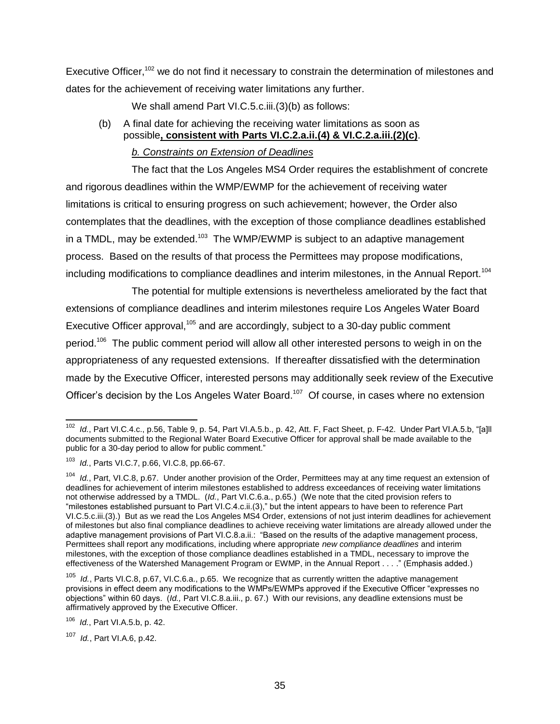Executive Officer,<sup>102</sup> we do not find it necessary to constrain the determination of milestones and dates for the achievement of receiving water limitations any further.

We shall amend Part VI.C.5.c.iii.(3)(b) as follows:

(b) A final date for achieving the receiving water limitations as soon as possible**, consistent with Parts VI.C.2.a.ii.(4) & VI.C.2.a.iii.(2)(c)**.

# *b. Constraints on Extension of Deadlines*

The fact that the Los Angeles MS4 Order requires the establishment of concrete and rigorous deadlines within the WMP/EWMP for the achievement of receiving water limitations is critical to ensuring progress on such achievement; however, the Order also contemplates that the deadlines, with the exception of those compliance deadlines established in a TMDL, may be extended.<sup>103</sup> The WMP/EWMP is subject to an adaptive management process. Based on the results of that process the Permittees may propose modifications, including modifications to compliance deadlines and interim milestones, in the Annual Report.<sup>104</sup>

The potential for multiple extensions is nevertheless ameliorated by the fact that extensions of compliance deadlines and interim milestones require Los Angeles Water Board Executive Officer approval,<sup>105</sup> and are accordingly, subject to a 30-day public comment period.<sup>106</sup> The public comment period will allow all other interested persons to weigh in on the appropriateness of any requested extensions. If thereafter dissatisfied with the determination made by the Executive Officer, interested persons may additionally seek review of the Executive Officer's decision by the Los Angeles Water Board.<sup>107</sup> Of course, in cases where no extension

107 *Id.*, Part VI.A.6, p.42.

 $\overline{a}$ <sup>102</sup> *Id.*, Part VI.C.4.c., p.56, Table 9, p. 54, Part VI.A.5.b., p. 42, Att. F, Fact Sheet, p. F-42. Under Part VI.A.5.b, "[a]ll documents submitted to the Regional Water Board Executive Officer for approval shall be made available to the public for a 30-day period to allow for public comment."

<sup>103</sup> *Id.*, Parts VI.C.7, p.66, VI.C.8, pp.66-67.

Id., Part, VI.C.8, p.67. Under another provision of the Order, Permittees may at any time request an extension of deadlines for achievement of interim milestones established to address exceedances of receiving water limitations not otherwise addressed by a TMDL. (*Id.*, Part VI.C.6.a., p.65.) (We note that the cited provision refers to "milestones established pursuant to Part VI.C.4.c.ii.(3)," but the intent appears to have been to reference Part VI.C.5.c.iii.(3).) But as we read the Los Angeles MS4 Order, extensions of not just interim deadlines for achievement of milestones but also final compliance deadlines to achieve receiving water limitations are already allowed under the adaptive management provisions of Part VI.C.8.a.ii.: "Based on the results of the adaptive management process, Permittees shall report any modifications, including where appropriate *new compliance deadlines* and interim milestones, with the exception of those compliance deadlines established in a TMDL, necessary to improve the effectiveness of the Watershed Management Program or EWMP, in the Annual Report . . . ." (Emphasis added.)

<sup>105</sup> *Id.*, Parts VI.C.8, p.67, VI.C.6.a., p.65. We recognize that as currently written the adaptive management provisions in effect deem any modifications to the WMPs/EWMPs approved if the Executive Officer "expresses no objections" within 60 days. (*Id.,* Part VI.C.8.a.iii., p. 67.) With our revisions, any deadline extensions must be affirmatively approved by the Executive Officer.

<sup>106</sup> *Id.*, Part VI.A.5.b, p. 42.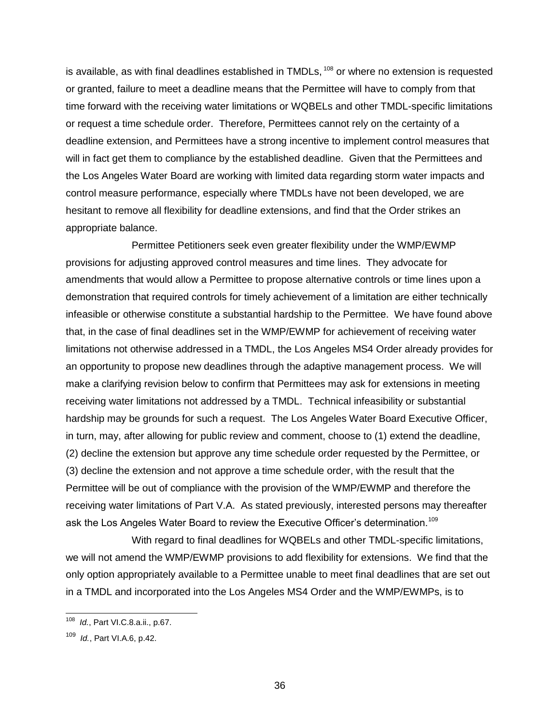is available, as with final deadlines established in TMDLs,  $108$  or where no extension is requested or granted, failure to meet a deadline means that the Permittee will have to comply from that time forward with the receiving water limitations or WQBELs and other TMDL-specific limitations or request a time schedule order. Therefore, Permittees cannot rely on the certainty of a deadline extension, and Permittees have a strong incentive to implement control measures that will in fact get them to compliance by the established deadline. Given that the Permittees and the Los Angeles Water Board are working with limited data regarding storm water impacts and control measure performance, especially where TMDLs have not been developed, we are hesitant to remove all flexibility for deadline extensions, and find that the Order strikes an appropriate balance.

Permittee Petitioners seek even greater flexibility under the WMP/EWMP provisions for adjusting approved control measures and time lines. They advocate for amendments that would allow a Permittee to propose alternative controls or time lines upon a demonstration that required controls for timely achievement of a limitation are either technically infeasible or otherwise constitute a substantial hardship to the Permittee. We have found above that, in the case of final deadlines set in the WMP/EWMP for achievement of receiving water limitations not otherwise addressed in a TMDL, the Los Angeles MS4 Order already provides for an opportunity to propose new deadlines through the adaptive management process. We will make a clarifying revision below to confirm that Permittees may ask for extensions in meeting receiving water limitations not addressed by a TMDL. Technical infeasibility or substantial hardship may be grounds for such a request. The Los Angeles Water Board Executive Officer, in turn, may, after allowing for public review and comment, choose to (1) extend the deadline, (2) decline the extension but approve any time schedule order requested by the Permittee, or (3) decline the extension and not approve a time schedule order, with the result that the Permittee will be out of compliance with the provision of the WMP/EWMP and therefore the receiving water limitations of Part V.A. As stated previously, interested persons may thereafter ask the Los Angeles Water Board to review the Executive Officer's determination.<sup>109</sup>

With regard to final deadlines for WQBELs and other TMDL-specific limitations, we will not amend the WMP/EWMP provisions to add flexibility for extensions. We find that the only option appropriately available to a Permittee unable to meet final deadlines that are set out in a TMDL and incorporated into the Los Angeles MS4 Order and the WMP/EWMPs, is to

<sup>108</sup> *Id.*, Part VI.C.8.a.ii., p.67.

<sup>109</sup> *Id.*, Part VI.A.6, p.42.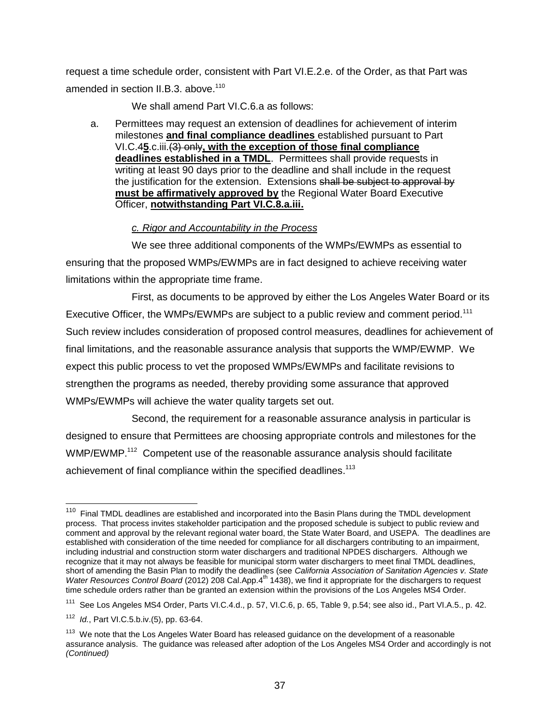request a time schedule order, consistent with Part VI.E.2.e. of the Order, as that Part was amended in section II.B.3. above.<sup>110</sup>

We shall amend Part VI.C.6.a as follows:

a. Permittees may request an extension of deadlines for achievement of interim milestones **and final compliance deadlines** established pursuant to Part VI.C.4**5**.c.iii.(3) only**, with the exception of those final compliance deadlines established in a TMDL**. Permittees shall provide requests in writing at least 90 days prior to the deadline and shall include in the request the justification for the extension. Extensions shall be subject to approval by **must be affirmatively approved by** the Regional Water Board Executive Officer, **notwithstanding Part VI.C.8.a.iii.**

#### *c. Rigor and Accountability in the Process*

We see three additional components of the WMPs/EWMPs as essential to ensuring that the proposed WMPs/EWMPs are in fact designed to achieve receiving water limitations within the appropriate time frame.

First, as documents to be approved by either the Los Angeles Water Board or its Executive Officer, the WMPs/EWMPs are subject to a public review and comment period.<sup>111</sup> Such review includes consideration of proposed control measures, deadlines for achievement of final limitations, and the reasonable assurance analysis that supports the WMP/EWMP. We expect this public process to vet the proposed WMPs/EWMPs and facilitate revisions to strengthen the programs as needed, thereby providing some assurance that approved WMPs/EWMPs will achieve the water quality targets set out.

Second, the requirement for a reasonable assurance analysis in particular is designed to ensure that Permittees are choosing appropriate controls and milestones for the WMP/EWMP.<sup>112</sup> Competent use of the reasonable assurance analysis should facilitate achievement of final compliance within the specified deadlines.<sup>113</sup>

 $\frac{1}{110}$  Final TMDL deadlines are established and incorporated into the Basin Plans during the TMDL development process. That process invites stakeholder participation and the proposed schedule is subject to public review and comment and approval by the relevant regional water board, the State Water Board, and USEPA. The deadlines are established with consideration of the time needed for compliance for all dischargers contributing to an impairment, including industrial and construction storm water dischargers and traditional NPDES dischargers. Although we recognize that it may not always be feasible for municipal storm water dischargers to meet final TMDL deadlines, short of amending the Basin Plan to modify the deadlines (see *California Association of Sanitation Agencies v. State Water Resources Control Board* (2012) 208 Cal.App.4<sup>th</sup> 1438), we find it appropriate for the dischargers to request time schedule orders rather than be granted an extension within the provisions of the Los Angeles MS4 Order.

<sup>111</sup> See Los Angeles MS4 Order, Parts VI.C.4.d., p. 57, VI.C.6, p. 65, Table 9, p.54; see also id., Part VI.A.5., p. 42.

<sup>112</sup> *Id.*, Part VI.C.5.b.iv.(5), pp. 63-64.

<sup>&</sup>lt;sup>113</sup> We note that the Los Angeles Water Board has released guidance on the development of a reasonable assurance analysis. The guidance was released after adoption of the Los Angeles MS4 Order and accordingly is not *(Continued)*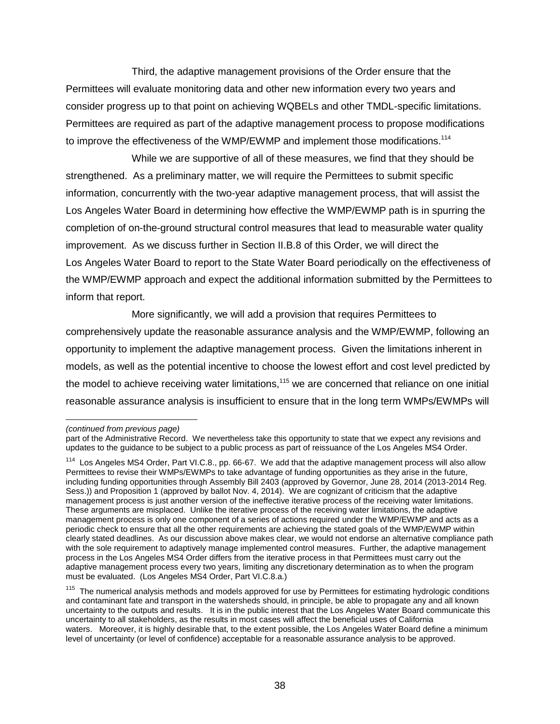Third, the adaptive management provisions of the Order ensure that the Permittees will evaluate monitoring data and other new information every two years and consider progress up to that point on achieving WQBELs and other TMDL-specific limitations. Permittees are required as part of the adaptive management process to propose modifications to improve the effectiveness of the WMP/EWMP and implement those modifications.<sup>114</sup>

While we are supportive of all of these measures, we find that they should be strengthened. As a preliminary matter, we will require the Permittees to submit specific information, concurrently with the two-year adaptive management process, that will assist the Los Angeles Water Board in determining how effective the WMP/EWMP path is in spurring the completion of on-the-ground structural control measures that lead to measurable water quality improvement. As we discuss further in Section II.B.8 of this Order, we will direct the Los Angeles Water Board to report to the State Water Board periodically on the effectiveness of the WMP/EWMP approach and expect the additional information submitted by the Permittees to inform that report.

More significantly, we will add a provision that requires Permittees to comprehensively update the reasonable assurance analysis and the WMP/EWMP, following an opportunity to implement the adaptive management process. Given the limitations inherent in models, as well as the potential incentive to choose the lowest effort and cost level predicted by the model to achieve receiving water limitations.<sup>115</sup> we are concerned that reliance on one initial reasonable assurance analysis is insufficient to ensure that in the long term WMPs/EWMPs will

*<sup>(</sup>continued from previous page)*

part of the Administrative Record. We nevertheless take this opportunity to state that we expect any revisions and updates to the guidance to be subject to a public process as part of reissuance of the Los Angeles MS4 Order.

<sup>&</sup>lt;sup>114</sup> Los Angeles MS4 Order, Part VI.C.8., pp. 66-67. We add that the adaptive management process will also allow Permittees to revise their WMPs/EWMPs to take advantage of funding opportunities as they arise in the future, including funding opportunities through Assembly Bill 2403 (approved by Governor, June 28, 2014 (2013-2014 Reg. Sess.)) and Proposition 1 (approved by ballot Nov. 4, 2014). We are cognizant of criticism that the adaptive management process is just another version of the ineffective iterative process of the receiving water limitations. These arguments are misplaced. Unlike the iterative process of the receiving water limitations, the adaptive management process is only one component of a series of actions required under the WMP/EWMP and acts as a periodic check to ensure that all the other requirements are achieving the stated goals of the WMP/EWMP within clearly stated deadlines. As our discussion above makes clear, we would not endorse an alternative compliance path with the sole requirement to adaptively manage implemented control measures. Further, the adaptive management process in the Los Angeles MS4 Order differs from the iterative process in that Permittees must carry out the adaptive management process every two years, limiting any discretionary determination as to when the program must be evaluated. (Los Angeles MS4 Order, Part VI.C.8.a.)

<sup>&</sup>lt;sup>115</sup> The numerical analysis methods and models approved for use by Permittees for estimating hydrologic conditions and contaminant fate and transport in the watersheds should, in principle, be able to propagate any and all known uncertainty to the outputs and results. It is in the public interest that the Los Angeles Water Board communicate this uncertainty to all stakeholders, as the results in most cases will affect the beneficial uses of California waters. Moreover, it is highly desirable that, to the extent possible, the Los Angeles Water Board define a minimum level of uncertainty (or level of confidence) acceptable for a reasonable assurance analysis to be approved.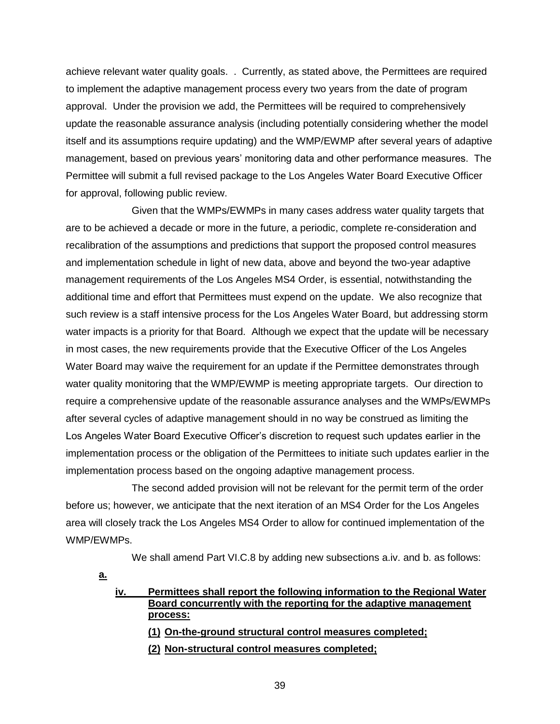achieve relevant water quality goals. . Currently, as stated above, the Permittees are required to implement the adaptive management process every two years from the date of program approval. Under the provision we add, the Permittees will be required to comprehensively update the reasonable assurance analysis (including potentially considering whether the model itself and its assumptions require updating) and the WMP/EWMP after several years of adaptive management, based on previous years' monitoring data and other performance measures. The Permittee will submit a full revised package to the Los Angeles Water Board Executive Officer for approval, following public review.

Given that the WMPs/EWMPs in many cases address water quality targets that are to be achieved a decade or more in the future, a periodic, complete re-consideration and recalibration of the assumptions and predictions that support the proposed control measures and implementation schedule in light of new data, above and beyond the two-year adaptive management requirements of the Los Angeles MS4 Order, is essential, notwithstanding the additional time and effort that Permittees must expend on the update. We also recognize that such review is a staff intensive process for the Los Angeles Water Board, but addressing storm water impacts is a priority for that Board. Although we expect that the update will be necessary in most cases, the new requirements provide that the Executive Officer of the Los Angeles Water Board may waive the requirement for an update if the Permittee demonstrates through water quality monitoring that the WMP/EWMP is meeting appropriate targets. Our direction to require a comprehensive update of the reasonable assurance analyses and the WMPs/EWMPs after several cycles of adaptive management should in no way be construed as limiting the Los Angeles Water Board Executive Officer's discretion to request such updates earlier in the implementation process or the obligation of the Permittees to initiate such updates earlier in the implementation process based on the ongoing adaptive management process.

The second added provision will not be relevant for the permit term of the order before us; however, we anticipate that the next iteration of an MS4 Order for the Los Angeles area will closely track the Los Angeles MS4 Order to allow for continued implementation of the WMP/EWMPs.

We shall amend Part VI.C.8 by adding new subsections a.iv. and b. as follows:

**a.**

**iv. Permittees shall report the following information to the Regional Water Board concurrently with the reporting for the adaptive management process:**

**(1) On-the-ground structural control measures completed;** 

**(2) Non-structural control measures completed;**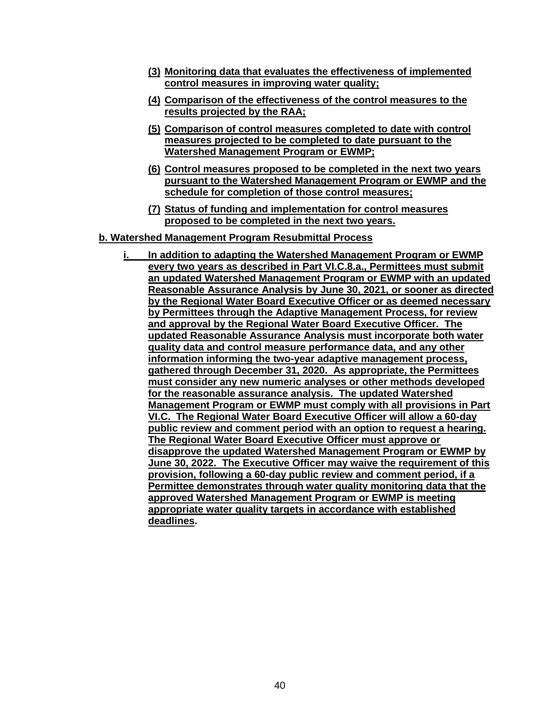- **(3) Monitoring data that evaluates the effectiveness of implemented control measures in improving water quality;**
- **(4) Comparison of the effectiveness of the control measures to the results projected by the RAA;**
- **(5) Comparison of control measures completed to date with control measures projected to be completed to date pursuant to the Watershed Management Program or EWMP;**
- **(6) Control measures proposed to be completed in the next two years pursuant to the Watershed Management Program or EWMP and the schedule for completion of those control measures;**
- **(7) Status of funding and implementation for control measures proposed to be completed in the next two years.**

#### **b. Watershed Management Program Resubmittal Process**

In addition to adapting the Watershed Management Program or EWMP **every two years as described in Part VI.C.8.a., Permittees must submit an updated Watershed Management Program or EWMP with an updated Reasonable Assurance Analysis by June 30, 2021, or sooner as directed by the Regional Water Board Executive Officer or as deemed necessary by Permittees through the Adaptive Management Process, for review and approval by the Regional Water Board Executive Officer. The updated Reasonable Assurance Analysis must incorporate both water quality data and control measure performance data, and any other information informing the two-year adaptive management process, gathered through December 31, 2020. As appropriate, the Permittees must consider any new numeric analyses or other methods developed for the reasonable assurance analysis. The updated Watershed Management Program or EWMP must comply with all provisions in Part VI.C. The Regional Water Board Executive Officer will allow a 60-day public review and comment period with an option to request a hearing. The Regional Water Board Executive Officer must approve or disapprove the updated Watershed Management Program or EWMP by June 30, 2022. The Executive Officer may waive the requirement of this provision, following a 60-day public review and comment period, if a Permittee demonstrates through water quality monitoring data that the approved Watershed Management Program or EWMP is meeting appropriate water quality targets in accordance with established deadlines.**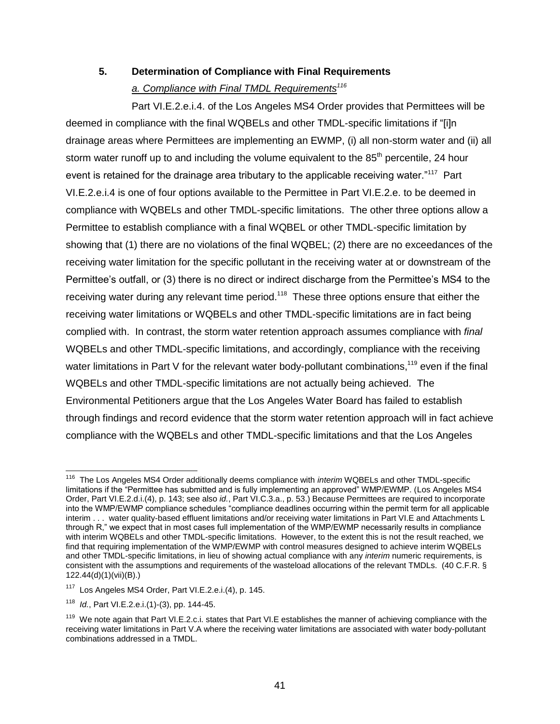# **5. Determination of Compliance with Final Requirements**

### *a. Compliance with Final TMDL Requirements<sup>116</sup>*

Part VI.E.2.e.i.4. of the Los Angeles MS4 Order provides that Permittees will be deemed in compliance with the final WQBELs and other TMDL-specific limitations if "[i]n drainage areas where Permittees are implementing an EWMP, (i) all non-storm water and (ii) all storm water runoff up to and including the volume equivalent to the  $85<sup>th</sup>$  percentile, 24 hour event is retained for the drainage area tributary to the applicable receiving water."<sup>117</sup> Part VI.E.2.e.i.4 is one of four options available to the Permittee in Part VI.E.2.e. to be deemed in compliance with WQBELs and other TMDL-specific limitations. The other three options allow a Permittee to establish compliance with a final WQBEL or other TMDL-specific limitation by showing that (1) there are no violations of the final WQBEL; (2) there are no exceedances of the receiving water limitation for the specific pollutant in the receiving water at or downstream of the Permittee's outfall, or (3) there is no direct or indirect discharge from the Permittee's MS4 to the receiving water during any relevant time period.<sup>118</sup> These three options ensure that either the receiving water limitations or WQBELs and other TMDL-specific limitations are in fact being complied with. In contrast, the storm water retention approach assumes compliance with *final* WQBELs and other TMDL-specific limitations, and accordingly, compliance with the receiving water limitations in Part V for the relevant water body-pollutant combinations,<sup>119</sup> even if the final WQBELs and other TMDL-specific limitations are not actually being achieved. The Environmental Petitioners argue that the Los Angeles Water Board has failed to establish through findings and record evidence that the storm water retention approach will in fact achieve compliance with the WQBELs and other TMDL-specific limitations and that the Los Angeles

 <sup>116</sup> The Los Angeles MS4 Order additionally deems compliance with *interim* WQBELs and other TMDL-specific limitations if the "Permittee has submitted and is fully implementing an approved" WMP/EWMP. (Los Angeles MS4 Order, Part VI.E.2.d.i.(4), p. 143; see also *id.*, Part VI.C.3.a., p. 53.) Because Permittees are required to incorporate into the WMP/EWMP compliance schedules "compliance deadlines occurring within the permit term for all applicable interim . . . water quality-based effluent limitations and/or receiving water limitations in Part VI.E and Attachments L through R," we expect that in most cases full implementation of the WMP/EWMP necessarily results in compliance with interim WQBELs and other TMDL-specific limitations. However, to the extent this is not the result reached, we find that requiring implementation of the WMP/EWMP with control measures designed to achieve interim WQBELs and other TMDL-specific limitations, in lieu of showing actual compliance with any *interim* numeric requirements, is consistent with the assumptions and requirements of the wasteload allocations of the relevant TMDLs. (40 C.F.R. § 122.44(d)(1)(vii)(B).)

<sup>&</sup>lt;sup>117</sup> Los Angeles MS4 Order, Part VI.E.2.e.i.(4), p. 145.

<sup>118</sup> *Id.*, Part VI.E.2.e.i.(1)-(3), pp. 144-45.

<sup>&</sup>lt;sup>119</sup> We note again that Part VI.E.2.c.i. states that Part VI.E establishes the manner of achieving compliance with the receiving water limitations in Part V.A where the receiving water limitations are associated with water body-pollutant combinations addressed in a TMDL.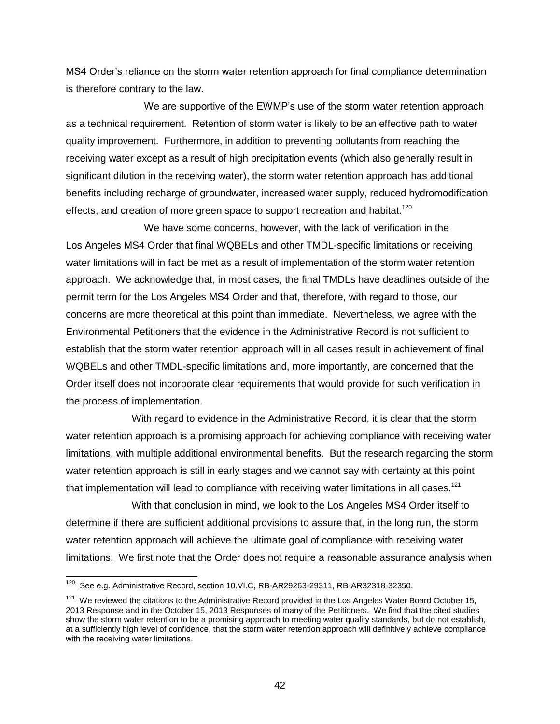MS4 Order's reliance on the storm water retention approach for final compliance determination is therefore contrary to the law.

We are supportive of the EWMP's use of the storm water retention approach as a technical requirement. Retention of storm water is likely to be an effective path to water quality improvement. Furthermore, in addition to preventing pollutants from reaching the receiving water except as a result of high precipitation events (which also generally result in significant dilution in the receiving water), the storm water retention approach has additional benefits including recharge of groundwater, increased water supply, reduced hydromodification effects, and creation of more green space to support recreation and habitat.<sup>120</sup>

We have some concerns, however, with the lack of verification in the Los Angeles MS4 Order that final WQBELs and other TMDL-specific limitations or receiving water limitations will in fact be met as a result of implementation of the storm water retention approach. We acknowledge that, in most cases, the final TMDLs have deadlines outside of the permit term for the Los Angeles MS4 Order and that, therefore, with regard to those, our concerns are more theoretical at this point than immediate. Nevertheless, we agree with the Environmental Petitioners that the evidence in the Administrative Record is not sufficient to establish that the storm water retention approach will in all cases result in achievement of final WQBELs and other TMDL-specific limitations and, more importantly, are concerned that the Order itself does not incorporate clear requirements that would provide for such verification in the process of implementation.

With regard to evidence in the Administrative Record, it is clear that the storm water retention approach is a promising approach for achieving compliance with receiving water limitations, with multiple additional environmental benefits. But the research regarding the storm water retention approach is still in early stages and we cannot say with certainty at this point that implementation will lead to compliance with receiving water limitations in all cases.<sup>121</sup>

With that conclusion in mind, we look to the Los Angeles MS4 Order itself to determine if there are sufficient additional provisions to assure that, in the long run, the storm water retention approach will achieve the ultimate goal of compliance with receiving water limitations. We first note that the Order does not require a reasonable assurance analysis when

<sup>120</sup> <sup>120</sup> See e.g. Administrative Record, section 10.VI.C**,** RB-AR29263-29311, RB-AR32318-32350.

<sup>&</sup>lt;sup>121</sup> We reviewed the citations to the Administrative Record provided in the Los Angeles Water Board October 15, 2013 Response and in the October 15, 2013 Responses of many of the Petitioners. We find that the cited studies show the storm water retention to be a promising approach to meeting water quality standards, but do not establish, at a sufficiently high level of confidence, that the storm water retention approach will definitively achieve compliance with the receiving water limitations.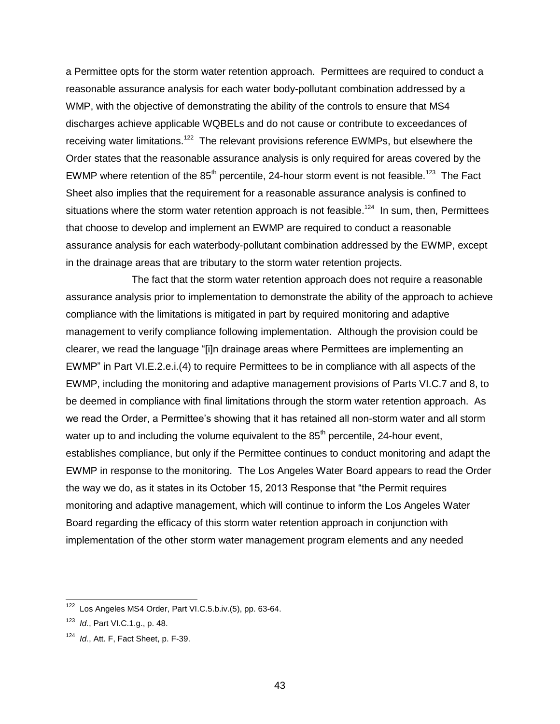a Permittee opts for the storm water retention approach. Permittees are required to conduct a reasonable assurance analysis for each water body-pollutant combination addressed by a WMP, with the objective of demonstrating the ability of the controls to ensure that MS4 discharges achieve applicable WQBELs and do not cause or contribute to exceedances of receiving water limitations.<sup>122</sup> The relevant provisions reference EWMPs, but elsewhere the Order states that the reasonable assurance analysis is only required for areas covered by the EWMP where retention of the  $85<sup>th</sup>$  percentile, 24-hour storm event is not feasible.<sup>123</sup> The Fact Sheet also implies that the requirement for a reasonable assurance analysis is confined to situations where the storm water retention approach is not feasible.<sup>124</sup> In sum, then, Permittees that choose to develop and implement an EWMP are required to conduct a reasonable assurance analysis for each waterbody-pollutant combination addressed by the EWMP, except in the drainage areas that are tributary to the storm water retention projects.

The fact that the storm water retention approach does not require a reasonable assurance analysis prior to implementation to demonstrate the ability of the approach to achieve compliance with the limitations is mitigated in part by required monitoring and adaptive management to verify compliance following implementation. Although the provision could be clearer, we read the language "[i]n drainage areas where Permittees are implementing an EWMP" in Part VI.E.2.e.i.(4) to require Permittees to be in compliance with all aspects of the EWMP, including the monitoring and adaptive management provisions of Parts VI.C.7 and 8, to be deemed in compliance with final limitations through the storm water retention approach. As we read the Order, a Permittee's showing that it has retained all non-storm water and all storm water up to and including the volume equivalent to the  $85<sup>th</sup>$  percentile, 24-hour event, establishes compliance, but only if the Permittee continues to conduct monitoring and adapt the EWMP in response to the monitoring. The Los Angeles Water Board appears to read the Order the way we do, as it states in its October 15, 2013 Response that "the Permit requires monitoring and adaptive management, which will continue to inform the Los Angeles Water Board regarding the efficacy of this storm water retention approach in conjunction with implementation of the other storm water management program elements and any needed

 $\overline{a}$ 

<sup>&</sup>lt;sup>122</sup> Los Angeles MS4 Order, Part VI.C.5.b.iv.(5), pp. 63-64.

<sup>123</sup> *Id.*, Part VI.C.1.g., p. 48.

<sup>124</sup> *Id.*, Att. F, Fact Sheet, p. F-39.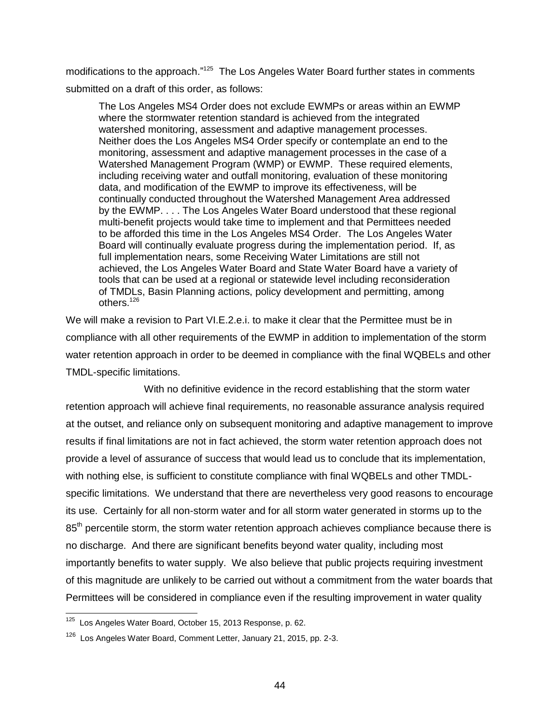modifications to the approach."<sup>125</sup> The Los Angeles Water Board further states in comments submitted on a draft of this order, as follows:

The Los Angeles MS4 Order does not exclude EWMPs or areas within an EWMP where the stormwater retention standard is achieved from the integrated watershed monitoring, assessment and adaptive management processes. Neither does the Los Angeles MS4 Order specify or contemplate an end to the monitoring, assessment and adaptive management processes in the case of a Watershed Management Program (WMP) or EWMP. These required elements, including receiving water and outfall monitoring, evaluation of these monitoring data, and modification of the EWMP to improve its effectiveness, will be continually conducted throughout the Watershed Management Area addressed by the EWMP. . . . The Los Angeles Water Board understood that these regional multi-benefit projects would take time to implement and that Permittees needed to be afforded this time in the Los Angeles MS4 Order. The Los Angeles Water Board will continually evaluate progress during the implementation period. If, as full implementation nears, some Receiving Water Limitations are still not achieved, the Los Angeles Water Board and State Water Board have a variety of tools that can be used at a regional or statewide level including reconsideration of TMDLs, Basin Planning actions, policy development and permitting, among others.<sup>126</sup>

We will make a revision to Part VI.E.2.e.i. to make it clear that the Permittee must be in compliance with all other requirements of the EWMP in addition to implementation of the storm water retention approach in order to be deemed in compliance with the final WQBELs and other TMDL-specific limitations.

With no definitive evidence in the record establishing that the storm water retention approach will achieve final requirements, no reasonable assurance analysis required at the outset, and reliance only on subsequent monitoring and adaptive management to improve results if final limitations are not in fact achieved, the storm water retention approach does not provide a level of assurance of success that would lead us to conclude that its implementation, with nothing else, is sufficient to constitute compliance with final WQBELs and other TMDLspecific limitations. We understand that there are nevertheless very good reasons to encourage its use. Certainly for all non-storm water and for all storm water generated in storms up to the 85<sup>th</sup> percentile storm, the storm water retention approach achieves compliance because there is no discharge. And there are significant benefits beyond water quality, including most importantly benefits to water supply. We also believe that public projects requiring investment of this magnitude are unlikely to be carried out without a commitment from the water boards that Permittees will be considered in compliance even if the resulting improvement in water quality

 $\overline{a}$ 

<sup>&</sup>lt;sup>125</sup> Los Angeles Water Board, October 15, 2013 Response, p. 62.

<sup>&</sup>lt;sup>126</sup> Los Angeles Water Board, Comment Letter, January 21, 2015, pp. 2-3.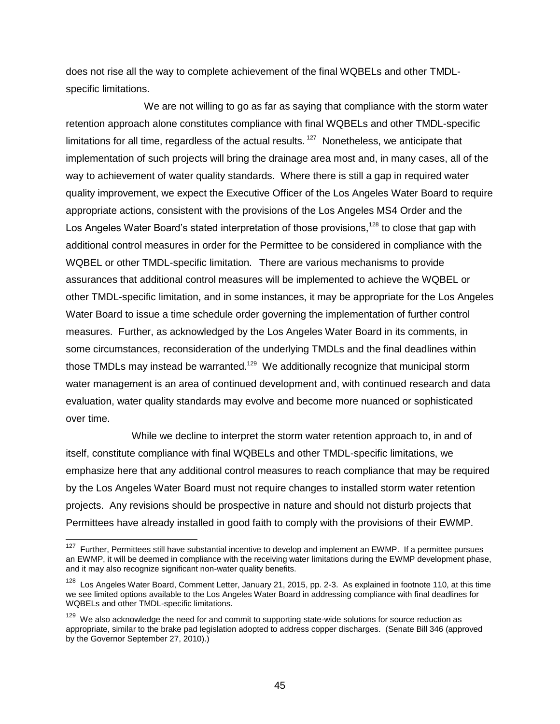does not rise all the way to complete achievement of the final WQBELs and other TMDLspecific limitations.

We are not willing to go as far as saying that compliance with the storm water retention approach alone constitutes compliance with final WQBELs and other TMDL-specific limitations for all time, regardless of the actual results.<sup>127</sup> Nonetheless, we anticipate that implementation of such projects will bring the drainage area most and, in many cases, all of the way to achievement of water quality standards. Where there is still a gap in required water quality improvement, we expect the Executive Officer of the Los Angeles Water Board to require appropriate actions, consistent with the provisions of the Los Angeles MS4 Order and the Los Angeles Water Board's stated interpretation of those provisions,<sup>128</sup> to close that gap with additional control measures in order for the Permittee to be considered in compliance with the WQBEL or other TMDL-specific limitation. There are various mechanisms to provide assurances that additional control measures will be implemented to achieve the WQBEL or other TMDL-specific limitation, and in some instances, it may be appropriate for the Los Angeles Water Board to issue a time schedule order governing the implementation of further control measures. Further, as acknowledged by the Los Angeles Water Board in its comments, in some circumstances, reconsideration of the underlying TMDLs and the final deadlines within those TMDLs may instead be warranted.<sup>129</sup> We additionally recognize that municipal storm water management is an area of continued development and, with continued research and data evaluation, water quality standards may evolve and become more nuanced or sophisticated over time.

While we decline to interpret the storm water retention approach to, in and of itself, constitute compliance with final WQBELs and other TMDL-specific limitations, we emphasize here that any additional control measures to reach compliance that may be required by the Los Angeles Water Board must not require changes to installed storm water retention projects. Any revisions should be prospective in nature and should not disturb projects that Permittees have already installed in good faith to comply with the provisions of their EWMP.

THERRY FURTHER THERRY THERRY THERRY THERRY FUTTER<br>The Further, Permittees still have substantial incentive to develop and implement an EWMP. If a permittee pursues an EWMP, it will be deemed in compliance with the receiving water limitations during the EWMP development phase, and it may also recognize significant non-water quality benefits.

<sup>&</sup>lt;sup>128</sup> Los Angeles Water Board, Comment Letter, January 21, 2015, pp. 2-3. As explained in footnote 110, at this time we see limited options available to the Los Angeles Water Board in addressing compliance with final deadlines for WQBELs and other TMDL-specific limitations.

<sup>129</sup> We also acknowledge the need for and commit to supporting state-wide solutions for source reduction as appropriate, similar to the brake pad legislation adopted to address copper discharges. (Senate Bill 346 (approved by the Governor September 27, 2010).)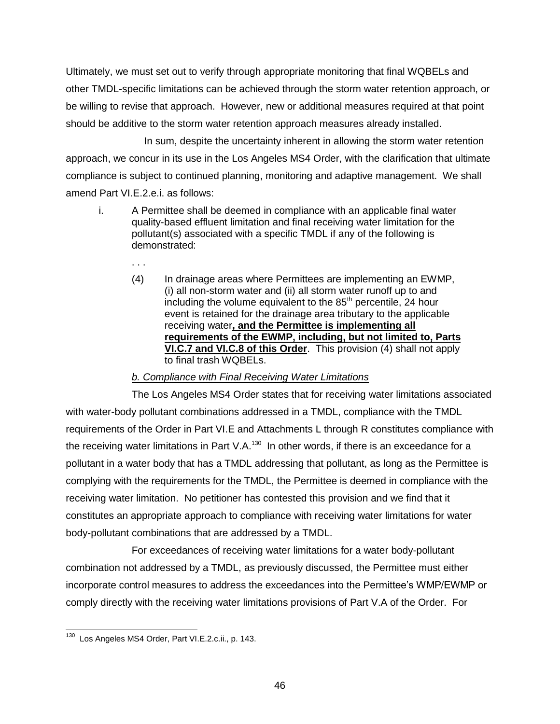Ultimately, we must set out to verify through appropriate monitoring that final WQBELs and other TMDL-specific limitations can be achieved through the storm water retention approach, or be willing to revise that approach. However, new or additional measures required at that point should be additive to the storm water retention approach measures already installed.

In sum, despite the uncertainty inherent in allowing the storm water retention approach, we concur in its use in the Los Angeles MS4 Order, with the clarification that ultimate compliance is subject to continued planning, monitoring and adaptive management. We shall amend Part VI.E.2.e.i. as follows:

- i. A Permittee shall be deemed in compliance with an applicable final water quality-based effluent limitation and final receiving water limitation for the pollutant(s) associated with a specific TMDL if any of the following is demonstrated:
	- . . .
	- (4) In drainage areas where Permittees are implementing an EWMP, (i) all non-storm water and (ii) all storm water runoff up to and including the volume equivalent to the  $85<sup>th</sup>$  percentile, 24 hour event is retained for the drainage area tributary to the applicable receiving water**, and the Permittee is implementing all requirements of the EWMP, including, but not limited to, Parts VI.C.7 and VI.C.8 of this Order**. This provision (4) shall not apply to final trash WQBELs.

#### *b. Compliance with Final Receiving Water Limitations*

The Los Angeles MS4 Order states that for receiving water limitations associated with water-body pollutant combinations addressed in a TMDL, compliance with the TMDL requirements of the Order in Part VI.E and Attachments L through R constitutes compliance with the receiving water limitations in Part V.A. $^{130}$  In other words, if there is an exceedance for a pollutant in a water body that has a TMDL addressing that pollutant, as long as the Permittee is complying with the requirements for the TMDL, the Permittee is deemed in compliance with the receiving water limitation. No petitioner has contested this provision and we find that it constitutes an appropriate approach to compliance with receiving water limitations for water body-pollutant combinations that are addressed by a TMDL.

For exceedances of receiving water limitations for a water body-pollutant combination not addressed by a TMDL, as previously discussed, the Permittee must either incorporate control measures to address the exceedances into the Permittee's WMP/EWMP or comply directly with the receiving water limitations provisions of Part V.A of the Order. For

 $\overline{a}$ <sup>130</sup> Los Angeles MS4 Order, Part VI.E.2.c.ii., p. 143.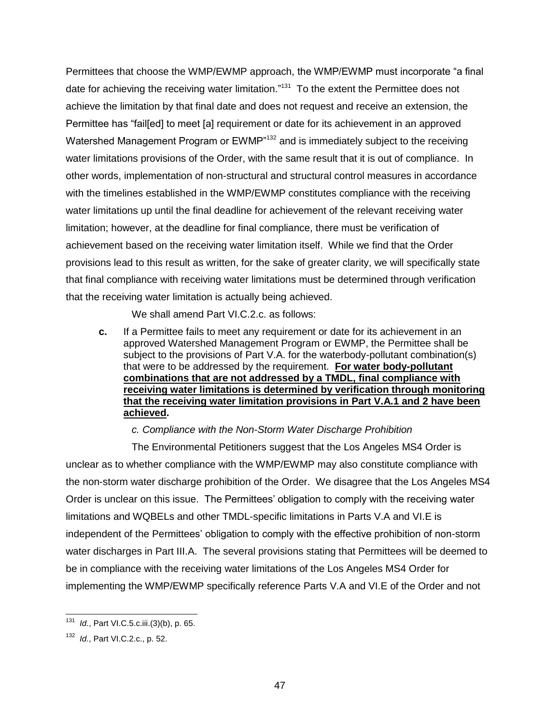Permittees that choose the WMP/EWMP approach, the WMP/EWMP must incorporate "a final date for achieving the receiving water limitation."<sup>131</sup> To the extent the Permittee does not achieve the limitation by that final date and does not request and receive an extension, the Permittee has "fail[ed] to meet [a] requirement or date for its achievement in an approved Watershed Management Program or EWMP<sup>"132</sup> and is immediately subject to the receiving water limitations provisions of the Order, with the same result that it is out of compliance. In other words, implementation of non-structural and structural control measures in accordance with the timelines established in the WMP/EWMP constitutes compliance with the receiving water limitations up until the final deadline for achievement of the relevant receiving water limitation; however, at the deadline for final compliance, there must be verification of achievement based on the receiving water limitation itself. While we find that the Order provisions lead to this result as written, for the sake of greater clarity, we will specifically state that final compliance with receiving water limitations must be determined through verification that the receiving water limitation is actually being achieved.

We shall amend Part VI.C.2.c. as follows:

**c.** If a Permittee fails to meet any requirement or date for its achievement in an approved Watershed Management Program or EWMP, the Permittee shall be subject to the provisions of Part V.A. for the waterbody-pollutant combination(s) that were to be addressed by the requirement. **For water body-pollutant combinations that are not addressed by a TMDL, final compliance with receiving water limitations is determined by verification through monitoring that the receiving water limitation provisions in Part V.A.1 and 2 have been achieved.**

*c. Compliance with the Non-Storm Water Discharge Prohibition*

The Environmental Petitioners suggest that the Los Angeles MS4 Order is unclear as to whether compliance with the WMP/EWMP may also constitute compliance with the non-storm water discharge prohibition of the Order. We disagree that the Los Angeles MS4 Order is unclear on this issue. The Permittees' obligation to comply with the receiving water limitations and WQBELs and other TMDL-specific limitations in Parts V.A and VI.E is independent of the Permittees' obligation to comply with the effective prohibition of non-storm water discharges in Part III.A. The several provisions stating that Permittees will be deemed to be in compliance with the receiving water limitations of the Los Angeles MS4 Order for implementing the WMP/EWMP specifically reference Parts V.A and VI.E of the Order and not

j <sup>131</sup> *Id.*, Part VI.C.5.c.iii.(3)(b), p. 65.

<sup>132</sup> *Id.*, Part VI.C.2.c., p. 52.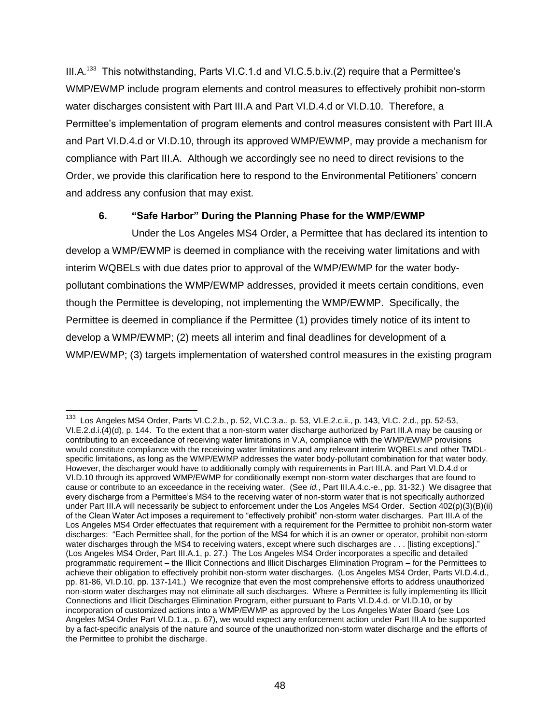III.A.<sup>133</sup> This notwithstanding, Parts VI.C.1.d and VI.C.5.b.iv.(2) require that a Permittee's WMP/EWMP include program elements and control measures to effectively prohibit non-storm water discharges consistent with Part III.A and Part VI.D.4.d or VI.D.10. Therefore, a Permittee's implementation of program elements and control measures consistent with Part III.A and Part VI.D.4.d or VI.D.10, through its approved WMP/EWMP, may provide a mechanism for compliance with Part III.A. Although we accordingly see no need to direct revisions to the Order, we provide this clarification here to respond to the Environmental Petitioners' concern and address any confusion that may exist.

### **6. "Safe Harbor" During the Planning Phase for the WMP/EWMP**

Under the Los Angeles MS4 Order, a Permittee that has declared its intention to develop a WMP/EWMP is deemed in compliance with the receiving water limitations and with interim WQBELs with due dates prior to approval of the WMP/EWMP for the water bodypollutant combinations the WMP/EWMP addresses, provided it meets certain conditions, even though the Permittee is developing, not implementing the WMP/EWMP. Specifically, the Permittee is deemed in compliance if the Permittee (1) provides timely notice of its intent to develop a WMP/EWMP; (2) meets all interim and final deadlines for development of a WMP/EWMP; (3) targets implementation of watershed control measures in the existing program

 133 Los Angeles MS4 Order, Parts VI.C.2.b., p. 52, VI.C.3.a., p. 53, VI.E.2.c.ii., p. 143, VI.C. 2.d., pp. 52-53, VI.E.2.d.i.(4)(d), p. 144. To the extent that a non-storm water discharge authorized by Part III.A may be causing or contributing to an exceedance of receiving water limitations in V.A, compliance with the WMP/EWMP provisions would constitute compliance with the receiving water limitations and any relevant interim WQBELs and other TMDLspecific limitations, as long as the WMP/EWMP addresses the water body-pollutant combination for that water body. However, the discharger would have to additionally comply with requirements in Part III.A. and Part VI.D.4.d or VI.D.10 through its approved WMP/EWMP for conditionally exempt non-storm water discharges that are found to cause or contribute to an exceedance in the receiving water. (See *id.*, Part III.A.4.c.-e., pp. 31-32.) We disagree that every discharge from a Permittee's MS4 to the receiving water of non-storm water that is not specifically authorized under Part III.A will necessarily be subject to enforcement under the Los Angeles MS4 Order. Section 402(p)(3)(B)(ii) of the Clean Water Act imposes a requirement to "effectively prohibit" non-storm water discharges. Part III.A of the Los Angeles MS4 Order effectuates that requirement with a requirement for the Permittee to prohibit non-storm water discharges: "Each Permittee shall, for the portion of the MS4 for which it is an owner or operator, prohibit non-storm water discharges through the MS4 to receiving waters, except where such discharges are . . . [listing exceptions]." (Los Angeles MS4 Order, Part III.A.1, p. 27.) The Los Angeles MS4 Order incorporates a specific and detailed programmatic requirement – the Illicit Connections and Illicit Discharges Elimination Program – for the Permittees to achieve their obligation to effectively prohibit non-storm water discharges. (Los Angeles MS4 Order, Parts VI.D.4.d., pp. 81-86, VI.D.10, pp. 137-141.) We recognize that even the most comprehensive efforts to address unauthorized non-storm water discharges may not eliminate all such discharges. Where a Permittee is fully implementing its Illicit Connections and Illicit Discharges Elimination Program, either pursuant to Parts VI.D.4.d. or VI.D.10, or by incorporation of customized actions into a WMP/EWMP as approved by the Los Angeles Water Board (see Los Angeles MS4 Order Part VI.D.1.a., p. 67), we would expect any enforcement action under Part III.A to be supported by a fact-specific analysis of the nature and source of the unauthorized non-storm water discharge and the efforts of the Permittee to prohibit the discharge.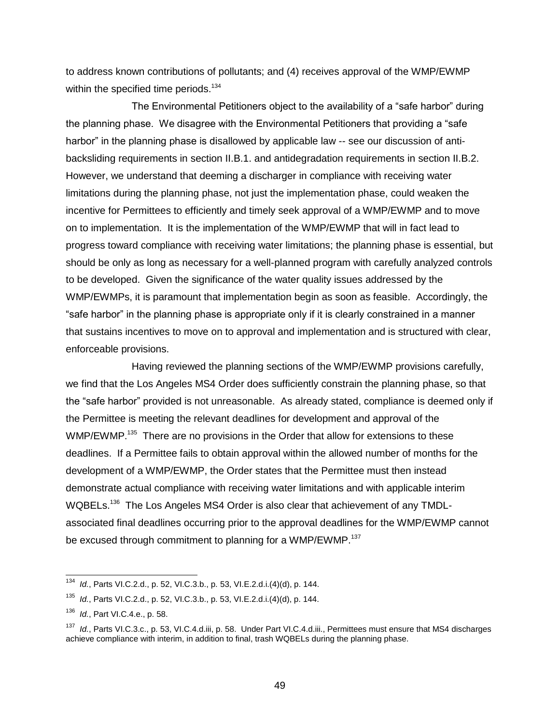to address known contributions of pollutants; and (4) receives approval of the WMP/EWMP within the specified time periods.<sup>134</sup>

The Environmental Petitioners object to the availability of a "safe harbor" during the planning phase. We disagree with the Environmental Petitioners that providing a "safe harbor" in the planning phase is disallowed by applicable law -- see our discussion of antibacksliding requirements in section II.B.1. and antidegradation requirements in section II.B.2. However, we understand that deeming a discharger in compliance with receiving water limitations during the planning phase, not just the implementation phase, could weaken the incentive for Permittees to efficiently and timely seek approval of a WMP/EWMP and to move on to implementation. It is the implementation of the WMP/EWMP that will in fact lead to progress toward compliance with receiving water limitations; the planning phase is essential, but should be only as long as necessary for a well-planned program with carefully analyzed controls to be developed. Given the significance of the water quality issues addressed by the WMP/EWMPs, it is paramount that implementation begin as soon as feasible. Accordingly, the "safe harbor" in the planning phase is appropriate only if it is clearly constrained in a manner that sustains incentives to move on to approval and implementation and is structured with clear, enforceable provisions.

Having reviewed the planning sections of the WMP/EWMP provisions carefully, we find that the Los Angeles MS4 Order does sufficiently constrain the planning phase, so that the "safe harbor" provided is not unreasonable. As already stated, compliance is deemed only if the Permittee is meeting the relevant deadlines for development and approval of the WMP/EWMP.<sup>135</sup> There are no provisions in the Order that allow for extensions to these deadlines. If a Permittee fails to obtain approval within the allowed number of months for the development of a WMP/EWMP, the Order states that the Permittee must then instead demonstrate actual compliance with receiving water limitations and with applicable interim WQBELs.<sup>136</sup> The Los Angeles MS4 Order is also clear that achievement of any TMDLassociated final deadlines occurring prior to the approval deadlines for the WMP/EWMP cannot be excused through commitment to planning for a WMP/EWMP.<sup>137</sup>

<sup>134</sup> *Id.*, Parts VI.C.2.d., p. 52, VI.C.3.b., p. 53, VI.E.2.d.i.(4)(d), p. 144.

<sup>135</sup> *Id.*, Parts VI.C.2.d., p. 52, VI.C.3.b., p. 53, VI.E.2.d.i.(4)(d), p. 144.

<sup>136</sup> *Id.*, Part VI.C.4.e., p. 58.

<sup>&</sup>lt;sup>137</sup> *Id.*, Parts VI.C.3.c., p. 53, VI.C.4.d.iii, p. 58. Under Part VI.C.4.d.iii., Permittees must ensure that MS4 discharges achieve compliance with interim, in addition to final, trash WQBELs during the planning phase.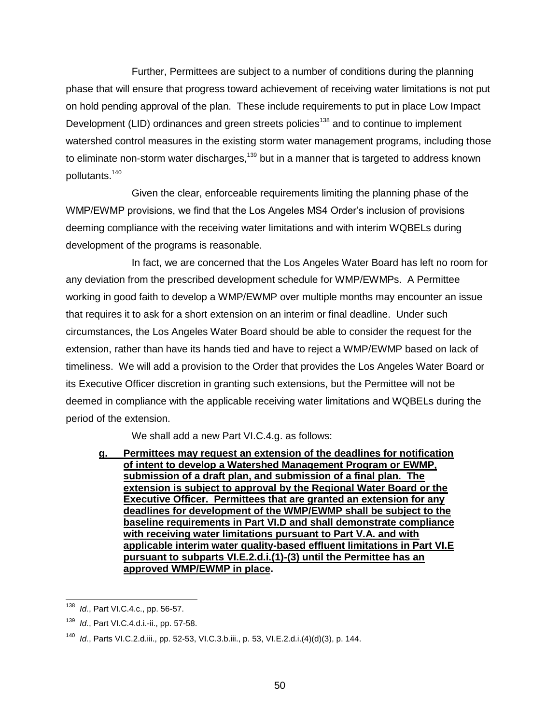Further, Permittees are subject to a number of conditions during the planning phase that will ensure that progress toward achievement of receiving water limitations is not put on hold pending approval of the plan. These include requirements to put in place Low Impact Development (LID) ordinances and green streets policies<sup>138</sup> and to continue to implement watershed control measures in the existing storm water management programs, including those to eliminate non-storm water discharges, $139$  but in a manner that is targeted to address known pollutants.<sup>140</sup>

Given the clear, enforceable requirements limiting the planning phase of the WMP/EWMP provisions, we find that the Los Angeles MS4 Order's inclusion of provisions deeming compliance with the receiving water limitations and with interim WQBELs during development of the programs is reasonable.

In fact, we are concerned that the Los Angeles Water Board has left no room for any deviation from the prescribed development schedule for WMP/EWMPs. A Permittee working in good faith to develop a WMP/EWMP over multiple months may encounter an issue that requires it to ask for a short extension on an interim or final deadline. Under such circumstances, the Los Angeles Water Board should be able to consider the request for the extension, rather than have its hands tied and have to reject a WMP/EWMP based on lack of timeliness. We will add a provision to the Order that provides the Los Angeles Water Board or its Executive Officer discretion in granting such extensions, but the Permittee will not be deemed in compliance with the applicable receiving water limitations and WQBELs during the period of the extension.

We shall add a new Part VI.C.4.g. as follows:

**g. Permittees may request an extension of the deadlines for notification of intent to develop a Watershed Management Program or EWMP, submission of a draft plan, and submission of a final plan. The extension is subject to approval by the Regional Water Board or the Executive Officer. Permittees that are granted an extension for any deadlines for development of the WMP/EWMP shall be subject to the baseline requirements in Part VI.D and shall demonstrate compliance with receiving water limitations pursuant to Part V.A. and with applicable interim water quality-based effluent limitations in Part VI.E pursuant to subparts VI.E.2.d.i.(1)-(3) until the Permittee has an approved WMP/EWMP in place.**

 $\overline{a}$ <sup>138</sup> *Id.*, Part VI.C.4.c., pp. 56-57.

<sup>139</sup> *Id.*, Part VI.C.4.d.i.-ii., pp. 57-58.

<sup>140</sup> *Id.*, Parts VI.C.2.d.iii., pp. 52-53, VI.C.3.b.iii., p. 53, VI.E.2.d.i.(4)(d)(3), p. 144.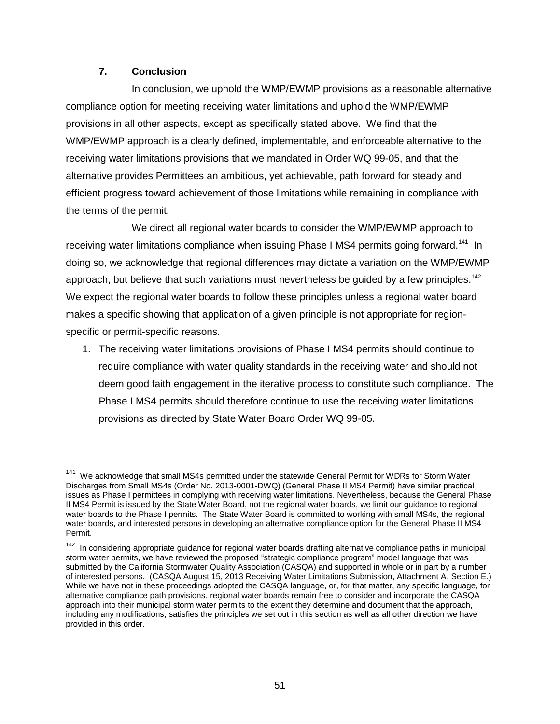#### **7. Conclusion**

In conclusion, we uphold the WMP/EWMP provisions as a reasonable alternative compliance option for meeting receiving water limitations and uphold the WMP/EWMP provisions in all other aspects, except as specifically stated above. We find that the WMP/EWMP approach is a clearly defined, implementable, and enforceable alternative to the receiving water limitations provisions that we mandated in Order WQ 99-05, and that the alternative provides Permittees an ambitious, yet achievable, path forward for steady and efficient progress toward achievement of those limitations while remaining in compliance with the terms of the permit.

We direct all regional water boards to consider the WMP/EWMP approach to receiving water limitations compliance when issuing Phase I MS4 permits going forward.<sup>141</sup> In doing so, we acknowledge that regional differences may dictate a variation on the WMP/EWMP approach, but believe that such variations must nevertheless be guided by a few principles.<sup>142</sup> We expect the regional water boards to follow these principles unless a regional water board makes a specific showing that application of a given principle is not appropriate for regionspecific or permit-specific reasons.

1. The receiving water limitations provisions of Phase I MS4 permits should continue to require compliance with water quality standards in the receiving water and should not deem good faith engagement in the iterative process to constitute such compliance. The Phase I MS4 permits should therefore continue to use the receiving water limitations provisions as directed by State Water Board Order WQ 99-05.

 141 We acknowledge that small MS4s permitted under the statewide General Permit for WDRs for Storm Water Discharges from Small MS4s (Order No. 2013-0001-DWQ) (General Phase II MS4 Permit) have similar practical issues as Phase I permittees in complying with receiving water limitations. Nevertheless, because the General Phase II MS4 Permit is issued by the State Water Board, not the regional water boards, we limit our guidance to regional water boards to the Phase I permits. The State Water Board is committed to working with small MS4s, the regional water boards, and interested persons in developing an alternative compliance option for the General Phase II MS4 Permit.

<sup>&</sup>lt;sup>142</sup> In considering appropriate guidance for regional water boards drafting alternative compliance paths in municipal storm water permits, we have reviewed the proposed "strategic compliance program" model language that was submitted by the California Stormwater Quality Association (CASQA) and supported in whole or in part by a number of interested persons. (CASQA August 15, 2013 Receiving Water Limitations Submission, Attachment A, Section E.) While we have not in these proceedings adopted the CASQA language, or, for that matter, any specific language, for alternative compliance path provisions, regional water boards remain free to consider and incorporate the CASQA approach into their municipal storm water permits to the extent they determine and document that the approach, including any modifications, satisfies the principles we set out in this section as well as all other direction we have provided in this order.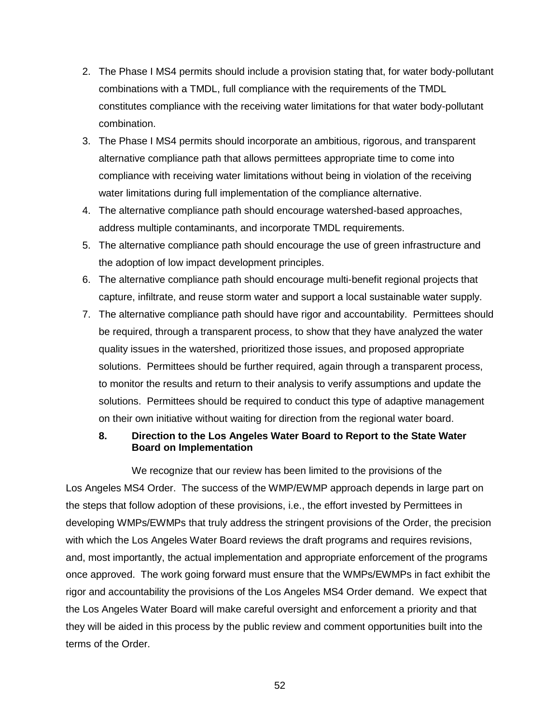- 2. The Phase I MS4 permits should include a provision stating that, for water body-pollutant combinations with a TMDL, full compliance with the requirements of the TMDL constitutes compliance with the receiving water limitations for that water body-pollutant combination.
- 3. The Phase I MS4 permits should incorporate an ambitious, rigorous, and transparent alternative compliance path that allows permittees appropriate time to come into compliance with receiving water limitations without being in violation of the receiving water limitations during full implementation of the compliance alternative.
- 4. The alternative compliance path should encourage watershed-based approaches, address multiple contaminants, and incorporate TMDL requirements.
- 5. The alternative compliance path should encourage the use of green infrastructure and the adoption of low impact development principles.
- 6. The alternative compliance path should encourage multi-benefit regional projects that capture, infiltrate, and reuse storm water and support a local sustainable water supply.
- 7. The alternative compliance path should have rigor and accountability. Permittees should be required, through a transparent process, to show that they have analyzed the water quality issues in the watershed, prioritized those issues, and proposed appropriate solutions. Permittees should be further required, again through a transparent process, to monitor the results and return to their analysis to verify assumptions and update the solutions. Permittees should be required to conduct this type of adaptive management on their own initiative without waiting for direction from the regional water board.

### **8. Direction to the Los Angeles Water Board to Report to the State Water Board on Implementation**

We recognize that our review has been limited to the provisions of the Los Angeles MS4 Order. The success of the WMP/EWMP approach depends in large part on the steps that follow adoption of these provisions, i.e., the effort invested by Permittees in developing WMPs/EWMPs that truly address the stringent provisions of the Order, the precision with which the Los Angeles Water Board reviews the draft programs and requires revisions, and, most importantly, the actual implementation and appropriate enforcement of the programs once approved. The work going forward must ensure that the WMPs/EWMPs in fact exhibit the rigor and accountability the provisions of the Los Angeles MS4 Order demand. We expect that the Los Angeles Water Board will make careful oversight and enforcement a priority and that they will be aided in this process by the public review and comment opportunities built into the terms of the Order.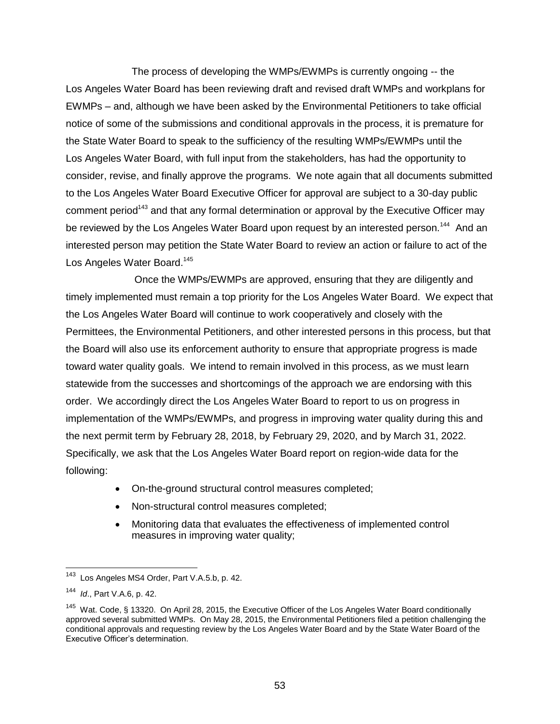The process of developing the WMPs/EWMPs is currently ongoing -- the Los Angeles Water Board has been reviewing draft and revised draft WMPs and workplans for EWMPs – and, although we have been asked by the Environmental Petitioners to take official notice of some of the submissions and conditional approvals in the process, it is premature for the State Water Board to speak to the sufficiency of the resulting WMPs/EWMPs until the Los Angeles Water Board, with full input from the stakeholders, has had the opportunity to consider, revise, and finally approve the programs. We note again that all documents submitted to the Los Angeles Water Board Executive Officer for approval are subject to a 30-day public comment period<sup>143</sup> and that any formal determination or approval by the Executive Officer may be reviewed by the Los Angeles Water Board upon request by an interested person.<sup>144</sup> And an interested person may petition the State Water Board to review an action or failure to act of the Los Angeles Water Board.<sup>145</sup>

Once the WMPs/EWMPs are approved, ensuring that they are diligently and timely implemented must remain a top priority for the Los Angeles Water Board. We expect that the Los Angeles Water Board will continue to work cooperatively and closely with the Permittees, the Environmental Petitioners, and other interested persons in this process, but that the Board will also use its enforcement authority to ensure that appropriate progress is made toward water quality goals. We intend to remain involved in this process, as we must learn statewide from the successes and shortcomings of the approach we are endorsing with this order. We accordingly direct the Los Angeles Water Board to report to us on progress in implementation of the WMPs/EWMPs, and progress in improving water quality during this and the next permit term by February 28, 2018, by February 29, 2020, and by March 31, 2022. Specifically, we ask that the Los Angeles Water Board report on region-wide data for the following:

- On-the-ground structural control measures completed;
- Non-structural control measures completed;
- Monitoring data that evaluates the effectiveness of implemented control measures in improving water quality;

<sup>143</sup> Los Angeles MS4 Order, Part V.A.5.b, p. 42.

<sup>144</sup> *Id*., Part V.A.6, p. 42.

<sup>&</sup>lt;sup>145</sup> Wat. Code, § 13320. On April 28, 2015, the Executive Officer of the Los Angeles Water Board conditionally approved several submitted WMPs. On May 28, 2015, the Environmental Petitioners filed a petition challenging the conditional approvals and requesting review by the Los Angeles Water Board and by the State Water Board of the Executive Officer's determination.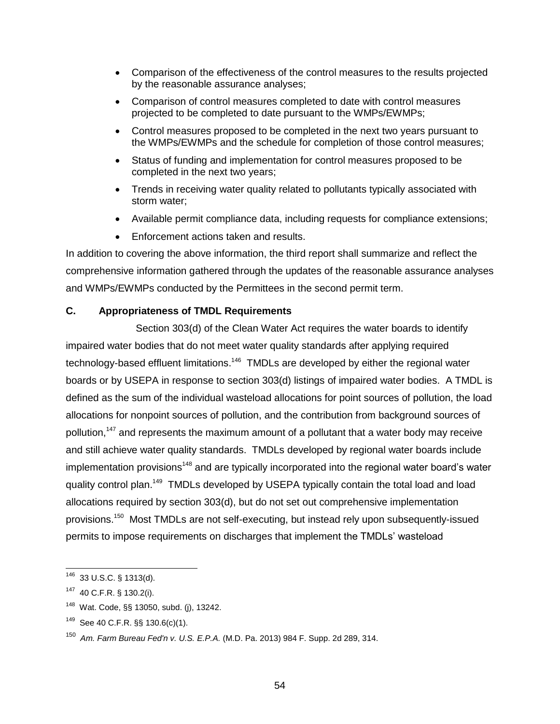- Comparison of the effectiveness of the control measures to the results projected by the reasonable assurance analyses;
- Comparison of control measures completed to date with control measures projected to be completed to date pursuant to the WMPs/EWMPs;
- Control measures proposed to be completed in the next two years pursuant to the WMPs/EWMPs and the schedule for completion of those control measures;
- Status of funding and implementation for control measures proposed to be completed in the next two years;
- Trends in receiving water quality related to pollutants typically associated with storm water;
- Available permit compliance data, including requests for compliance extensions;
- Enforcement actions taken and results.

In addition to covering the above information, the third report shall summarize and reflect the comprehensive information gathered through the updates of the reasonable assurance analyses and WMPs/EWMPs conducted by the Permittees in the second permit term.

### **C. Appropriateness of TMDL Requirements**

Section 303(d) of the Clean Water Act requires the water boards to identify impaired water bodies that do not meet water quality standards after applying required technology-based effluent limitations.<sup>146</sup> TMDLs are developed by either the regional water boards or by USEPA in response to section 303(d) listings of impaired water bodies. A TMDL is defined as the sum of the individual wasteload allocations for point sources of pollution, the load allocations for nonpoint sources of pollution, and the contribution from background sources of pollution,<sup>147</sup> and represents the maximum amount of a pollutant that a water body may receive and still achieve water quality standards. TMDLs developed by regional water boards include implementation provisions<sup>148</sup> and are typically incorporated into the regional water board's water quality control plan.<sup>149</sup> TMDLs developed by USEPA typically contain the total load and load allocations required by section 303(d), but do not set out comprehensive implementation provisions.<sup>150</sup> Most TMDLs are not self-executing, but instead rely upon subsequently-issued permits to impose requirements on discharges that implement the TMDLs' wasteload

 $146$  33 U.S.C. § 1313(d).

 $147$  40 C.F.R. § 130.2(i).

<sup>148</sup> Wat. Code, §§ 13050, subd. (j), 13242.

<sup>149</sup> See 40 C.F.R. §§ 130.6(c)(1).

<sup>150</sup> *Am. Farm Bureau Fed'n v. U.S. E.P.A.* (M.D. Pa. 2013) 984 F. Supp. 2d 289, 314.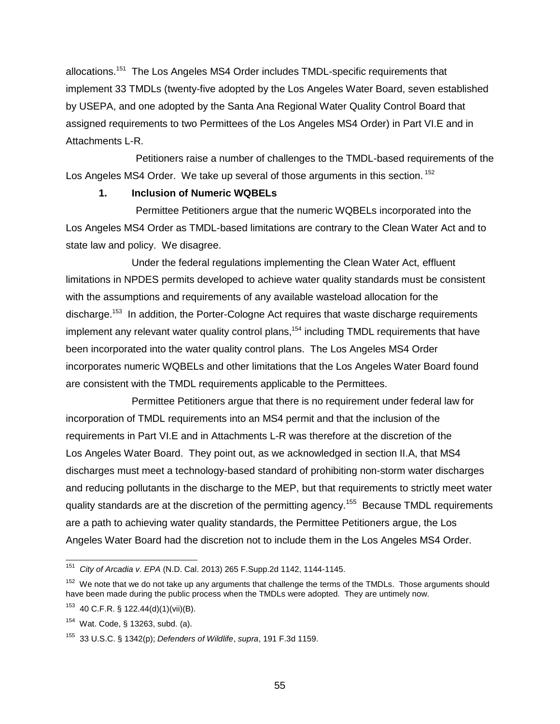allocations.<sup>151</sup> The Los Angeles MS4 Order includes TMDL-specific requirements that implement 33 TMDLs (twenty-five adopted by the Los Angeles Water Board, seven established by USEPA, and one adopted by the Santa Ana Regional Water Quality Control Board that assigned requirements to two Permittees of the Los Angeles MS4 Order) in Part VI.E and in Attachments L-R.

Petitioners raise a number of challenges to the TMDL-based requirements of the Los Angeles MS4 Order. We take up several of those arguments in this section.<sup>152</sup>

#### **1. Inclusion of Numeric WQBELs**

Permittee Petitioners argue that the numeric WQBELs incorporated into the Los Angeles MS4 Order as TMDL-based limitations are contrary to the Clean Water Act and to state law and policy. We disagree.

Under the federal regulations implementing the Clean Water Act, effluent limitations in NPDES permits developed to achieve water quality standards must be consistent with the assumptions and requirements of any available wasteload allocation for the discharge.<sup>153</sup> In addition, the Porter-Cologne Act requires that waste discharge requirements implement any relevant water quality control plans,<sup>154</sup> including TMDL requirements that have been incorporated into the water quality control plans. The Los Angeles MS4 Order incorporates numeric WQBELs and other limitations that the Los Angeles Water Board found are consistent with the TMDL requirements applicable to the Permittees.

Permittee Petitioners argue that there is no requirement under federal law for incorporation of TMDL requirements into an MS4 permit and that the inclusion of the requirements in Part VI.E and in Attachments L-R was therefore at the discretion of the Los Angeles Water Board. They point out, as we acknowledged in section II.A, that MS4 discharges must meet a technology-based standard of prohibiting non-storm water discharges and reducing pollutants in the discharge to the MEP, but that requirements to strictly meet water quality standards are at the discretion of the permitting agency.<sup>155</sup> Because TMDL requirements are a path to achieving water quality standards, the Permittee Petitioners argue, the Los Angeles Water Board had the discretion not to include them in the Los Angeles MS4 Order.

 $151$ <sup>151</sup> *City of Arcadia v. EPA* (N.D. Cal. 2013) 265 F.Supp.2d 1142, 1144-1145.

 $152$  We note that we do not take up any arguments that challenge the terms of the TMDLs. Those arguments should have been made during the public process when the TMDLs were adopted. They are untimely now.

 $153$  40 C.F.R. § 122.44(d)(1)(vii)(B).

<sup>154</sup> Wat. Code, § 13263, subd. (a).

<sup>155</sup> 33 U.S.C. § 1342(p); *Defenders of Wildlife*, *supra*, 191 F.3d 1159.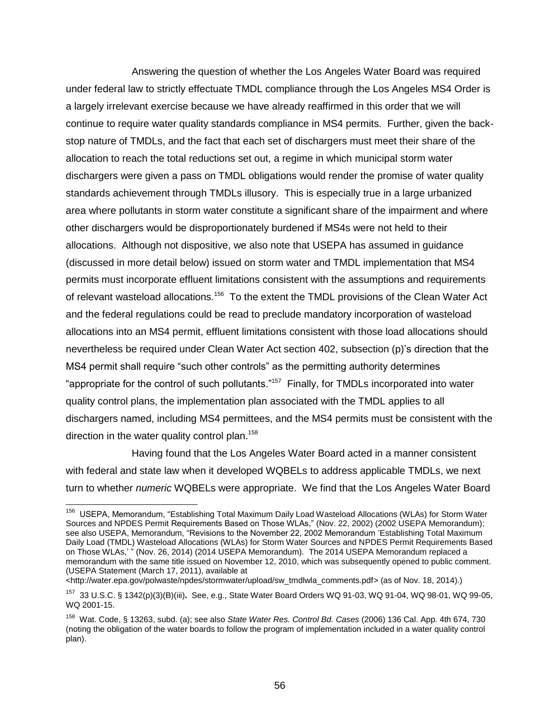Answering the question of whether the Los Angeles Water Board was required under federal law to strictly effectuate TMDL compliance through the Los Angeles MS4 Order is a largely irrelevant exercise because we have already reaffirmed in this order that we will continue to require water quality standards compliance in MS4 permits. Further, given the backstop nature of TMDLs, and the fact that each set of dischargers must meet their share of the allocation to reach the total reductions set out, a regime in which municipal storm water dischargers were given a pass on TMDL obligations would render the promise of water quality standards achievement through TMDLs illusory. This is especially true in a large urbanized area where pollutants in storm water constitute a significant share of the impairment and where other dischargers would be disproportionately burdened if MS4s were not held to their allocations. Although not dispositive, we also note that USEPA has assumed in guidance (discussed in more detail below) issued on storm water and TMDL implementation that MS4 permits must incorporate effluent limitations consistent with the assumptions and requirements of relevant wasteload allocations.<sup>156</sup> To the extent the TMDL provisions of the Clean Water Act and the federal regulations could be read to preclude mandatory incorporation of wasteload allocations into an MS4 permit, effluent limitations consistent with those load allocations should nevertheless be required under Clean Water Act section 402, subsection (p)'s direction that the MS4 permit shall require "such other controls" as the permitting authority determines "appropriate for the control of such pollutants."<sup>157</sup> Finally, for TMDLs incorporated into water quality control plans, the implementation plan associated with the TMDL applies to all dischargers named, including MS4 permittees, and the MS4 permits must be consistent with the direction in the water quality control plan.<sup>158</sup>

Having found that the Los Angeles Water Board acted in a manner consistent with federal and state law when it developed WQBELs to address applicable TMDLs, we next turn to whether *numeric* WQBELs were appropriate. We find that the Los Angeles Water Board

 156 USEPA, Memorandum, "Establishing Total Maximum Daily Load Wasteload Allocations (WLAs) for Storm Water Sources and NPDES Permit Requirements Based on Those WLAs," (Nov. 22, 2002) (2002 USEPA Memorandum); see also USEPA, Memorandum, "Revisions to the November 22, 2002 Memorandum 'Establishing Total Maximum Daily Load (TMDL) Wasteload Allocations (WLAs) for Storm Water Sources and NPDES Permit Requirements Based on Those WLAs,' " (Nov. 26, 2014) (2014 USEPA Memorandum). The 2014 USEPA Memorandum replaced a memorandum with the same title issued on November 12, 2010, which was subsequently opened to public comment. (USEPA Statement (March 17, 2011), available at

[<sup>&</sup>lt;http://water.epa.gov/polwaste/npdes/stormwater/upload/sw\\_tmdlwla\\_comments.pdf>](http://water.epa.gov/polwaste/npdes/stormwater/upload/sw_tmdlwla_comments.pdf) (as of Nov. 18, 2014).)

<sup>157</sup> 33 U.S.C. § 1342(p)(3)(B)(iii)**.** See, e.g., State Water Board Orders WQ 91-03, WQ 91-04, WQ 98-01, WQ 99-05, WQ 2001-15.

<sup>158</sup> Wat. Code, § 13263, subd. (a); see also *State Water Res. Control Bd. Cases* (2006) 136 Cal. App. 4th 674, 730 (noting the obligation of the water boards to follow the program of implementation included in a water quality control plan).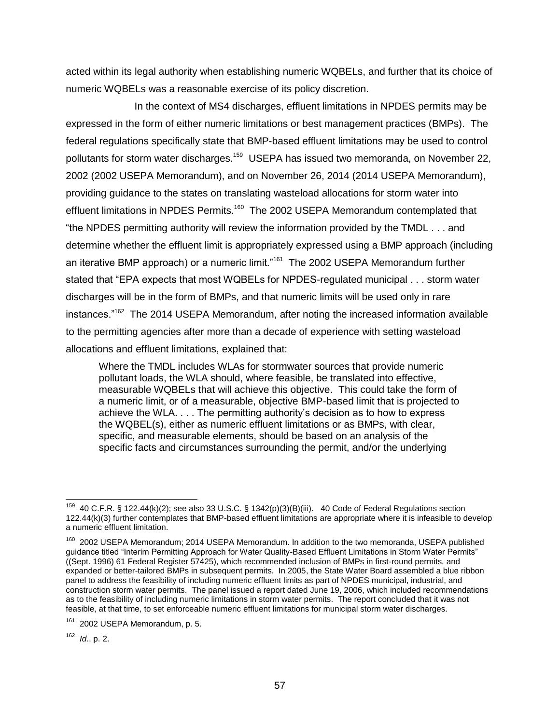acted within its legal authority when establishing numeric WQBELs, and further that its choice of numeric WQBELs was a reasonable exercise of its policy discretion.

In the context of MS4 discharges, effluent limitations in NPDES permits may be expressed in the form of either numeric limitations or best management practices (BMPs). The federal regulations specifically state that BMP-based effluent limitations may be used to control pollutants for storm water discharges.<sup>159</sup> USEPA has issued two memoranda, on November 22, 2002 (2002 USEPA Memorandum), and on November 26, 2014 (2014 USEPA Memorandum), providing guidance to the states on translating wasteload allocations for storm water into effluent limitations in NPDES Permits.<sup>160</sup> The 2002 USEPA Memorandum contemplated that "the NPDES permitting authority will review the information provided by the TMDL . . . and determine whether the effluent limit is appropriately expressed using a BMP approach (including an iterative BMP approach) or a numeric limit."<sup>161</sup> The 2002 USEPA Memorandum further stated that "EPA expects that most WQBELs for NPDES-regulated municipal . . . storm water discharges will be in the form of BMPs, and that numeric limits will be used only in rare instances."<sup>162</sup> The 2014 USEPA Memorandum, after noting the increased information available to the permitting agencies after more than a decade of experience with setting wasteload allocations and effluent limitations, explained that:

Where the TMDL includes WLAs for stormwater sources that provide numeric pollutant loads, the WLA should, where feasible, be translated into effective, measurable WQBELs that will achieve this objective. This could take the form of a numeric limit, or of a measurable, objective BMP-based limit that is projected to achieve the WLA. . . . The permitting authority's decision as to how to express the WQBEL(s), either as numeric effluent limitations or as BMPs, with clear, specific, and measurable elements, should be based on an analysis of the specific facts and circumstances surrounding the permit, and/or the underlying

<sup>162</sup> *Id*., p. 2.

 <sup>159</sup> 40 C.F.R. § 122.44(k)(2); see also 33 U.S.C. § 1342(p)(3)(B)(iii). 40 Code of Federal Regulations section 122.44(k)(3) further contemplates that BMP-based effluent limitations are appropriate where it is infeasible to develop a numeric effluent limitation.

<sup>&</sup>lt;sup>160</sup> 2002 USEPA Memorandum; 2014 USEPA Memorandum. In addition to the two memoranda, USEPA published guidance titled "Interim Permitting Approach for Water Quality-Based Effluent Limitations in Storm Water Permits" ((Sept. 1996) 61 Federal Register 57425), which recommended inclusion of BMPs in first-round permits, and expanded or better-tailored BMPs in subsequent permits. In 2005, the State Water Board assembled a blue ribbon panel to address the feasibility of including numeric effluent limits as part of NPDES municipal, industrial, and construction storm water permits. The panel issued a report dated June 19, 2006, which included recommendations as to the feasibility of including numeric limitations in storm water permits. The report concluded that it was not feasible, at that time, to set enforceable numeric effluent limitations for municipal storm water discharges.

<sup>&</sup>lt;sup>161</sup> 2002 USEPA Memorandum, p. 5.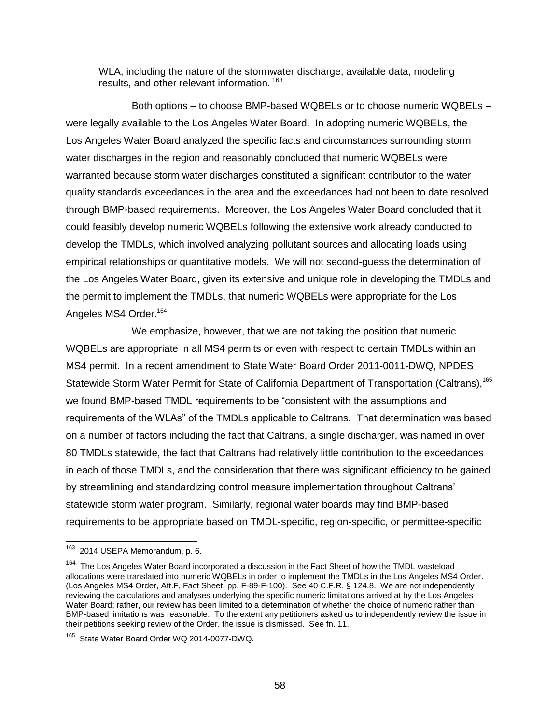WLA, including the nature of the stormwater discharge, available data, modeling results, and other relevant information.<sup>163</sup>

Both options – to choose BMP-based WQBELs or to choose numeric WQBELs – were legally available to the Los Angeles Water Board. In adopting numeric WQBELs, the Los Angeles Water Board analyzed the specific facts and circumstances surrounding storm water discharges in the region and reasonably concluded that numeric WQBELs were warranted because storm water discharges constituted a significant contributor to the water quality standards exceedances in the area and the exceedances had not been to date resolved through BMP-based requirements. Moreover, the Los Angeles Water Board concluded that it could feasibly develop numeric WQBELs following the extensive work already conducted to develop the TMDLs, which involved analyzing pollutant sources and allocating loads using empirical relationships or quantitative models. We will not second-guess the determination of the Los Angeles Water Board, given its extensive and unique role in developing the TMDLs and the permit to implement the TMDLs, that numeric WQBELs were appropriate for the Los Angeles MS4 Order.<sup>164</sup>

We emphasize, however, that we are not taking the position that numeric WQBELs are appropriate in all MS4 permits or even with respect to certain TMDLs within an MS4 permit. In a recent amendment to State Water Board Order 2011-0011-DWQ, NPDES Statewide Storm Water Permit for State of California Department of Transportation (Caltrans),<sup>165</sup> we found BMP-based TMDL requirements to be "consistent with the assumptions and requirements of the WLAs" of the TMDLs applicable to Caltrans. That determination was based on a number of factors including the fact that Caltrans, a single discharger, was named in over 80 TMDLs statewide, the fact that Caltrans had relatively little contribution to the exceedances in each of those TMDLs, and the consideration that there was significant efficiency to be gained by streamlining and standardizing control measure implementation throughout Caltrans' statewide storm water program. Similarly, regional water boards may find BMP-based requirements to be appropriate based on TMDL-specific, region-specific, or permittee-specific

 $\overline{a}$ <sup>163</sup> 2014 USEPA Memorandum, p. 6.

<sup>&</sup>lt;sup>164</sup> The Los Angeles Water Board incorporated a discussion in the Fact Sheet of how the TMDL wasteload allocations were translated into numeric WQBELs in order to implement the TMDLs in the Los Angeles MS4 Order. (Los Angeles MS4 Order, Att.F, Fact Sheet, pp. F-89-F-100). See 40 C.F.R. § 124.8. We are not independently reviewing the calculations and analyses underlying the specific numeric limitations arrived at by the Los Angeles Water Board; rather, our review has been limited to a determination of whether the choice of numeric rather than BMP-based limitations was reasonable. To the extent any petitioners asked us to independently review the issue in their petitions seeking review of the Order, the issue is dismissed. See fn. 11.

<sup>&</sup>lt;sup>165</sup> State Water Board Order WQ 2014-0077-DWQ.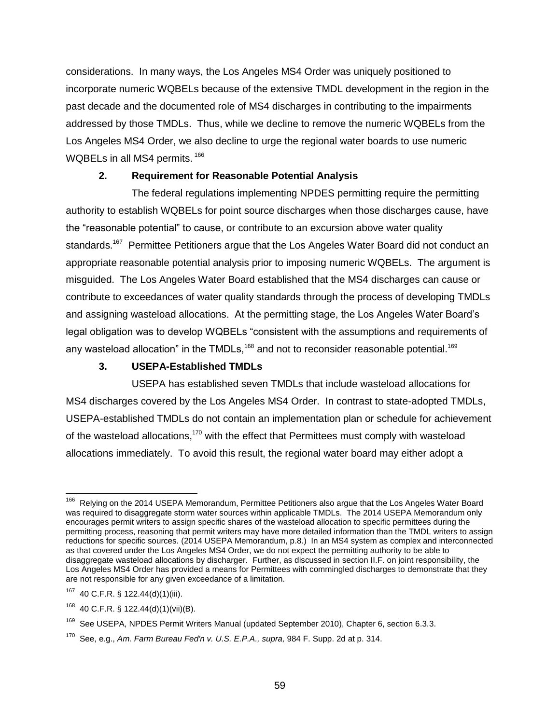considerations. In many ways, the Los Angeles MS4 Order was uniquely positioned to incorporate numeric WQBELs because of the extensive TMDL development in the region in the past decade and the documented role of MS4 discharges in contributing to the impairments addressed by those TMDLs. Thus, while we decline to remove the numeric WQBELs from the Los Angeles MS4 Order, we also decline to urge the regional water boards to use numeric WQBELs in all MS4 permits. <sup>166</sup>

### **2. Requirement for Reasonable Potential Analysis**

The federal regulations implementing NPDES permitting require the permitting authority to establish WQBELs for point source discharges when those discharges cause, have the "reasonable potential" to cause, or contribute to an excursion above water quality standards.<sup>167</sup> Permittee Petitioners argue that the Los Angeles Water Board did not conduct an appropriate reasonable potential analysis prior to imposing numeric WQBELs. The argument is misguided. The Los Angeles Water Board established that the MS4 discharges can cause or contribute to exceedances of water quality standards through the process of developing TMDLs and assigning wasteload allocations. At the permitting stage, the Los Angeles Water Board's legal obligation was to develop WQBELs "consistent with the assumptions and requirements of any wasteload allocation" in the TMDLs,  $168$  and not to reconsider reasonable potential.  $169$ 

# **3. USEPA-Established TMDLs**

USEPA has established seven TMDLs that include wasteload allocations for MS4 discharges covered by the Los Angeles MS4 Order. In contrast to state-adopted TMDLs, USEPA-established TMDLs do not contain an implementation plan or schedule for achievement of the wasteload allocations,<sup>170</sup> with the effect that Permittees must comply with wasteload allocations immediately. To avoid this result, the regional water board may either adopt a

The Relying on the 2014 USEPA Memorandum, Permittee Petitioners also argue that the Los Angeles Water Board 166 Relying was required to disaggregate storm water sources within applicable TMDLs. The 2014 USEPA Memorandum only encourages permit writers to assign specific shares of the wasteload allocation to specific permittees during the permitting process, reasoning that permit writers may have more detailed information than the TMDL writers to assign reductions for specific sources. (2014 USEPA Memorandum, p.8.) In an MS4 system as complex and interconnected as that covered under the Los Angeles MS4 Order, we do not expect the permitting authority to be able to disaggregate wasteload allocations by discharger. Further, as discussed in section II.F. on joint responsibility, the Los Angeles MS4 Order has provided a means for Permittees with commingled discharges to demonstrate that they are not responsible for any given exceedance of a limitation.

<sup>167</sup> 40 C.F.R. § 122.44(d)(1)(iii).

 $168$  40 C.F.R. § 122.44(d)(1)(vii)(B).

<sup>&</sup>lt;sup>169</sup> See USEPA, NPDES Permit Writers Manual (updated September 2010), Chapter 6, section 6.3.3.

<sup>170</sup> See, e.g., *Am. Farm Bureau Fed'n v. U.S. E.P.A., supra,* 984 F. Supp. 2d at p. 314.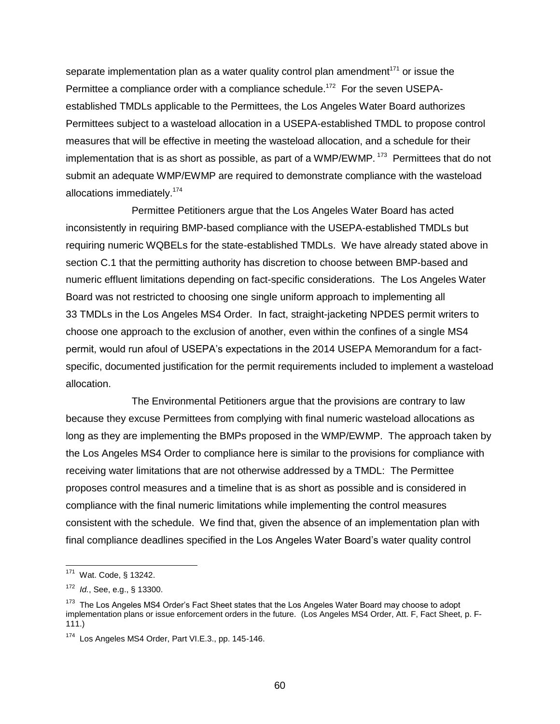separate implementation plan as a water quality control plan amendment<sup>171</sup> or issue the Permittee a compliance order with a compliance schedule.<sup>172</sup> For the seven USEPAestablished TMDLs applicable to the Permittees, the Los Angeles Water Board authorizes Permittees subject to a wasteload allocation in a USEPA-established TMDL to propose control measures that will be effective in meeting the wasteload allocation, and a schedule for their implementation that is as short as possible, as part of a WMP/EWMP.  $173$  Permittees that do not submit an adequate WMP/EWMP are required to demonstrate compliance with the wasteload allocations immediately.<sup>174</sup>

Permittee Petitioners argue that the Los Angeles Water Board has acted inconsistently in requiring BMP-based compliance with the USEPA-established TMDLs but requiring numeric WQBELs for the state-established TMDLs. We have already stated above in section C.1 that the permitting authority has discretion to choose between BMP-based and numeric effluent limitations depending on fact-specific considerations. The Los Angeles Water Board was not restricted to choosing one single uniform approach to implementing all 33 TMDLs in the Los Angeles MS4 Order. In fact, straight-jacketing NPDES permit writers to choose one approach to the exclusion of another, even within the confines of a single MS4 permit, would run afoul of USEPA's expectations in the 2014 USEPA Memorandum for a factspecific, documented justification for the permit requirements included to implement a wasteload allocation.

The Environmental Petitioners argue that the provisions are contrary to law because they excuse Permittees from complying with final numeric wasteload allocations as long as they are implementing the BMPs proposed in the WMP/EWMP. The approach taken by the Los Angeles MS4 Order to compliance here is similar to the provisions for compliance with receiving water limitations that are not otherwise addressed by a TMDL: The Permittee proposes control measures and a timeline that is as short as possible and is considered in compliance with the final numeric limitations while implementing the control measures consistent with the schedule. We find that, given the absence of an implementation plan with final compliance deadlines specified in the Los Angeles Water Board's water quality control

 $\overline{a}$ 

<sup>&</sup>lt;sup>171</sup> Wat. Code, § 13242.

<sup>172</sup> *Id.*, See, e.g., § 13300.

<sup>&</sup>lt;sup>173</sup> The Los Angeles MS4 Order's Fact Sheet states that the Los Angeles Water Board may choose to adopt implementation plans or issue enforcement orders in the future. (Los Angeles MS4 Order, Att. F, Fact Sheet, p. F-111.)

<sup>&</sup>lt;sup>174</sup> Los Angeles MS4 Order, Part VI.E.3., pp. 145-146.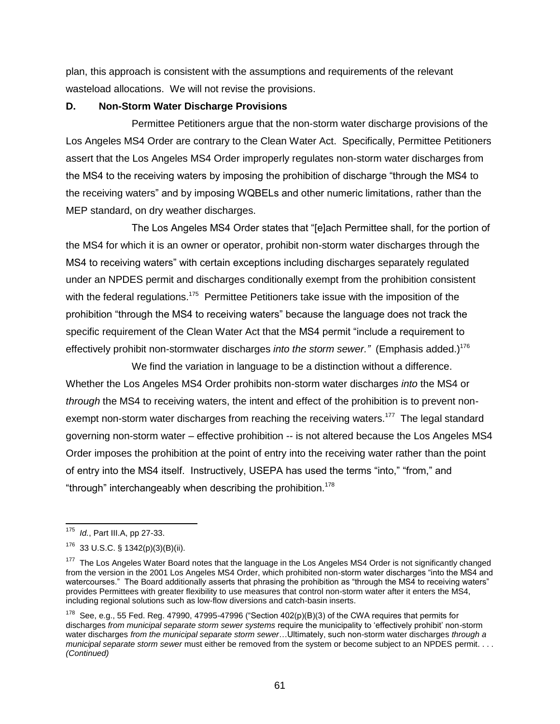plan, this approach is consistent with the assumptions and requirements of the relevant wasteload allocations. We will not revise the provisions.

#### **D. Non-Storm Water Discharge Provisions**

Permittee Petitioners argue that the non-storm water discharge provisions of the Los Angeles MS4 Order are contrary to the Clean Water Act. Specifically, Permittee Petitioners assert that the Los Angeles MS4 Order improperly regulates non-storm water discharges from the MS4 to the receiving waters by imposing the prohibition of discharge "through the MS4 to the receiving waters" and by imposing WQBELs and other numeric limitations, rather than the MEP standard, on dry weather discharges.

The Los Angeles MS4 Order states that "[e]ach Permittee shall, for the portion of the MS4 for which it is an owner or operator, prohibit non-storm water discharges through the MS4 to receiving waters" with certain exceptions including discharges separately regulated under an NPDES permit and discharges conditionally exempt from the prohibition consistent with the federal regulations.<sup>175</sup> Permittee Petitioners take issue with the imposition of the prohibition "through the MS4 to receiving waters" because the language does not track the specific requirement of the Clean Water Act that the MS4 permit "include a requirement to effectively prohibit non-stormwater discharges *into the storm sewer."* (Emphasis added.) 176

We find the variation in language to be a distinction without a difference. Whether the Los Angeles MS4 Order prohibits non-storm water discharges *into* the MS4 or *through* the MS4 to receiving waters, the intent and effect of the prohibition is to prevent nonexempt non-storm water discharges from reaching the receiving waters.<sup>177</sup> The legal standard governing non-storm water – effective prohibition -- is not altered because the Los Angeles MS4 Order imposes the prohibition at the point of entry into the receiving water rather than the point of entry into the MS4 itself. Instructively, USEPA has used the terms "into," "from," and "through" interchangeably when describing the prohibition.<sup>178</sup>

 $\overline{a}$ 

<sup>175</sup> *Id.*, Part III.A, pp 27-33.

 $176$  33 U.S.C. § 1342(p)(3)(B)(ii).

<sup>&</sup>lt;sup>177</sup> The Los Angeles Water Board notes that the language in the Los Angeles MS4 Order is not significantly changed from the version in the 2001 Los Angeles MS4 Order, which prohibited non-storm water discharges "into the MS4 and watercourses." The Board additionally asserts that phrasing the prohibition as "through the MS4 to receiving waters" provides Permittees with greater flexibility to use measures that control non-storm water after it enters the MS4, including regional solutions such as low-flow diversions and catch-basin inserts.

<sup>&</sup>lt;sup>178</sup> See. e.g., 55 Fed. Reg. 47990, 47995-47996 ("Section 402(p)(B)(3) of the CWA requires that permits for discharges *from municipal separate storm sewer systems* require the municipality to 'effectively prohibit' non-storm water discharges *from the municipal separate storm sewer*…Ultimately, such non-storm water discharges *through a municipal separate storm sewer* must either be removed from the system or become subject to an NPDES permit. . . . *(Continued)*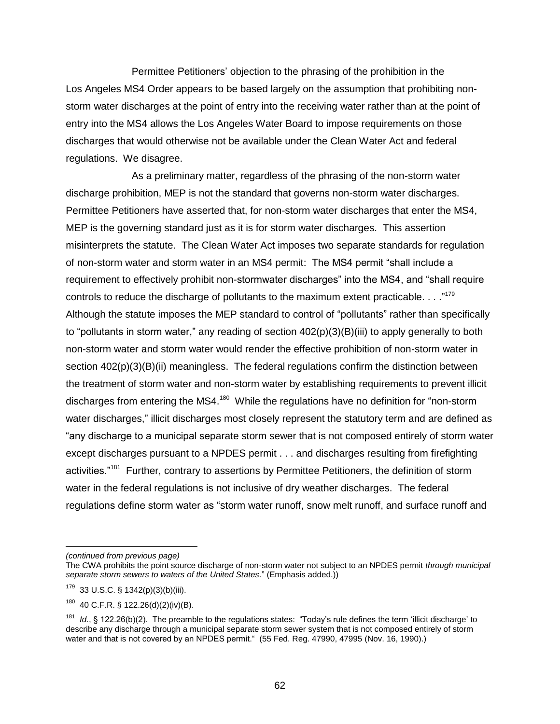Permittee Petitioners' objection to the phrasing of the prohibition in the Los Angeles MS4 Order appears to be based largely on the assumption that prohibiting nonstorm water discharges at the point of entry into the receiving water rather than at the point of entry into the MS4 allows the Los Angeles Water Board to impose requirements on those discharges that would otherwise not be available under the Clean Water Act and federal regulations. We disagree.

As a preliminary matter, regardless of the phrasing of the non-storm water discharge prohibition, MEP is not the standard that governs non-storm water discharges. Permittee Petitioners have asserted that, for non-storm water discharges that enter the MS4, MEP is the governing standard just as it is for storm water discharges. This assertion misinterprets the statute. The Clean Water Act imposes two separate standards for regulation of non-storm water and storm water in an MS4 permit: The MS4 permit "shall include a requirement to effectively prohibit non-stormwater discharges" into the MS4, and "shall require controls to reduce the discharge of pollutants to the maximum extent practicable.  $\dots$ <sup>"179</sup> Although the statute imposes the MEP standard to control of "pollutants" rather than specifically to "pollutants in storm water," any reading of section 402(p)(3)(B)(iii) to apply generally to both non-storm water and storm water would render the effective prohibition of non-storm water in section  $402(p)(3)(B)(ii)$  meaningless. The federal regulations confirm the distinction between the treatment of storm water and non-storm water by establishing requirements to prevent illicit discharges from entering the MS4.<sup>180</sup> While the regulations have no definition for "non-storm water discharges," illicit discharges most closely represent the statutory term and are defined as "any discharge to a municipal separate storm sewer that is not composed entirely of storm water except discharges pursuant to a NPDES permit . . . and discharges resulting from firefighting activities."<sup>181</sup> Further, contrary to assertions by Permittee Petitioners, the definition of storm water in the federal regulations is not inclusive of dry weather discharges. The federal regulations define storm water as "storm water runoff, snow melt runoff, and surface runoff and

*<sup>(</sup>continued from previous page)*

The CWA prohibits the point source discharge of non-storm water not subject to an NPDES permit *through municipal separate storm sewers to waters of the United States.*" (Emphasis added.))

 $179$  33 U.S.C. § 1342(p)(3)(b)(iii).

 $180$  40 C.F.R. § 122.26(d)(2)(iv)(B).

<sup>&</sup>lt;sup>181</sup> Id., § 122.26(b)(2). The preamble to the regulations states: "Today's rule defines the term 'illicit discharge' to describe any discharge through a municipal separate storm sewer system that is not composed entirely of storm water and that is not covered by an NPDES permit." (55 Fed. Reg. 47990, 47995 (Nov. 16, 1990).)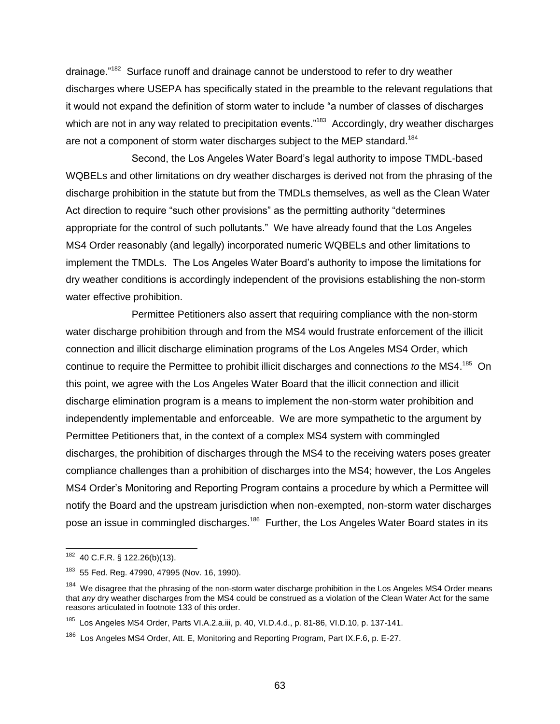drainage."<sup>182</sup> Surface runoff and drainage cannot be understood to refer to dry weather discharges where USEPA has specifically stated in the preamble to the relevant regulations that it would not expand the definition of storm water to include "a number of classes of discharges which are not in any way related to precipitation events."<sup>183</sup> Accordingly, dry weather discharges are not a component of storm water discharges subject to the MEP standard.<sup>184</sup>

Second, the Los Angeles Water Board's legal authority to impose TMDL-based WQBELs and other limitations on dry weather discharges is derived not from the phrasing of the discharge prohibition in the statute but from the TMDLs themselves, as well as the Clean Water Act direction to require "such other provisions" as the permitting authority "determines appropriate for the control of such pollutants." We have already found that the Los Angeles MS4 Order reasonably (and legally) incorporated numeric WQBELs and other limitations to implement the TMDLs. The Los Angeles Water Board's authority to impose the limitations for dry weather conditions is accordingly independent of the provisions establishing the non-storm water effective prohibition.

Permittee Petitioners also assert that requiring compliance with the non-storm water discharge prohibition through and from the MS4 would frustrate enforcement of the illicit connection and illicit discharge elimination programs of the Los Angeles MS4 Order, which continue to require the Permittee to prohibit illicit discharges and connections *to* the MS4. 185 On this point, we agree with the Los Angeles Water Board that the illicit connection and illicit discharge elimination program is a means to implement the non-storm water prohibition and independently implementable and enforceable. We are more sympathetic to the argument by Permittee Petitioners that, in the context of a complex MS4 system with commingled discharges, the prohibition of discharges through the MS4 to the receiving waters poses greater compliance challenges than a prohibition of discharges into the MS4; however, the Los Angeles MS4 Order's Monitoring and Reporting Program contains a procedure by which a Permittee will notify the Board and the upstream jurisdiction when non-exempted, non-storm water discharges pose an issue in commingled discharges.<sup>186</sup> Further, the Los Angeles Water Board states in its

 $\overline{a}$ 

 $182$  40 C.F.R. § 122.26(b)(13).

<sup>&</sup>lt;sup>183</sup> 55 Fed. Reg. 47990, 47995 (Nov. 16, 1990).

<sup>&</sup>lt;sup>184</sup> We disagree that the phrasing of the non-storm water discharge prohibition in the Los Angeles MS4 Order means that *any* dry weather discharges from the MS4 could be construed as a violation of the Clean Water Act for the same reasons articulated in footnote 133 of this order.

<sup>&</sup>lt;sup>185</sup> Los Angeles MS4 Order, Parts VI.A.2.a.iii, p. 40, VI.D.4.d., p. 81-86, VI.D.10, p. 137-141.

<sup>&</sup>lt;sup>186</sup> Los Angeles MS4 Order, Att. E, Monitoring and Reporting Program, Part IX.F.6, p. E-27.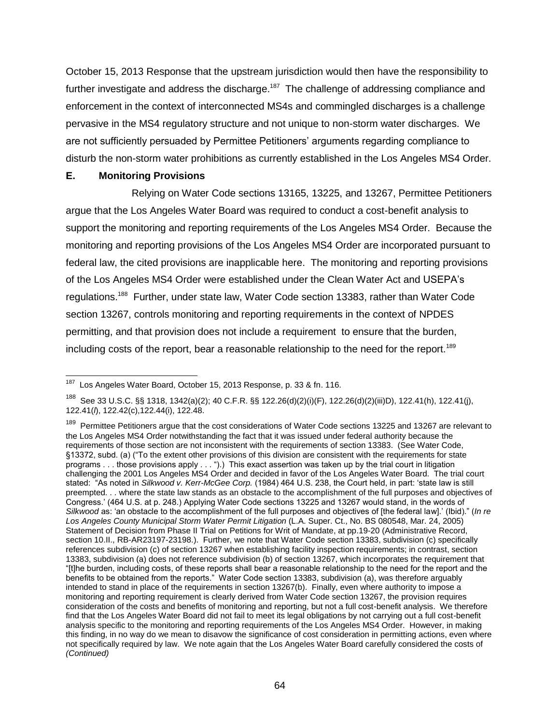October 15, 2013 Response that the upstream jurisdiction would then have the responsibility to further investigate and address the discharge.<sup>187</sup> The challenge of addressing compliance and enforcement in the context of interconnected MS4s and commingled discharges is a challenge pervasive in the MS4 regulatory structure and not unique to non-storm water discharges. We are not sufficiently persuaded by Permittee Petitioners' arguments regarding compliance to disturb the non-storm water prohibitions as currently established in the Los Angeles MS4 Order.

#### **E. Monitoring Provisions**

 $\overline{a}$ 

Relying on Water Code sections 13165, 13225, and 13267, Permittee Petitioners argue that the Los Angeles Water Board was required to conduct a cost-benefit analysis to support the monitoring and reporting requirements of the Los Angeles MS4 Order. Because the monitoring and reporting provisions of the Los Angeles MS4 Order are incorporated pursuant to federal law, the cited provisions are inapplicable here. The monitoring and reporting provisions of the Los Angeles MS4 Order were established under the Clean Water Act and USEPA's regulations.<sup>188</sup> Further, under state law, Water Code section 13383, rather than Water Code section 13267, controls monitoring and reporting requirements in the context of NPDES permitting, and that provision does not include a requirement to ensure that the burden, including costs of the report, bear a reasonable relationship to the need for the report.<sup>189</sup>

<sup>&</sup>lt;sup>187</sup> Los Angeles Water Board, October 15, 2013 Response, p. 33 & fn. 116.

<sup>188</sup> See 33 U.S.C. §§ 1318, 1342(a)(2); 40 C.F.R. §§ 122.26(d)(2)(i)(F), 122.26(d)(2)(iii)D), 122.41(h), 122.41(j), 122.41(*l*), 122.42(c),122.44(i), 122.48.

<sup>189</sup> Permittee Petitioners argue that the cost considerations of Water Code sections 13225 and 13267 are relevant to the Los Angeles MS4 Order notwithstanding the fact that it was issued under federal authority because the requirements of those section are not inconsistent with the requirements of section 13383. (See Water Code, §13372, subd. (a) ("To the extent other provisions of this division are consistent with the requirements for state programs . . . those provisions apply . . . ").) This exact assertion was taken up by the trial court in litigation challenging the 2001 Los Angeles MS4 Order and decided in favor of the Los Angeles Water Board. The trial court stated: "As noted in *Silkwood v. Kerr-McGee Corp.* (1984) 464 U.S. 238, the Court held, in part: 'state law is still preempted. . . where the state law stands as an obstacle to the accomplishment of the full purposes and objectives of Congress.' (464 U.S. at p. 248.) Applying Water Code sections 13225 and 13267 would stand, in the words of *Silkwood* as: 'an obstacle to the accomplishment of the full purposes and objectives of [the federal law].' (Ibid)." (*In re Los Angeles County Municipal Storm Water Permit Litigation* (L.A. Super. Ct., No. BS 080548, Mar. 24, 2005) Statement of Decision from Phase II Trial on Petitions for Writ of Mandate, at pp.19-20 (Administrative Record, section 10.II., RB-AR23197-23198.). Further, we note that Water Code section 13383, subdivision (c) specifically references subdivision (c) of section 13267 when establishing facility inspection requirements; in contrast, section 13383, subdivision (a) does not reference subdivision (b) of section 13267, which incorporates the requirement that "[t]he burden, including costs, of these reports shall bear a reasonable relationship to the need for the report and the benefits to be obtained from the reports." Water Code section 13383, subdivision (a), was therefore arguably intended to stand in place of the requirements in section 13267(b). Finally, even where authority to impose a monitoring and reporting requirement is clearly derived from Water Code section 13267, the provision requires consideration of the costs and benefits of monitoring and reporting, but not a full cost-benefit analysis. We therefore find that the Los Angeles Water Board did not fail to meet its legal obligations by not carrying out a full cost-benefit analysis specific to the monitoring and reporting requirements of the Los Angeles MS4 Order. However, in making this finding, in no way do we mean to disavow the significance of cost consideration in permitting actions, even where not specifically required by law. We note again that the Los Angeles Water Board carefully considered the costs of *(Continued)*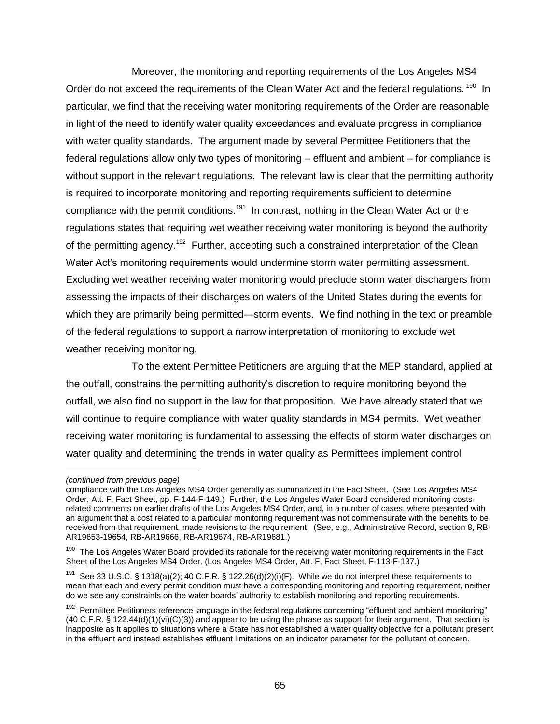Moreover, the monitoring and reporting requirements of the Los Angeles MS4 Order do not exceed the requirements of the Clean Water Act and the federal regulations. <sup>190</sup> In particular, we find that the receiving water monitoring requirements of the Order are reasonable in light of the need to identify water quality exceedances and evaluate progress in compliance with water quality standards. The argument made by several Permittee Petitioners that the federal regulations allow only two types of monitoring – effluent and ambient – for compliance is without support in the relevant regulations. The relevant law is clear that the permitting authority is required to incorporate monitoring and reporting requirements sufficient to determine compliance with the permit conditions.<sup>191</sup> In contrast, nothing in the Clean Water Act or the regulations states that requiring wet weather receiving water monitoring is beyond the authority of the permitting agency.<sup>192</sup> Further, accepting such a constrained interpretation of the Clean Water Act's monitoring requirements would undermine storm water permitting assessment. Excluding wet weather receiving water monitoring would preclude storm water dischargers from assessing the impacts of their discharges on waters of the United States during the events for which they are primarily being permitted—storm events. We find nothing in the text or preamble of the federal regulations to support a narrow interpretation of monitoring to exclude wet weather receiving monitoring.

To the extent Permittee Petitioners are arguing that the MEP standard, applied at the outfall, constrains the permitting authority's discretion to require monitoring beyond the outfall, we also find no support in the law for that proposition. We have already stated that we will continue to require compliance with water quality standards in MS4 permits. Wet weather receiving water monitoring is fundamental to assessing the effects of storm water discharges on water quality and determining the trends in water quality as Permittees implement control

*<sup>(</sup>continued from previous page)*

compliance with the Los Angeles MS4 Order generally as summarized in the Fact Sheet. (See Los Angeles MS4 Order, Att. F, Fact Sheet, pp. F-144-F-149.) Further, the Los Angeles Water Board considered monitoring costsrelated comments on earlier drafts of the Los Angeles MS4 Order, and, in a number of cases, where presented with an argument that a cost related to a particular monitoring requirement was not commensurate with the benefits to be received from that requirement, made revisions to the requirement. (See, e.g., Administrative Record, section 8, RB-AR19653-19654, RB-AR19666, RB-AR19674, RB-AR19681.)

<sup>&</sup>lt;sup>190</sup> The Los Angeles Water Board provided its rationale for the receiving water monitoring requirements in the Fact Sheet of the Los Angeles MS4 Order. (Los Angeles MS4 Order, Att. F, Fact Sheet, F-113-F-137.)

<sup>&</sup>lt;sup>191</sup> See 33 U.S.C. § 1318(a)(2); 40 C.F.R. § 122.26(d)(2)(i)(F). While we do not interpret these requirements to mean that each and every permit condition must have a corresponding monitoring and reporting requirement, neither do we see any constraints on the water boards' authority to establish monitoring and reporting requirements.

<sup>&</sup>lt;sup>192</sup> Permittee Petitioners reference language in the federal regulations concerning "effluent and ambient monitoring" (40 C.F.R. § 122.44(d)(1)(vi)(C)(3)) and appear to be using the phrase as support for their argument. That section is inapposite as it applies to situations where a State has not established a water quality objective for a pollutant present in the effluent and instead establishes effluent limitations on an indicator parameter for the pollutant of concern.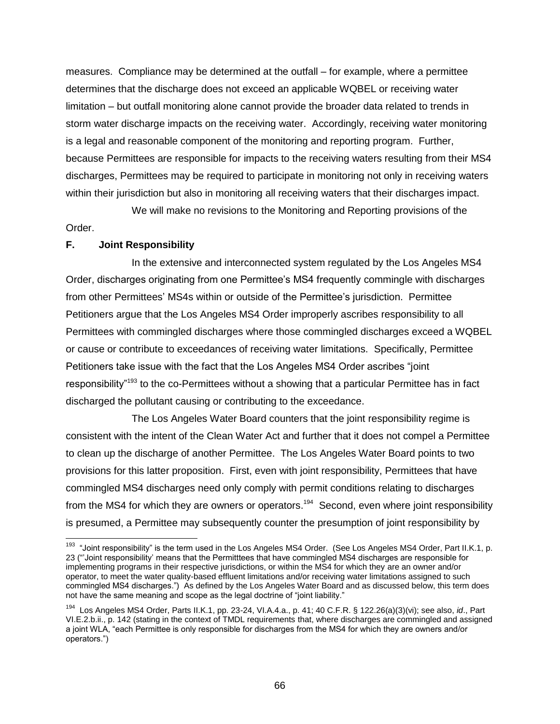measures. Compliance may be determined at the outfall – for example, where a permittee determines that the discharge does not exceed an applicable WQBEL or receiving water limitation – but outfall monitoring alone cannot provide the broader data related to trends in storm water discharge impacts on the receiving water. Accordingly, receiving water monitoring is a legal and reasonable component of the monitoring and reporting program. Further, because Permittees are responsible for impacts to the receiving waters resulting from their MS4 discharges, Permittees may be required to participate in monitoring not only in receiving waters within their jurisdiction but also in monitoring all receiving waters that their discharges impact.

We will make no revisions to the Monitoring and Reporting provisions of the Order.

#### **F. Joint Responsibility**

In the extensive and interconnected system regulated by the Los Angeles MS4 Order, discharges originating from one Permittee's MS4 frequently commingle with discharges from other Permittees' MS4s within or outside of the Permittee's jurisdiction. Permittee Petitioners argue that the Los Angeles MS4 Order improperly ascribes responsibility to all Permittees with commingled discharges where those commingled discharges exceed a WQBEL or cause or contribute to exceedances of receiving water limitations. Specifically, Permittee Petitioners take issue with the fact that the Los Angeles MS4 Order ascribes "joint responsibility"<sup>193</sup> to the co-Permittees without a showing that a particular Permittee has in fact discharged the pollutant causing or contributing to the exceedance.

The Los Angeles Water Board counters that the joint responsibility regime is consistent with the intent of the Clean Water Act and further that it does not compel a Permittee to clean up the discharge of another Permittee. The Los Angeles Water Board points to two provisions for this latter proposition. First, even with joint responsibility, Permittees that have commingled MS4 discharges need only comply with permit conditions relating to discharges from the MS4 for which they are owners or operators.<sup>194</sup> Second, even where joint responsibility is presumed, a Permittee may subsequently counter the presumption of joint responsibility by

<sup>&</sup>lt;sup>193</sup> "Joint responsibility" is the term used in the Los Angeles MS4 Order. (See Los Angeles MS4 Order, Part II.K.1, p. 23 ("'Joint responsibility' means that the Permitttees that have commingled MS4 discharges are responsible for implementing programs in their respective jurisdictions, or within the MS4 for which they are an owner and/or operator, to meet the water quality-based effluent limitations and/or receiving water limitations assigned to such commingled MS4 discharges.") As defined by the Los Angeles Water Board and as discussed below, this term does not have the same meaning and scope as the legal doctrine of "joint liability."

<sup>194</sup> Los Angeles MS4 Order, Parts II.K.1, pp. 23-24, VI.A.4.a., p. 41; 40 C.F.R. § 122.26(a)(3)(vi); see also, *id*., Part VI.E.2.b.ii., p. 142 (stating in the context of TMDL requirements that, where discharges are commingled and assigned a joint WLA, "each Permittee is only responsible for discharges from the MS4 for which they are owners and/or operators.")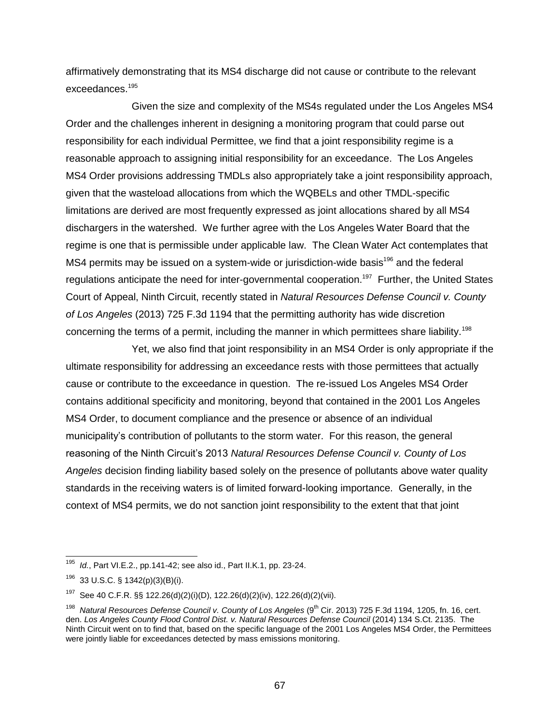affirmatively demonstrating that its MS4 discharge did not cause or contribute to the relevant exceedances.<sup>195</sup>

Given the size and complexity of the MS4s regulated under the Los Angeles MS4 Order and the challenges inherent in designing a monitoring program that could parse out responsibility for each individual Permittee, we find that a joint responsibility regime is a reasonable approach to assigning initial responsibility for an exceedance. The Los Angeles MS4 Order provisions addressing TMDLs also appropriately take a joint responsibility approach, given that the wasteload allocations from which the WQBELs and other TMDL-specific limitations are derived are most frequently expressed as joint allocations shared by all MS4 dischargers in the watershed. We further agree with the Los Angeles Water Board that the regime is one that is permissible under applicable law. The Clean Water Act contemplates that MS4 permits may be issued on a system-wide or jurisdiction-wide basis<sup>196</sup> and the federal regulations anticipate the need for inter-governmental cooperation.<sup>197</sup> Further, the United States Court of Appeal, Ninth Circuit, recently stated in *Natural Resources Defense Council v. County of Los Angeles* (2013) 725 F.3d 1194 that the permitting authority has wide discretion concerning the terms of a permit, including the manner in which permittees share liability.<sup>198</sup>

Yet, we also find that joint responsibility in an MS4 Order is only appropriate if the ultimate responsibility for addressing an exceedance rests with those permittees that actually cause or contribute to the exceedance in question. The re-issued Los Angeles MS4 Order contains additional specificity and monitoring, beyond that contained in the 2001 Los Angeles MS4 Order, to document compliance and the presence or absence of an individual municipality's contribution of pollutants to the storm water. For this reason, the general reasoning of the Ninth Circuit's 2013 *Natural Resources Defense Council v. County of Los Angeles* decision finding liability based solely on the presence of pollutants above water quality standards in the receiving waters is of limited forward-looking importance. Generally, in the context of MS4 permits, we do not sanction joint responsibility to the extent that that joint

j <sup>195</sup> *Id.*, Part VI.E.2., pp.141-42; see also id., Part II.K.1, pp. 23-24.

 $196$  33 U.S.C. § 1342(p)(3)(B)(i).

<sup>&</sup>lt;sup>197</sup> See 40 C.F.R. §§ 122.26(d)(2)(i)(D), 122.26(d)(2)(iv), 122.26(d)(2)(vii).

<sup>&</sup>lt;sup>198</sup> Natural Resources Defense Council v. County of Los Angeles (9<sup>th</sup> Cir. 2013) 725 F.3d 1194, 1205, fn. 16, cert. den. *Los Angeles County Flood Control Dist. v. Natural Resources Defense Council* (2014) 134 S.Ct. 2135. The Ninth Circuit went on to find that, based on the specific language of the 2001 Los Angeles MS4 Order, the Permittees were jointly liable for exceedances detected by mass emissions monitoring.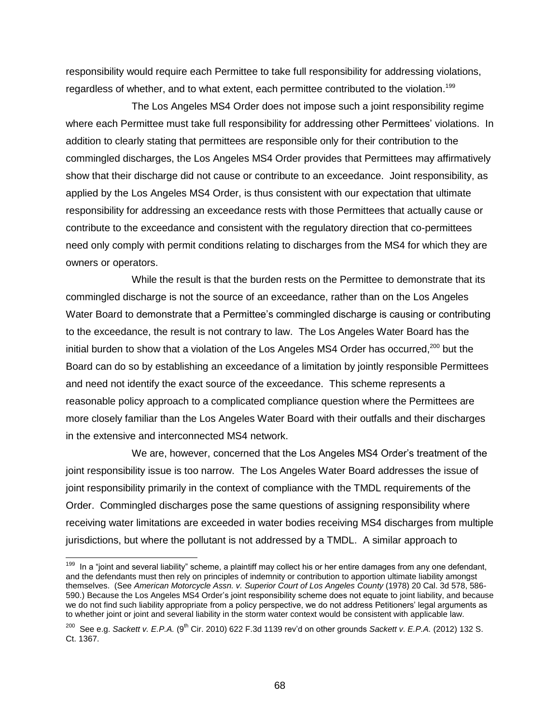responsibility would require each Permittee to take full responsibility for addressing violations, regardless of whether, and to what extent, each permittee contributed to the violation.<sup>199</sup>

The Los Angeles MS4 Order does not impose such a joint responsibility regime where each Permittee must take full responsibility for addressing other Permittees' violations. In addition to clearly stating that permittees are responsible only for their contribution to the commingled discharges, the Los Angeles MS4 Order provides that Permittees may affirmatively show that their discharge did not cause or contribute to an exceedance. Joint responsibility, as applied by the Los Angeles MS4 Order, is thus consistent with our expectation that ultimate responsibility for addressing an exceedance rests with those Permittees that actually cause or contribute to the exceedance and consistent with the regulatory direction that co-permittees need only comply with permit conditions relating to discharges from the MS4 for which they are owners or operators.

While the result is that the burden rests on the Permittee to demonstrate that its commingled discharge is not the source of an exceedance, rather than on the Los Angeles Water Board to demonstrate that a Permittee's commingled discharge is causing or contributing to the exceedance, the result is not contrary to law. The Los Angeles Water Board has the initial burden to show that a violation of the Los Angeles MS4 Order has occurred,<sup>200</sup> but the Board can do so by establishing an exceedance of a limitation by jointly responsible Permittees and need not identify the exact source of the exceedance. This scheme represents a reasonable policy approach to a complicated compliance question where the Permittees are more closely familiar than the Los Angeles Water Board with their outfalls and their discharges in the extensive and interconnected MS4 network.

We are, however, concerned that the Los Angeles MS4 Order's treatment of the joint responsibility issue is too narrow. The Los Angeles Water Board addresses the issue of joint responsibility primarily in the context of compliance with the TMDL requirements of the Order. Commingled discharges pose the same questions of assigning responsibility where receiving water limitations are exceeded in water bodies receiving MS4 discharges from multiple jurisdictions, but where the pollutant is not addressed by a TMDL. A similar approach to

<sup>&</sup>lt;sup>199</sup> In a "joint and several liability" scheme, a plaintiff may collect his or her entire damages from any one defendant, and the defendants must then rely on principles of indemnity or contribution to apportion ultimate liability amongst themselves. (See *American Motorcycle Assn. v. Superior Court of Los Angeles County* (1978) 20 Cal. 3d 578, 586- 590.) Because the Los Angeles MS4 Order's joint responsibility scheme does not equate to joint liability, and because we do not find such liability appropriate from a policy perspective, we do not address Petitioners' legal arguments as to whether joint or joint and several liability in the storm water context would be consistent with applicable law.

 $^{200}$  See e.g. *Sackett v. E.P.A.* (9<sup>th</sup> Cir. 2010) 622 F.3d 1139 rev'd on other grounds *Sackett v. E.P.A.* (2012) 132 S. Ct. 1367.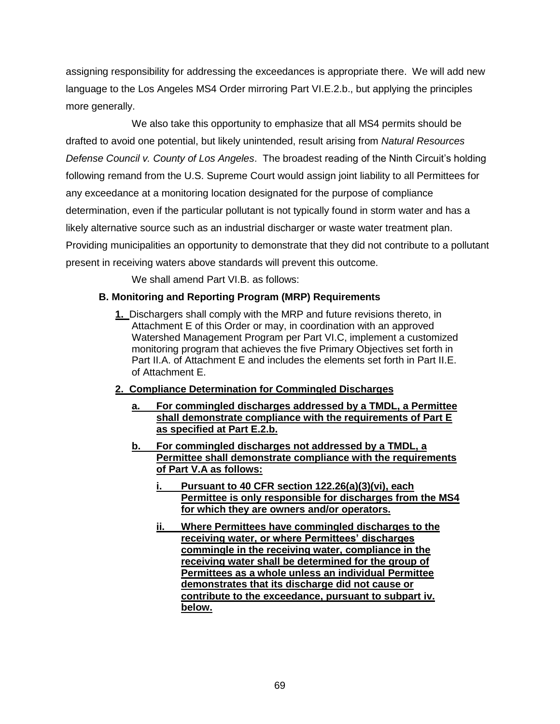assigning responsibility for addressing the exceedances is appropriate there. We will add new language to the Los Angeles MS4 Order mirroring Part VI.E.2.b., but applying the principles more generally.

We also take this opportunity to emphasize that all MS4 permits should be drafted to avoid one potential, but likely unintended, result arising from *Natural Resources Defense Council v. County of Los Angeles*. The broadest reading of the Ninth Circuit's holding following remand from the U.S. Supreme Court would assign joint liability to all Permittees for any exceedance at a monitoring location designated for the purpose of compliance determination, even if the particular pollutant is not typically found in storm water and has a likely alternative source such as an industrial discharger or waste water treatment plan. Providing municipalities an opportunity to demonstrate that they did not contribute to a pollutant present in receiving waters above standards will prevent this outcome.

We shall amend Part VI.B. as follows:

# **B. Monitoring and Reporting Program (MRP) Requirements**

**1.** Dischargers shall comply with the MRP and future revisions thereto, in Attachment E of this Order or may, in coordination with an approved Watershed Management Program per Part VI.C, implement a customized monitoring program that achieves the five Primary Objectives set forth in Part II.A. of Attachment E and includes the elements set forth in Part II.E. of Attachment E.

# **2. Compliance Determination for Commingled Discharges**

- **a. For commingled discharges addressed by a TMDL, a Permittee shall demonstrate compliance with the requirements of Part E as specified at Part E.2.b.**
- **b. For commingled discharges not addressed by a TMDL, a Permittee shall demonstrate compliance with the requirements of Part V.A as follows:** 
	- **i. Pursuant to 40 CFR section 122.26(a)(3)(vi), each Permittee is only responsible for discharges from the MS4 for which they are owners and/or operators.**
	- **ii. Where Permittees have commingled discharges to the receiving water, or where Permittees' discharges commingle in the receiving water, compliance in the receiving water shall be determined for the group of Permittees as a whole unless an individual Permittee demonstrates that its discharge did not cause or contribute to the exceedance, pursuant to subpart iv. below.**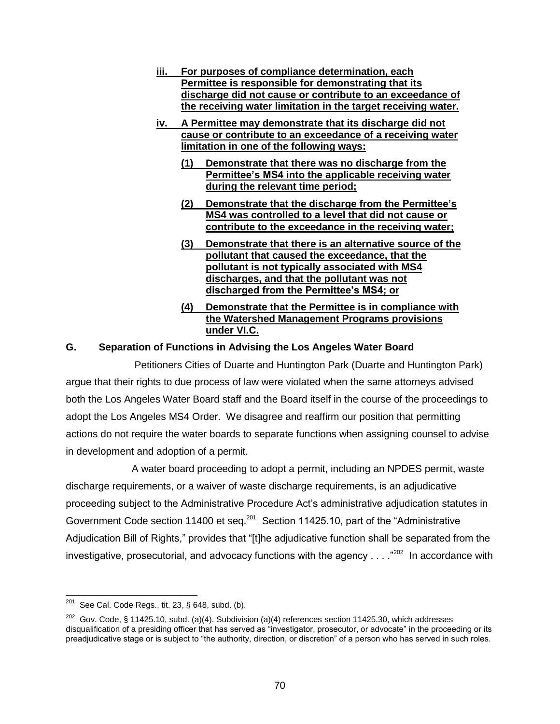- **iii. For purposes of compliance determination, each Permittee is responsible for demonstrating that its discharge did not cause or contribute to an exceedance of the receiving water limitation in the target receiving water.**
- **iv. A Permittee may demonstrate that its discharge did not cause or contribute to an exceedance of a receiving water limitation in one of the following ways:**
	- **(1) Demonstrate that there was no discharge from the Permittee's MS4 into the applicable receiving water during the relevant time period;**
	- **(2) Demonstrate that the discharge from the Permittee's MS4 was controlled to a level that did not cause or contribute to the exceedance in the receiving water;**
	- **(3) Demonstrate that there is an alternative source of the pollutant that caused the exceedance, that the pollutant is not typically associated with MS4 discharges, and that the pollutant was not discharged from the Permittee's MS4; or**
	- **(4) Demonstrate that the Permittee is in compliance with the Watershed Management Programs provisions under VI.C.**

# **G. Separation of Functions in Advising the Los Angeles Water Board**

Petitioners Cities of Duarte and Huntington Park (Duarte and Huntington Park) argue that their rights to due process of law were violated when the same attorneys advised both the Los Angeles Water Board staff and the Board itself in the course of the proceedings to adopt the Los Angeles MS4 Order. We disagree and reaffirm our position that permitting actions do not require the water boards to separate functions when assigning counsel to advise in development and adoption of a permit.

A water board proceeding to adopt a permit, including an NPDES permit, waste discharge requirements, or a waiver of waste discharge requirements, is an adjudicative proceeding subject to the Administrative Procedure Act's administrative adjudication statutes in Government Code section 11400 et seq.<sup>201</sup> Section 11425.10, part of the "Administrative Adjudication Bill of Rights," provides that "[t]he adjudicative function shall be separated from the investigative, prosecutorial, and advocacy functions with the agency  $\dots$   $202$  In accordance with

<sup>201</sup> See Cal. Code Regs., tit. 23, § 648, subd. (b).

 $202$  Gov. Code, § 11425.10, subd. (a)(4). Subdivision (a)(4) references section 11425.30, which addresses disqualification of a presiding officer that has served as "investigator, prosecutor, or advocate" in the proceeding or its preadjudicative stage or is subject to "the authority, direction, or discretion" of a person who has served in such roles.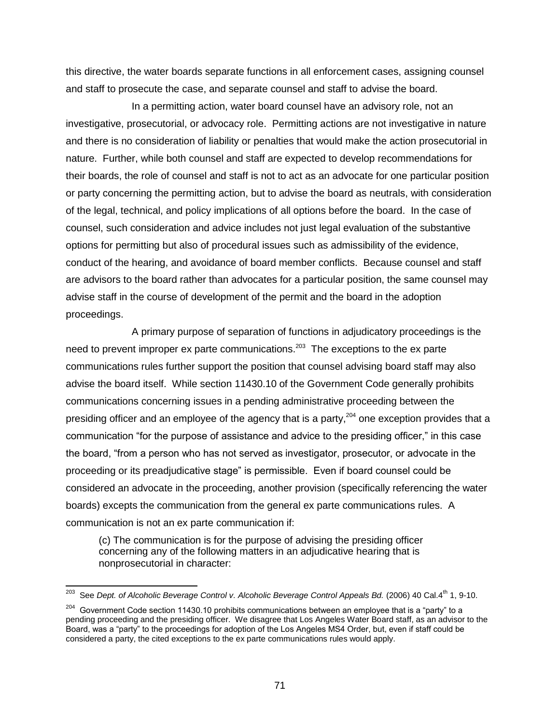this directive, the water boards separate functions in all enforcement cases, assigning counsel and staff to prosecute the case, and separate counsel and staff to advise the board.

In a permitting action, water board counsel have an advisory role, not an investigative, prosecutorial, or advocacy role. Permitting actions are not investigative in nature and there is no consideration of liability or penalties that would make the action prosecutorial in nature. Further, while both counsel and staff are expected to develop recommendations for their boards, the role of counsel and staff is not to act as an advocate for one particular position or party concerning the permitting action, but to advise the board as neutrals, with consideration of the legal, technical, and policy implications of all options before the board. In the case of counsel, such consideration and advice includes not just legal evaluation of the substantive options for permitting but also of procedural issues such as admissibility of the evidence, conduct of the hearing, and avoidance of board member conflicts. Because counsel and staff are advisors to the board rather than advocates for a particular position, the same counsel may advise staff in the course of development of the permit and the board in the adoption proceedings.

A primary purpose of separation of functions in adjudicatory proceedings is the need to prevent improper ex parte communications.<sup>203</sup> The exceptions to the ex parte communications rules further support the position that counsel advising board staff may also advise the board itself. While section 11430.10 of the Government Code generally prohibits communications concerning issues in a pending administrative proceeding between the presiding officer and an employee of the agency that is a party,  $204$  one exception provides that a communication "for the purpose of assistance and advice to the presiding officer," in this case the board, "from a person who has not served as investigator, prosecutor, or advocate in the proceeding or its preadjudicative stage" is permissible. Even if board counsel could be considered an advocate in the proceeding, another provision (specifically referencing the water boards) excepts the communication from the general ex parte communications rules. A communication is not an ex parte communication if:

(c) The communication is for the purpose of advising the presiding officer concerning any of the following matters in an adjudicative hearing that is nonprosecutorial in character:

<sup>203</sup> See *Dept. of Alcoholic Beverage Control v. Alcoholic Beverage Control Appeals Bd.* (2006) 40 Cal.4th 1, 9-10.

 $204$  Government Code section 11430.10 prohibits communications between an employee that is a "party" to a pending proceeding and the presiding officer. We disagree that Los Angeles Water Board staff, as an advisor to the Board, was a "party" to the proceedings for adoption of the Los Angeles MS4 Order, but, even if staff could be considered a party, the cited exceptions to the ex parte communications rules would apply.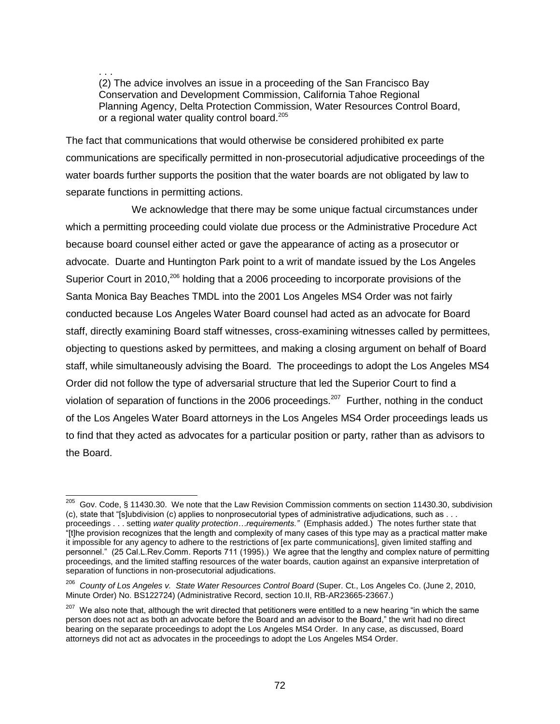. . . (2) The advice involves an issue in a proceeding of the San Francisco Bay Conservation and Development Commission, California Tahoe Regional Planning Agency, Delta Protection Commission, Water Resources Control Board, or a regional water quality control board.<sup>205</sup>

The fact that communications that would otherwise be considered prohibited ex parte communications are specifically permitted in non-prosecutorial adjudicative proceedings of the water boards further supports the position that the water boards are not obligated by law to separate functions in permitting actions.

We acknowledge that there may be some unique factual circumstances under which a permitting proceeding could violate due process or the Administrative Procedure Act because board counsel either acted or gave the appearance of acting as a prosecutor or advocate. Duarte and Huntington Park point to a writ of mandate issued by the Los Angeles Superior Court in 2010,<sup>206</sup> holding that a 2006 proceeding to incorporate provisions of the Santa Monica Bay Beaches TMDL into the 2001 Los Angeles MS4 Order was not fairly conducted because Los Angeles Water Board counsel had acted as an advocate for Board staff, directly examining Board staff witnesses, cross-examining witnesses called by permittees, objecting to questions asked by permittees, and making a closing argument on behalf of Board staff, while simultaneously advising the Board. The proceedings to adopt the Los Angeles MS4 Order did not follow the type of adversarial structure that led the Superior Court to find a violation of separation of functions in the 2006 proceedings.<sup>207</sup> Further, nothing in the conduct of the Los Angeles Water Board attorneys in the Los Angeles MS4 Order proceedings leads us to find that they acted as advocates for a particular position or party, rather than as advisors to the Board.

 $\overline{\phantom{a}}$ <sup>205</sup> Gov. Code, § 11430.30. We note that the Law Revision Commission comments on section 11430.30, subdivision (c), state that "[s]ubdivision (c) applies to nonprosecutorial types of administrative adjudications, such as . . . proceedings . . . setting *water quality protection…requirements."* (Emphasis added.) The notes further state that "[t]he provision recognizes that the length and complexity of many cases of this type may as a practical matter make it impossible for any agency to adhere to the restrictions of [ex parte communications], given limited staffing and personnel." (25 Cal.L.Rev.Comm. Reports 711 (1995).) We agree that the lengthy and complex nature of permitting proceedings, and the limited staffing resources of the water boards, caution against an expansive interpretation of separation of functions in non-prosecutorial adjudications.

<sup>206</sup> *County of Los Angeles v. State Water Resources Control Board* (Super. Ct., Los Angeles Co. (June 2, 2010, Minute Order) No. BS122724) (Administrative Record, section 10.II, RB-AR23665-23667.)

<sup>&</sup>lt;sup>207</sup> We also note that, although the writ directed that petitioners were entitled to a new hearing "in which the same person does not act as both an advocate before the Board and an advisor to the Board," the writ had no direct bearing on the separate proceedings to adopt the Los Angeles MS4 Order. In any case, as discussed, Board attorneys did not act as advocates in the proceedings to adopt the Los Angeles MS4 Order.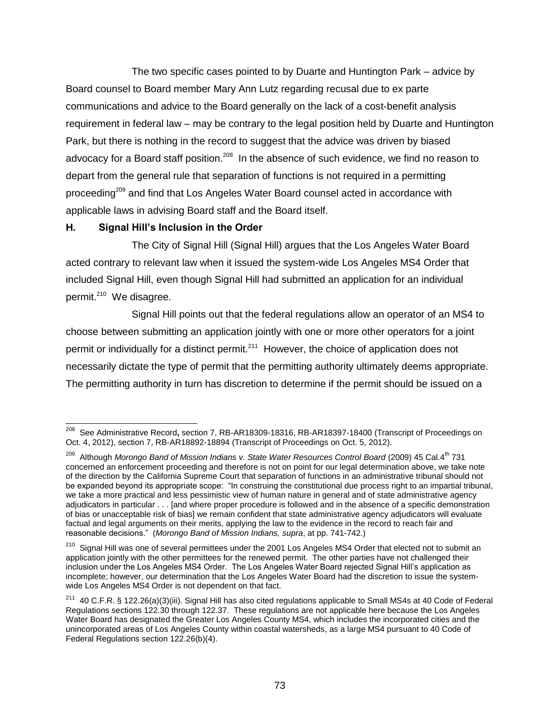The two specific cases pointed to by Duarte and Huntington Park – advice by Board counsel to Board member Mary Ann Lutz regarding recusal due to ex parte communications and advice to the Board generally on the lack of a cost-benefit analysis requirement in federal law – may be contrary to the legal position held by Duarte and Huntington Park, but there is nothing in the record to suggest that the advice was driven by biased advocacy for a Board staff position.<sup>208</sup> In the absence of such evidence, we find no reason to depart from the general rule that separation of functions is not required in a permitting proceeding<sup>209</sup> and find that Los Angeles Water Board counsel acted in accordance with applicable laws in advising Board staff and the Board itself.

# **H. Signal Hill's Inclusion in the Order**

The City of Signal Hill (Signal Hill) argues that the Los Angeles Water Board acted contrary to relevant law when it issued the system-wide Los Angeles MS4 Order that included Signal Hill, even though Signal Hill had submitted an application for an individual permit.<sup>210</sup> We disagree.

Signal Hill points out that the federal regulations allow an operator of an MS4 to choose between submitting an application jointly with one or more other operators for a joint permit or individually for a distinct permit.<sup>211</sup> However, the choice of application does not necessarily dictate the type of permit that the permitting authority ultimately deems appropriate. The permitting authority in turn has discretion to determine if the permit should be issued on a

 208 See Administrative Record**,** section 7, RB-AR18309-18316, RB-AR18397-18400 (Transcript of Proceedings on Oct. 4, 2012), section 7, RB-AR18892-18894 (Transcript of Proceedings on Oct. 5, 2012).

<sup>209</sup> Although *Morongo Band of Mission Indians v. State Water Resources Control Board* (2009) 45 Cal.4th 731 concerned an enforcement proceeding and therefore is not on point for our legal determination above, we take note of the direction by the California Supreme Court that separation of functions in an administrative tribunal should not be expanded beyond its appropriate scope: "In construing the constitutional due process right to an impartial tribunal, we take a more practical and less pessimistic view of human nature in general and of state administrative agency adjudicators in particular . . . [and where proper procedure is followed and in the absence of a specific demonstration of bias or unacceptable risk of bias] we remain confident that state administrative agency adjudicators will evaluate factual and legal arguments on their merits, applying the law to the evidence in the record to reach fair and reasonable decisions." (*Morongo Band of Mission Indians, supra*, at pp. 741-742.)

<sup>&</sup>lt;sup>210</sup> Sianal Hill was one of several permittees under the 2001 Los Angeles MS4 Order that elected not to submit an application jointly with the other permittees for the renewed permit. The other parties have not challenged their inclusion under the Los Angeles MS4 Order. The Los Angeles Water Board rejected Signal Hill's application as incomplete; however, our determination that the Los Angeles Water Board had the discretion to issue the systemwide Los Angeles MS4 Order is not dependent on that fact.

<sup>211</sup> 40 C.F.R. § 122.26(a)(3)(iii). Signal Hill has also cited regulations applicable to Small MS4s at 40 Code of Federal Regulations sections 122.30 through 122.37. These regulations are not applicable here because the Los Angeles Water Board has designated the Greater Los Angeles County MS4, which includes the incorporated cities and the unincorporated areas of Los Angeles County within coastal watersheds, as a large MS4 pursuant to 40 Code of Federal Regulations section 122.26(b)(4).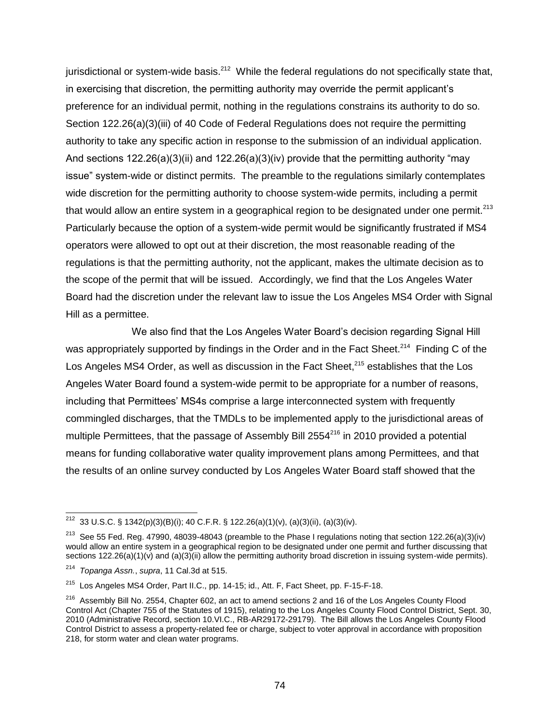jurisdictional or system-wide basis.<sup>212</sup> While the federal regulations do not specifically state that, in exercising that discretion, the permitting authority may override the permit applicant's preference for an individual permit, nothing in the regulations constrains its authority to do so. Section 122.26(a)(3)(iii) of 40 Code of Federal Regulations does not require the permitting authority to take any specific action in response to the submission of an individual application. And sections  $122.26(a)(3)(ii)$  and  $122.26(a)(3)(iv)$  provide that the permitting authority "may issue" system-wide or distinct permits. The preamble to the regulations similarly contemplates wide discretion for the permitting authority to choose system-wide permits, including a permit that would allow an entire system in a geographical region to be designated under one permit.<sup>213</sup> Particularly because the option of a system-wide permit would be significantly frustrated if MS4 operators were allowed to opt out at their discretion, the most reasonable reading of the regulations is that the permitting authority, not the applicant, makes the ultimate decision as to the scope of the permit that will be issued. Accordingly, we find that the Los Angeles Water Board had the discretion under the relevant law to issue the Los Angeles MS4 Order with Signal Hill as a permittee.

We also find that the Los Angeles Water Board's decision regarding Signal Hill was appropriately supported by findings in the Order and in the Fact Sheet.<sup>214</sup> Finding C of the Los Angeles MS4 Order, as well as discussion in the Fact Sheet,<sup>215</sup> establishes that the Los Angeles Water Board found a system-wide permit to be appropriate for a number of reasons, including that Permittees' MS4s comprise a large interconnected system with frequently commingled discharges, that the TMDLs to be implemented apply to the jurisdictional areas of multiple Permittees, that the passage of Assembly Bill  $2554^{216}$  in 2010 provided a potential means for funding collaborative water quality improvement plans among Permittees, and that the results of an online survey conducted by Los Angeles Water Board staff showed that the

 $\overline{\phantom{a}}$ <sup>212</sup> 33 U.S.C. § 1342(p)(3)(B)(i); 40 C.F.R. § 122.26(a)(1)(v), (a)(3)(ii), (a)(3)(iv).

<sup>&</sup>lt;sup>213</sup> See 55 Fed. Reg. 47990, 48039-48043 (preamble to the Phase I regulations noting that section 122.26(a)(3)(iv) would allow an entire system in a geographical region to be designated under one permit and further discussing that sections  $122.26(a)(1)(v)$  and  $(a)(3)(ii)$  allow the permitting authority broad discretion in issuing system-wide permits).

<sup>214</sup> *Topanga Assn.*, *supra*, 11 Cal.3d at 515.

<sup>215</sup> Los Angeles MS4 Order, Part II.C., pp. 14-15; id., Att. F, Fact Sheet, pp. F-15-F-18.

<sup>&</sup>lt;sup>216</sup> Assembly Bill No. 2554, Chapter 602, an act to amend sections 2 and 16 of the Los Angeles County Flood Control Act (Chapter 755 of the Statutes of 1915), relating to the Los Angeles County Flood Control District, Sept. 30, 2010 (Administrative Record, section 10.VI.C., RB-AR29172-29179). The Bill allows the Los Angeles County Flood Control District to assess a property-related fee or charge, subject to voter approval in accordance with proposition 218, for storm water and clean water programs.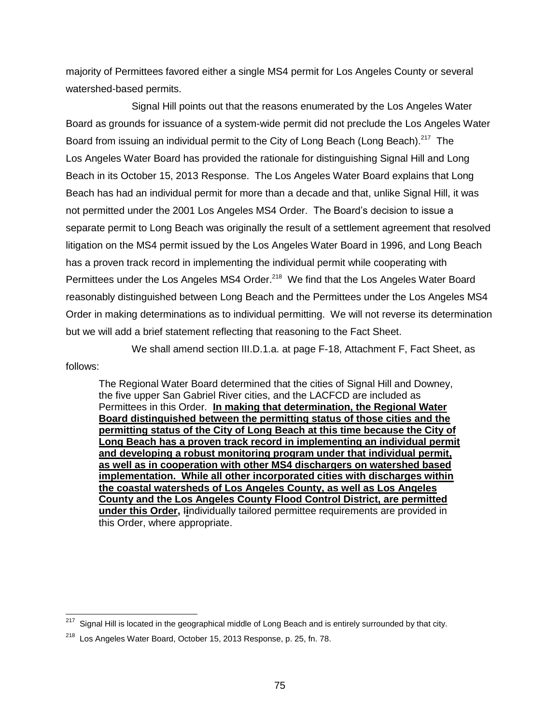majority of Permittees favored either a single MS4 permit for Los Angeles County or several watershed-based permits.

Signal Hill points out that the reasons enumerated by the Los Angeles Water Board as grounds for issuance of a system-wide permit did not preclude the Los Angeles Water Board from issuing an individual permit to the City of Long Beach (Long Beach).<sup>217</sup> The Los Angeles Water Board has provided the rationale for distinguishing Signal Hill and Long Beach in its October 15, 2013 Response. The Los Angeles Water Board explains that Long Beach has had an individual permit for more than a decade and that, unlike Signal Hill, it was not permitted under the 2001 Los Angeles MS4 Order. The Board's decision to issue a separate permit to Long Beach was originally the result of a settlement agreement that resolved litigation on the MS4 permit issued by the Los Angeles Water Board in 1996, and Long Beach has a proven track record in implementing the individual permit while cooperating with Permittees under the Los Angeles MS4 Order.<sup>218</sup> We find that the Los Angeles Water Board reasonably distinguished between Long Beach and the Permittees under the Los Angeles MS4 Order in making determinations as to individual permitting. We will not reverse its determination but we will add a brief statement reflecting that reasoning to the Fact Sheet.

We shall amend section III.D.1.a. at page F-18, Attachment F, Fact Sheet, as

#### follows:

The Regional Water Board determined that the cities of Signal Hill and Downey, the five upper San Gabriel River cities, and the LACFCD are included as Permittees in this Order. **In making that determination, the Regional Water Board distinguished between the permitting status of those cities and the permitting status of the City of Long Beach at this time because the City of Long Beach has a proven track record in implementing an individual permit and developing a robust monitoring program under that individual permit, as well as in cooperation with other MS4 dischargers on watershed based implementation. While all other incorporated cities with discharges within the coastal watersheds of Los Angeles County, as well as Los Angeles County and the Los Angeles County Flood Control District, are permitted under this Order,** I**i**ndividually tailored permittee requirements are provided in this Order, where appropriate.

<sup>&</sup>lt;sup>217</sup> Signal Hill is located in the geographical middle of Long Beach and is entirely surrounded by that city.

<sup>&</sup>lt;sup>218</sup> Los Angeles Water Board, October 15, 2013 Response, p. 25, fn. 78.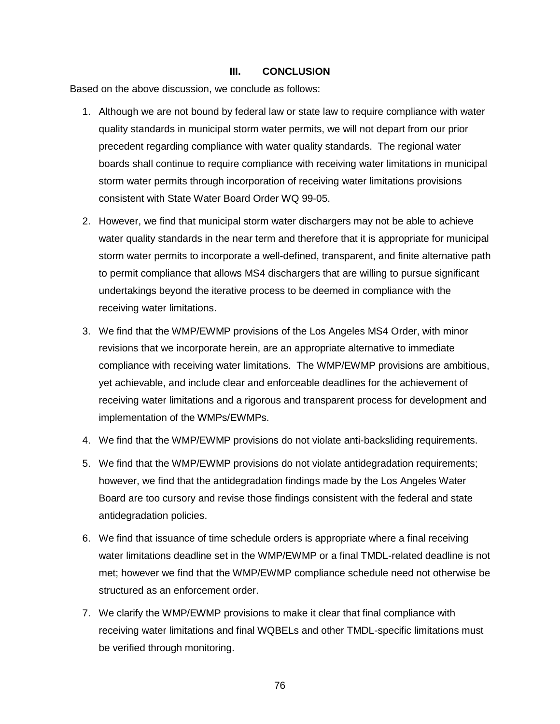### **III. CONCLUSION**

Based on the above discussion, we conclude as follows:

- 1. Although we are not bound by federal law or state law to require compliance with water quality standards in municipal storm water permits, we will not depart from our prior precedent regarding compliance with water quality standards. The regional water boards shall continue to require compliance with receiving water limitations in municipal storm water permits through incorporation of receiving water limitations provisions consistent with State Water Board Order WQ 99-05.
- 2. However, we find that municipal storm water dischargers may not be able to achieve water quality standards in the near term and therefore that it is appropriate for municipal storm water permits to incorporate a well-defined, transparent, and finite alternative path to permit compliance that allows MS4 dischargers that are willing to pursue significant undertakings beyond the iterative process to be deemed in compliance with the receiving water limitations.
- 3. We find that the WMP/EWMP provisions of the Los Angeles MS4 Order, with minor revisions that we incorporate herein, are an appropriate alternative to immediate compliance with receiving water limitations. The WMP/EWMP provisions are ambitious, yet achievable, and include clear and enforceable deadlines for the achievement of receiving water limitations and a rigorous and transparent process for development and implementation of the WMPs/EWMPs.
- 4. We find that the WMP/EWMP provisions do not violate anti-backsliding requirements.
- 5. We find that the WMP/EWMP provisions do not violate antidegradation requirements; however, we find that the antidegradation findings made by the Los Angeles Water Board are too cursory and revise those findings consistent with the federal and state antidegradation policies.
- 6. We find that issuance of time schedule orders is appropriate where a final receiving water limitations deadline set in the WMP/EWMP or a final TMDL-related deadline is not met; however we find that the WMP/EWMP compliance schedule need not otherwise be structured as an enforcement order.
- 7. We clarify the WMP/EWMP provisions to make it clear that final compliance with receiving water limitations and final WQBELs and other TMDL-specific limitations must be verified through monitoring.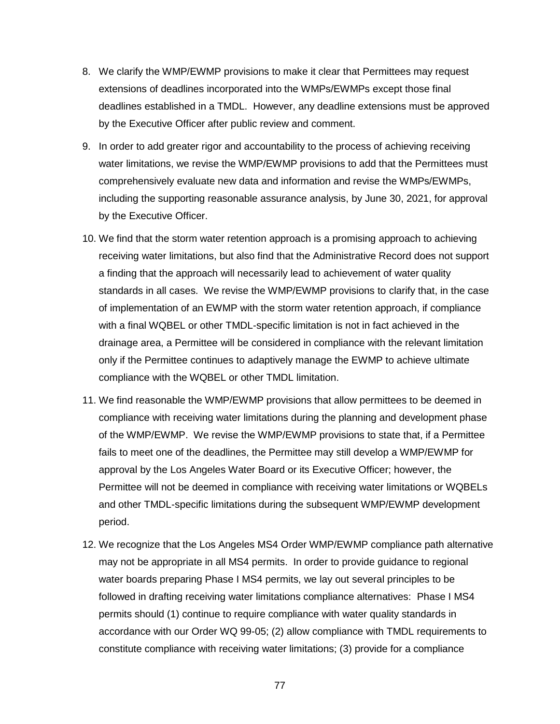- 8. We clarify the WMP/EWMP provisions to make it clear that Permittees may request extensions of deadlines incorporated into the WMPs/EWMPs except those final deadlines established in a TMDL. However, any deadline extensions must be approved by the Executive Officer after public review and comment.
- 9. In order to add greater rigor and accountability to the process of achieving receiving water limitations, we revise the WMP/EWMP provisions to add that the Permittees must comprehensively evaluate new data and information and revise the WMPs/EWMPs, including the supporting reasonable assurance analysis, by June 30, 2021, for approval by the Executive Officer.
- 10. We find that the storm water retention approach is a promising approach to achieving receiving water limitations, but also find that the Administrative Record does not support a finding that the approach will necessarily lead to achievement of water quality standards in all cases. We revise the WMP/EWMP provisions to clarify that, in the case of implementation of an EWMP with the storm water retention approach, if compliance with a final WQBEL or other TMDL-specific limitation is not in fact achieved in the drainage area, a Permittee will be considered in compliance with the relevant limitation only if the Permittee continues to adaptively manage the EWMP to achieve ultimate compliance with the WQBEL or other TMDL limitation.
- 11. We find reasonable the WMP/EWMP provisions that allow permittees to be deemed in compliance with receiving water limitations during the planning and development phase of the WMP/EWMP. We revise the WMP/EWMP provisions to state that, if a Permittee fails to meet one of the deadlines, the Permittee may still develop a WMP/EWMP for approval by the Los Angeles Water Board or its Executive Officer; however, the Permittee will not be deemed in compliance with receiving water limitations or WQBELs and other TMDL-specific limitations during the subsequent WMP/EWMP development period.
- 12. We recognize that the Los Angeles MS4 Order WMP/EWMP compliance path alternative may not be appropriate in all MS4 permits. In order to provide guidance to regional water boards preparing Phase I MS4 permits, we lay out several principles to be followed in drafting receiving water limitations compliance alternatives: Phase I MS4 permits should (1) continue to require compliance with water quality standards in accordance with our Order WQ 99-05; (2) allow compliance with TMDL requirements to constitute compliance with receiving water limitations; (3) provide for a compliance

77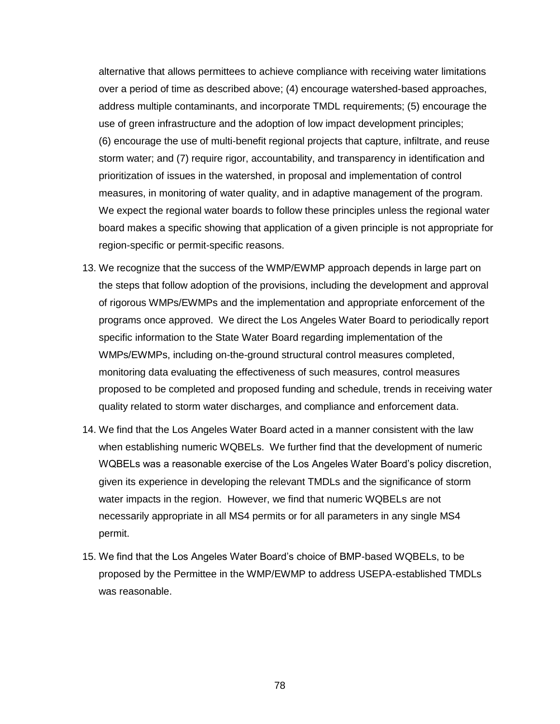alternative that allows permittees to achieve compliance with receiving water limitations over a period of time as described above; (4) encourage watershed-based approaches, address multiple contaminants, and incorporate TMDL requirements; (5) encourage the use of green infrastructure and the adoption of low impact development principles; (6) encourage the use of multi-benefit regional projects that capture, infiltrate, and reuse storm water; and (7) require rigor, accountability, and transparency in identification and prioritization of issues in the watershed, in proposal and implementation of control measures, in monitoring of water quality, and in adaptive management of the program. We expect the regional water boards to follow these principles unless the regional water board makes a specific showing that application of a given principle is not appropriate for region-specific or permit-specific reasons.

- 13. We recognize that the success of the WMP/EWMP approach depends in large part on the steps that follow adoption of the provisions, including the development and approval of rigorous WMPs/EWMPs and the implementation and appropriate enforcement of the programs once approved. We direct the Los Angeles Water Board to periodically report specific information to the State Water Board regarding implementation of the WMPs/EWMPs, including on-the-ground structural control measures completed, monitoring data evaluating the effectiveness of such measures, control measures proposed to be completed and proposed funding and schedule, trends in receiving water quality related to storm water discharges, and compliance and enforcement data.
- 14. We find that the Los Angeles Water Board acted in a manner consistent with the law when establishing numeric WQBELs. We further find that the development of numeric WQBELs was a reasonable exercise of the Los Angeles Water Board's policy discretion, given its experience in developing the relevant TMDLs and the significance of storm water impacts in the region. However, we find that numeric WQBELs are not necessarily appropriate in all MS4 permits or for all parameters in any single MS4 permit.
- 15. We find that the Los Angeles Water Board's choice of BMP-based WQBELs, to be proposed by the Permittee in the WMP/EWMP to address USEPA-established TMDLs was reasonable.

78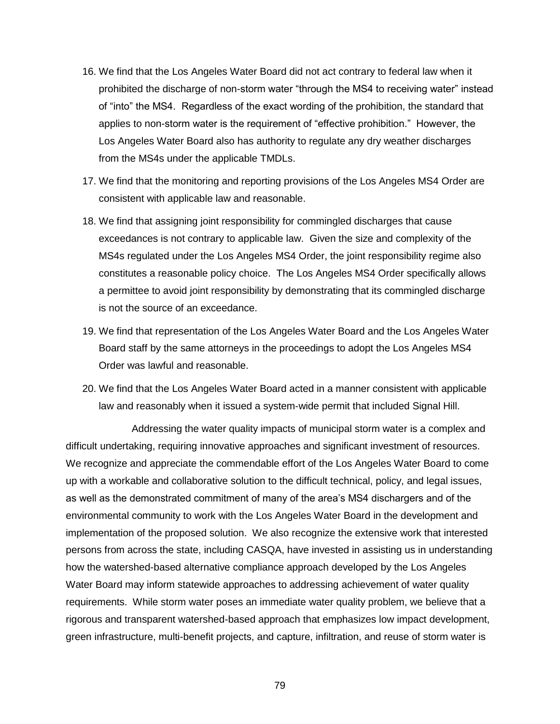- 16. We find that the Los Angeles Water Board did not act contrary to federal law when it prohibited the discharge of non-storm water "through the MS4 to receiving water" instead of "into" the MS4. Regardless of the exact wording of the prohibition, the standard that applies to non-storm water is the requirement of "effective prohibition." However, the Los Angeles Water Board also has authority to regulate any dry weather discharges from the MS4s under the applicable TMDLs.
- 17. We find that the monitoring and reporting provisions of the Los Angeles MS4 Order are consistent with applicable law and reasonable.
- 18. We find that assigning joint responsibility for commingled discharges that cause exceedances is not contrary to applicable law. Given the size and complexity of the MS4s regulated under the Los Angeles MS4 Order, the joint responsibility regime also constitutes a reasonable policy choice. The Los Angeles MS4 Order specifically allows a permittee to avoid joint responsibility by demonstrating that its commingled discharge is not the source of an exceedance.
- 19. We find that representation of the Los Angeles Water Board and the Los Angeles Water Board staff by the same attorneys in the proceedings to adopt the Los Angeles MS4 Order was lawful and reasonable.
- 20. We find that the Los Angeles Water Board acted in a manner consistent with applicable law and reasonably when it issued a system-wide permit that included Signal Hill.

Addressing the water quality impacts of municipal storm water is a complex and difficult undertaking, requiring innovative approaches and significant investment of resources. We recognize and appreciate the commendable effort of the Los Angeles Water Board to come up with a workable and collaborative solution to the difficult technical, policy, and legal issues, as well as the demonstrated commitment of many of the area's MS4 dischargers and of the environmental community to work with the Los Angeles Water Board in the development and implementation of the proposed solution. We also recognize the extensive work that interested persons from across the state, including CASQA, have invested in assisting us in understanding how the watershed-based alternative compliance approach developed by the Los Angeles Water Board may inform statewide approaches to addressing achievement of water quality requirements. While storm water poses an immediate water quality problem, we believe that a rigorous and transparent watershed-based approach that emphasizes low impact development, green infrastructure, multi-benefit projects, and capture, infiltration, and reuse of storm water is